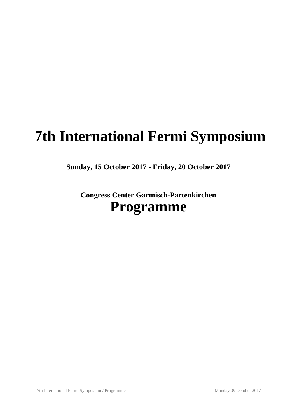# **7th International Fermi Symposium**

**Sunday, 15 October 2017 - Friday, 20 October 2017**

**Congress Center Garmisch-Partenkirchen Programme**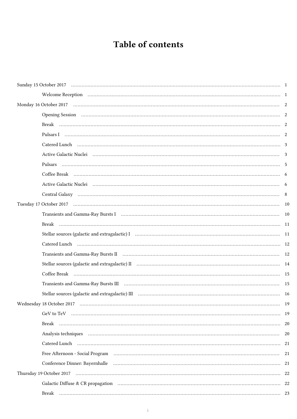## Table of contents

| Pulsars I minimum contractors and contractors and contractors and contractors are contractors and contractors of the 2                                                                                                         |  |
|--------------------------------------------------------------------------------------------------------------------------------------------------------------------------------------------------------------------------------|--|
|                                                                                                                                                                                                                                |  |
| Active Galactic Nuclei (1990) 1996 (2008) 3 and 2008 (2019) 3 and 2019 1997 (2019) 3 and 2019 1997 (2019) 2 and 2019 1997 (2019) 2 and 2019 1997 (2019) 2 and 2019 1997 (2019) 2 and 2019 1997 (2019) 2 and 2019 1997 (2019) 2 |  |
|                                                                                                                                                                                                                                |  |
|                                                                                                                                                                                                                                |  |
| Active Galactic Nuclei (all active of the contract of the contract of the contract of the contract of the contract of the contract of the contract of the contract of the contract of the contract of the contract of the cont |  |
|                                                                                                                                                                                                                                |  |
|                                                                                                                                                                                                                                |  |
|                                                                                                                                                                                                                                |  |
|                                                                                                                                                                                                                                |  |
|                                                                                                                                                                                                                                |  |
|                                                                                                                                                                                                                                |  |
|                                                                                                                                                                                                                                |  |
|                                                                                                                                                                                                                                |  |
|                                                                                                                                                                                                                                |  |
| Transients and Gamma-Ray Bursts III (1990) (2008) (2008) (2009) (2009) (2009) (2009) (2009) (2009) (2009) (2009) (2009) (2009) (2009) (2009) (2009) (2009) (2009) (2009) (2009) (2009) (2009) (2009) (2009) (2009) (2009) (200 |  |
|                                                                                                                                                                                                                                |  |
|                                                                                                                                                                                                                                |  |
|                                                                                                                                                                                                                                |  |
|                                                                                                                                                                                                                                |  |
|                                                                                                                                                                                                                                |  |
|                                                                                                                                                                                                                                |  |
| Free Afternoon - Social Program (a) (a) (b) (c) and the control of the control of the control of the control of the control of the control of the control of the control of the control of the control of the control of the c |  |
|                                                                                                                                                                                                                                |  |
|                                                                                                                                                                                                                                |  |
|                                                                                                                                                                                                                                |  |
|                                                                                                                                                                                                                                |  |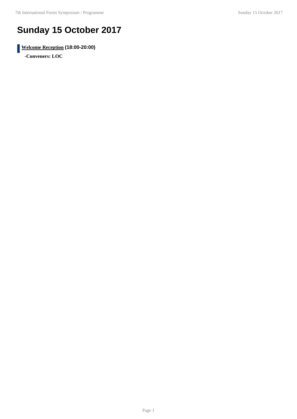## **Sunday 15 October 2017**

**Welcome Reception (18:00-20:00)**

**-Conveners: LOC**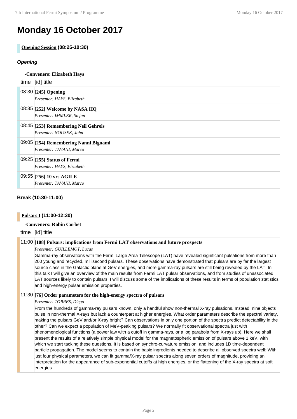## **Monday 16 October 2017**

**Opening Session (08:25-10:30)**

## **Opening**

| -Conveners: Elizabeth Hays                                        |  |  |
|-------------------------------------------------------------------|--|--|
| time [id] title                                                   |  |  |
| 08:30 [245] Opening<br>Presenter: HAYS, Elizabeth                 |  |  |
| 08:35 [252] Welcome by NASA HQ<br>Presenter: IMMLER, Stefan       |  |  |
| 08:45 [253] Remembering Neil Gehrels<br>Presenter: NOUSEK, John   |  |  |
| 09:05 [254] Remembering Nanni Bignami<br>Presenter: TAVANI, Marco |  |  |
| 09:25 [255] Status of Fermi<br>Presenter: HAYS, Elizabeth         |  |  |
| 09:55 [256] 10 yrs AGILE<br>Presenter: TAVANI, Marco              |  |  |

## **Break (10:30-11:00)**

## **Pulsars I (11:00-12:30)**

## **-Conveners: Robin Corbet**

time [id] title

## 11:00 **[108] Pulsars: implications from Fermi LAT observations and future prospects**

*Presenter: GUILLEMOT, Lucas*

Gamma-ray observations with the Fermi Large Area Telescope (LAT) have revealed significant pulsations from more than 200 young and recycled, millisecond pulsars. These observations have demonstrated that pulsars are by far the largest source class in the Galactic plane at GeV energies, and more gamma-ray pulsars are still being revealed by the LAT. In this talk I will give an overview of the main results from Fermi LAT pulsar observations, and from studies of unassociated LAT sources likely to contain pulsars. I will discuss some of the implications of these results in terms of population statistics and high-energy pulsar emission properties.

## 11:30 **[76] Order parameters for the high-energy spectra of pulsars**

#### *Presenter: TORRES, Diego*

From the hundreds of gamma-ray pulsars known, only a handful show non-thermal X-ray pulsations. Instead, nine objects pulse in non-thermal X-rays but lack a counterpart at higher energies. What order parameters describe the spectral variety, making the pulsars GeV and/or X-ray bright? Can observations in only one portion of the spectra predict detectability in the other? Can we expect a population of MeV-peaking pulsars? We normally fit observational spectra just with phenomenological functions (a power law with a cutoff in gamma-rays, or a log parabola from X-rays up). Here we shall present the results of a relatively simple physical model for the magnetospheric emission of pulsars above 1 keV, with which we start tacking these questions. It is based on synchro-curvature emission, and includes 1D time-dependent particle propagation. The model seems to contain the basic ingredients needed to describe all observed spectra well: With just four physical parameters, we can fit gamma/X-ray pulsar spectra along seven orders of magnitude, providing an interpretation for the appearance of sub-exponential cutoffs at high energies, or the flattening of the X-ray spectra at soft energies.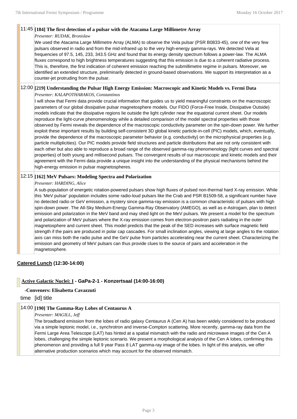#### 11:45 **[184] The first detection of a pulsar with the Atacama Large Millimetre Array**

#### *Presenter: RUDAK, Bronislaw*

We used the Atacama Large Millimetre Array (ALMA) to observe the Vela pulsar (PSR B0833-45), one of the very few pulsars observed in radio and from the mid-infrared up to the very high-energy gamma-rays. We detected Vela at frequencies of 97.5, 145, 233, 343.5 GHz and found that its energy density spectrum follows a power-law. The ALMA fluxes correspond to high brightness temperatures suggesting that this emission is due to a coherent radiative process. This is, therefore, the first indication of coherent emission reaching the submillimetre regime in pulsars. Moreover, we identified an extended structure, preliminarily detected in ground-based observations. We support its interpretation as a counter-jet protruding from the pulsar.

## 12:00 **[219] Understanding the Pulsar High Energy Emission: Macroscopic and Kinetic Models vs. Fermi Data**

*Presenter: KALAPOTHARAKOS, Constantinos*

I will show that Fermi data provide crucial information that guides us to yield meaningful constraints on the macroscopic parameters of our global dissipative pulsar magnetosphere models. Our FIDO (Force-Free Inside, Dissipative Outside) models indicate that the dissipative regions lie outside the light cylinder near the equatorial current sheet. Our models reproduce the light-curve phenomenology while a detailed comparison of the model spectral properties with those observed by Fermi reveals the dependence of the macroscopic conductivity parameter on the spin-down power. We further exploit these important results by building self-consistent 3D global kinetic particle-in-cell (PIC) models, which, eventually, provide the dependence of the macroscopic parameter behavior (e.g. conductivity) on the microphysical properties (e.g. particle multiplicities). Our PIC models provide field structures and particle distributions that are not only consistent with each other but also able to reproduce a broad range of the observed gamma-ray phenomenology (light curves and spectral properties) of both young and millisecond pulsars. The convergent results of our macroscopic and kinetic models and their agreement with the Fermi data provide a unique insight into the understanding of the physical mechanisms behind the high-energy emission in pulsar magnetospheres.

### 12:15 **[162] MeV Pulsars: Modeling Spectra and Polarization**

#### *Presenter: HARDING, Alice*

A sub-population of energetic rotation-powered pulsars show high fluxes of pulsed non-thermal hard X-ray emission. While this 'MeV pulsar' population includes some radio-loud pulsars like the Crab and PSR B1509-58, a significant number have no detected radio or GeV emission, a mystery since gamma-ray emission is a common characteristic of pulsars with high spin-down power. The All-Sky Medium-Energy Gamma-Ray Observatory (AMEGO), as well as e-Astrogam, plan to detect emission and polarization in the MeV band and may shed light on the MeV pulsars. We present a model for the spectrum and polarization of MeV pulsars where the X-ray emission comes from electron-positron pairs radiating in the outer magnetosphere and current sheet. This model predicts that the peak of the SED increases with surface magnetic field strength if the pairs are produced in polar cap cascades. For small inclination angles, viewing at large angles to the rotation axis can miss both the radio pulse and the GeV pulse from particles accelerating near the current sheet. Characterizing the emission and geometry of MeV pulsars can thus provide clues to the source of pairs and acceleration in the magnetosphere.

## **Catered Lunch (12:30-14:00)**

## **Active Galactic Nuclei: I - GaPa-2-1 - Konzertsaal (14:00-16:00)**

## **-Conveners: Elisabetta Cavazzuti**

time [id] title

## 14:00 **[190] The Gamma-Ray Lobes of Centaurus A**

## *Presenter: MAGILL, Jeff*

The broadband emission from the lobes of radio galaxy Centaurus A (Cen A) has been widely considered to be produced via a simple leptonic model, i.e., synchrotron and inverse-Compton scattering. More recently, gamma-ray data from the Fermi Large Area Telescope (LAT) has hinted at a spatial mismatch with the radio and microwave images of the Cen A lobes, challenging the simple leptonic scenario. We present a morphological analysis of the Cen A lobes, confirming this phenomenon and providing a full 9 year Pass 8 LAT gamma-ray image of the lobes. In light of this analysis, we offer alternative production scenarios which may account for the observed mismatch.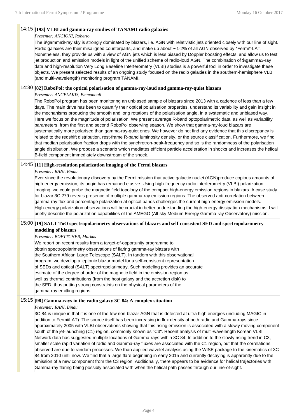#### 14:15 **[193] VLBI and gamma-ray studies of TANAMI radio galaxies**

#### *Presenter: ANGIONI, Roberto*

The \$\gamma\$-ray sky is strongly dominated by blazars, i.e. AGN with relativistic jets oriented closely with our line of sight. Radio galaxies are their misaligned counterparts, and make up about ∼ 1-2% of all AGN observed by \*Fermi\*-LAT. Nonetheless, they provide us with a view of AGN jets which is less biased by Doppler boosting effects, and allow us to test jet production and emission models in light of the unified scheme of radio-loud AGN. The combination of \$\gamma\$-ray data and high-resolution Very Long Baseline Interferometry (VLBI) studies is a powerful tool in order to investigate these objects. We present selected results of an ongoing study focused on the radio galaxies in the southern-hemisphere VLBI (and multi-wavelength) monitoring program TANAMI.

#### 14:30 **[82] RoboPol: the optical polarisation of gamma-ray-loud and gamma-ray-quiet blazars**

*Presenter: ANGELAKIS, Emmanouil*

The RoboPol program has been monitoring an unbiased sample of blazars since 2013 with a cadence of less than a few days. The main drive has been to quantify their optical polarisation properties, understand its variability and gain insight in the mechanisms producing the smooth and long rotations of the polarisation angle, in a systematic and unbiased way. Here we focus on the magnitude of polarisation. We present average R-band optopolarimetric data, as well as variability parameters, from the first and second RoboPol observing season. We show that gamma-ray-loud blazars are systematically more polarised than gamma-ray-quiet ones. We however do not find any evidence that this discrepancy is related to the redshift distribution, rest-frame R-band luminosity density, or the source classification. Furthermore, we find that median polarisation fraction drops with the synchrotron-peak-frequency and so is the randomness of the polarisation angle distribution. We propose a scenario which mediates efficient particle acceleration in shocks and increases the helical B-field component immediately downstream of the shock.

#### 14:45 **[11] High-resolution polarization imaging of the Fermi blazars**

*Presenter: RANI, Bindu*

Ever since the revolutionary discovery by the Fermi mission that active galactic nuclei (AGN)produce copious amounts of high-energy emission, its origin has remained elusive. Using high-frequency radio interferometry (VLBI) polarization imaging, we could probe the magnetic field topology of the compact high-energy emission regions in blazars. A case study for blazar 3C 279 reveals presence of multiple gamma-ray emission regions. The observed anti-correlation between gamma-ray flux and percentage polarization at optical bands challenges the current high-energy emission models. High-energy polarization observations will be crucial in better understanding the high-energy dissipation mechanisms. I will briefly describe the polarization capabilities of the AMEGO (All-sky Medium Energy Gamma-ray Observatory) mission.

## 15:00 **[19] SALT ToO spectropolarimetry observations of blazars and self-consistent SED and spectropolarimetry modeling of blazars**

#### *Presenter: BOETTCHER, Markus*

We report on recent results from a target-of-opportunity programme to obtain spectropolarimetry observations of flaring gamma-ray blazars with the Southern African Large Telescope (SALT). In tandem with this observational program, we develop a leptonic blazar model for a self-consistent representation of SEDs and optical (SALT) spectropolarimetry. Such modeling provides an accurate estimate of the degree of order of the magnetic field in the emission region as well as thermal contributions (from the host galaxy and the accretion disk) to the SED, thus putting strong constraints on the physical parameters of the gamma-ray emitting regions.

#### 15:15 **[98] Gamma-rays in the radio galaxy 3C 84: A complex situation**

#### *Presenter: RANI, Bindu*

3C 84 is unique in that it is one of the few non-blazar AGN that is detected at ultra high energies (including MAGIC in addition to Fermi/LAT). The source itself has been increasing in flux density at both radio and Gamma-rays since approximately 2005 with VLBI observations showing that this rising emission is associated with a slowly moving component south of the jet-launching (C1) region, commonly known as "C3". Recent analysis of multi-wavelength Korean VLBI Network data has suggested multiple locations of Gamma-rays within 3C 84. In addition to the slowly rising trend in C3, smaller scale rapid variation of radio and Gamma-ray fluxes are associated with the C1 region, but that the correlations observed are due to random processes. We than applied wavelet analysis using the WISE package to the kinematics of 3C 84 from 2010 until now. We find that a large flare beginning in early 2015 and currently decaying is apparently due to the emission of a new component from the C3 region. Additionally, there appears to be evidence for helical trajectories with Gamma-ray flaring being possibly associated with when the helical path passes through our line-of-sight.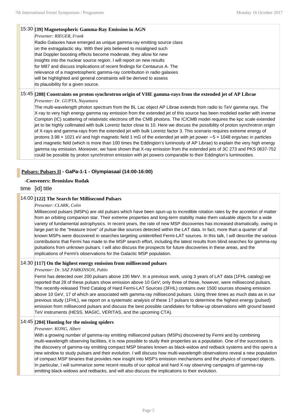### 15:30 **[39] Magnetospheric Gamma-Ray Emission in AGN**

*Presenter: RIEGER, Frank*

Radio Galaxies have emerged as unique gamma-ray emitting source class on the extragalactic sky. With their jets believed to misaligned such that Doppler boosting effects become moderate, they allow for new insights into the nuclear source region. I will report on new results for M87 and discuss implications of recent findings for Centaurus A. The relevance of a magnetospheric gamma-ray contribution in radio galaxies will be highlighted and general constraints will be derived to assess its plausibility for a given source.

## 15:45 **[208] Constraints on proton synchrotron origin of VHE gamma-rays from the extended jet of AP Librae**

*Presenter: Dr. GUPTA, Nayantara*

The multi-wavelength photon spectrum from the BL Lac object AP Librae extends from radio to TeV gamma rays. The X-ray to very high energy gamma ray emission from the extended jet of this source has been modeled earlier with inverse Compton (IC) scattering of relativistic electrons off the CMB photons. The IC/CMB model requires the kpc scale extended jet to be highly collimated with bulk Lorentz factor close to 10. Here we discuss the possibility of proton synchrotron origin of X-rays and gamma-rays from the extended jet with bulk Lorentz factor 3. This scenario requires extreme energy of protons 3.98 × 1021 eV and high magnetic field 1 mG of the extended jet with jet power ∼ 5 × 1048 ergs/sec in particles and magnetic field (which is more than 100 times the Eddington's luminosity of AP Librae) to explain the very high energy gamma ray emission. Moreover, we have shown that X-ray emission from the extended jets of 3C 273 and PKS 0637-752 could be possible by proton synchrotron emission with jet powers comparable to their Eddington's luminosities.

## **Pulsars: Pulsars II - GaPa-1-1 - Olympiasaal (14:00-16:00)**

#### **-Conveners: Bronislaw Rudak**

time [id] title

## 14:00 **[122] The Search for Millisecond Pulsars**

#### *Presenter: CLARK, Colin*

Millisecond pulsars (MSPs) are old pulsars which have been spun-up to incredible rotation rates by the accretion of matter from an orbiting companion star. Their extreme properties and long-term stability make them valuable objects for a wide variety of fundamental astrophysics. In recent years, the rate of new MSP discoveries has increased dramatically, owing in large part to the "treasure trove" of pulsar-like sources detected within the LAT data. In fact, more than a quarter of all known MSPs were discovered in searches targeting unidentified Fermi-LAT sources. In this talk, I will describe the various contributions that Fermi has made to the MSP search effort, including the latest results from blind searches for gamma-ray pulsations from unknown pulsars. I will also discuss the prospects for future discoveries in these areas, and the implications of Fermi's observations for the Galactic MSP population.

#### 14:30 **[117] On the highest energy emission from millisecond pulsars**

#### *Presenter: Dr. SAZ PARKINSON, Pablo*

Fermi has detected over 200 pulsars above 100 MeV. In a previous work, using 3 years of LAT data (1FHL catalog) we reported that 28 of these pulsars show emission above 10 GeV; only three of these, however, were millisecond pulsars. The recently-released Third Catalog of Hard Fermi-LAT Sources (3FHL) contains over 1500 sources showing emission above 10 GeV, 17 of which are associated with gamma-ray millisecond pulsars. Using three times as much data as in our previous study (1FHL), we report on a systematic analysis of these 17 pulsars to determine the highest energy (pulsed) emission from millisecond pulsars and discuss the best possible candidates for follow-up observations with ground based TeV instruments (HESS, MAGIC, VERITAS, and the upcoming CTA).

## 14:45 **[204] Hunting for the missing spiders**

#### *Presenter: KONG, Albert*

With a growing number of gamma-ray emitting millisecond pulsars (MSPs) discovered by Fermi and by combining multi-wavelength observing facilities, it is now possible to study their properties as a population. One of the successes is the discovery of gamma-ray emitting compact MSP binaries known as black-widow and redback systems and this opens a new window to study pulsars and their evolution. I will discuss how multi-wavelength observations reveal a new population of compact MSP binaries that provides new insight into MSP's emission mechanisms and the physics of compact objects. In particular, I will summarize some recent results of our optical and hard X-ray observing campaigns of gamma-ray emitting black-widows and redbacks, and will also discuss the implications to their evolution.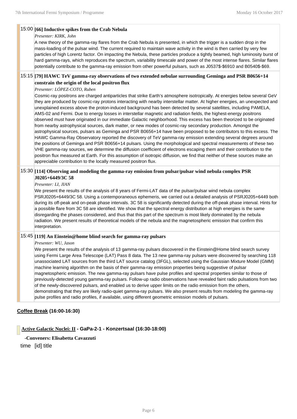#### 15:00 **[66] Inductive spikes from the Crab Nebula**

#### *Presenter: KIRK, John*

A new theory of the gamma-ray flares from the Crab Nebula is presented, in which the trigger is a sudden drop in the mass-loading of the pulsar wind. The current required to maintain wave activity in the wind is then carried by very few particles of high Lorentz factor. On impacting the Nebula, these particles produce a tightly beamed, high luminosity burst of hard gamma-rays, which reproduces the spectrum, variability timescale and power of the most intense flares. Similar flares potentially contribute to the gamma-ray emission from other powerful pulsars, such as J0537\$-\$6910 and B0540\$-\$69.

### 15:15 **[79] HAWC TeV gamma-ray observations of two extended nebulae surrounding Geminga and PSR B0656+14 constrain the origin of the local positron flux**

#### *Presenter: LÓPEZ-COTO, Ruben*

Cosmic-ray positrons are charged antiparticles that strike Earth's atmosphere isotropically. At energies below several GeV they are produced by cosmic-ray protons interacting with nearby interstellar matter. At higher energies, an unexpected and unexplained excess above the proton-induced background has been detected by several satellites, including PAMELA, AMS-02 and Fermi. Due to energy losses in interstellar magnetic and radiation fields, the highest-energy positrons observed must have originated in our immediate Galactic neighborhood. This excess has been theorized to be originated from nearby astrophysical sources, dark matter, or new modes of cosmic-ray secondary production. Amongst the astrophysical sources, pulsars as Geminga and PSR B0656+14 have been proposed to be contributors to this excess. The HAWC Gamma-Ray Observatory reported the discovery of TeV gamma-ray emission extending several degrees around the positions of Geminga and PSR B0656+14 pulsars. Using the morphological and spectral measurements of these two VHE gamma-ray sources, we determine the diffusion coefficient of electrons escaping them and their contribution to the positron flux measured at Earth. For this assumption of isotropic diffusion, we find that neither of these sources make an appreciable contribution to the locally measured positron flux.

### 15:30 **[114] Observing and modeling the gamma-ray emission from pulsar/pulsar wind nebula complex PSR J0205+6449/3C 58**

*Presenter: LI, JIAN*

We present the results of the analysis of 8 years of Fermi-LAT data of the pulsar/pulsar wind nebula complex PSRJ0205+6449/3C 58. Using a contemporaneous ephemeris, we carried out a detailed analysis of PSRJ0205+6449 both during its off-peak and on-peak phase intervals. 3C 58 is significantly detected during the off-peak phase interval. Hints for a possible flare from 3C 58 are identified. We show that the spectral energy distribution at high energies is the same disregarding the phases considered, and thus that this part of the spectrum is most likely dominated by the nebula radiation. We present results of theoretical models of the nebula and the magnetospheric emission that confirm this interpretation.

#### 15:45 **[119] An Einstein@home blind search for gamma-ray pulsars**

#### *Presenter: WU, Jason*

We present the results of the analysis of 13 gamma-ray pulsars discovered in the Einstein@Home blind search survey using Fermi Large Area Telescope (LAT) Pass 8 data. The 13 new gamma-ray pulsars were discovered by searching 118 unassociated LAT sources from the third LAT source catalog (3FGL), selected using the Gaussian Mixture Model (GMM) machine learning algorithm on the basis of their gamma-ray emission properties being suggestive of pulsar magnetospheric emission. The new gamma-ray pulsars have pulse profiles and spectral properties similar to those of previously-detected young gamma-ray pulsars. Follow-up radio observations have revealed faint radio pulsations from two of the newly-discovered pulsars, and enabled us to derive upper limits on the radio emission from the others, demonstrating that they are likely radio-quiet gamma-ray pulsars. We also present results from modeling the gamma-ray pulse profiles and radio profiles, if available, using different geometric emission models of pulsars.

#### **Coffee Break (16:00-16:30)**

**Active Galactic Nuclei: II - GaPa-2-1 - Konzertsaal (16:30-18:00)**

**-Conveners: Elisabetta Cavazzuti**

time [id] title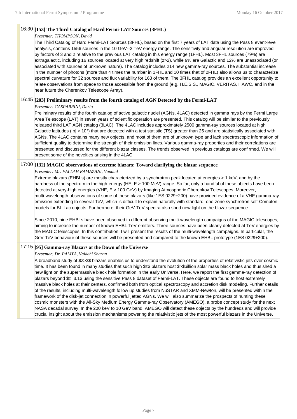## 16:30 **[153] The Third Catalog of Hard Fermi-LAT Sources (3FHL)**

#### *Presenter: THOMPSON, David*

The Third Catalog of Hard Fermi-LAT Sources (3FHL), based on the first 7 years of LAT data using the Pass 8 event-level analysis, contains 1556 sources in the 10 GeV--2 TeV energy range. The sensitivity and angular resolution are improved by factors of 3 and 2 relative to the previous LAT catalog in this energy range (1FHL). Most 3FHL sources (79%) are extragalactic, including 16 sources located at very high redshift (z>2), while 9% are Galactic and 12% are unassociated (or associated with sources of unknown nature). The catalog includes 214 new gamma-ray sources. The substantial increase in the number of photons (more than 4 times the number in 1FHL and 10 times that of 2FHL) also allows us to characterize spectral curvature for 32 sources and flux variability for 163 of them. The 3FHL catalog provides an excellent opportunity to relate observations from space to those accessible from the ground (e.g. H.E.S.S., MAGIC, VERITAS, HAWC, and in the near future the Cherenkov Telescope Array).

## 16:45 **[203] Preliminary results from the fourth catalog of AGN Detected by the Fermi-LAT**

#### *Presenter: GASPARRINI, Dario*

Preliminary results of the fourth catalog of active galactic nuclei (AGNs, 4LAC) detected in gamma rays by the Fermi Large Area Telescope (LAT) in seven years of scientific operation are presented. This catalog will be similar to the previously released third LAT AGN catalog (3LAC). The 4LAC includes approximately 2500 gamma-ray sources located at high Galactic latitudes (|b| > 10°) that are detected with a test statistic (TS) greater than 25 and are statistically associated with AGNs. The 4LAC contains many new objects, and most of them are of unknown type and lack spectroscopic information of sufficient quality to determine the strength of their emission lines. Various gamma-ray properties and their correlations are presented and discussed for the different blazar classes. The trends observed in previous catalogs are confirmed. We will present some of the novelties arising in the 4LAC.

#### 17:00 **[132] MAGIC observations of extreme blazars: Toward clarifying the blazar sequence**

*Presenter: Mr. FALLAH RAMAZANI, Vandad*

Extreme blazars (EHBLs) are mostly characterized by a synchrotron peak located at energies > 1 keV, and by the hardness of the spectrum in the high-energy (HE, E > 100 MeV) range. So far, only a handful of these objects have been detected at very-high energies (VHE, E > 100 GeV) by Imaging Atmospheric Cherenkov Telescopes. Moreover, multi-wavelength observations of some of these blazars (like 1ES 0229+200) have provided evidence of a VHE gamma-ray emission extending to several TeV, which is difficult to explain naturally with standard, one-zone synchrotron self-Compton models for BL Lac objects. Furthermore, their GeV-TeV spectra also shed new light on the blazar sequence.

Since 2010, nine EHBLs have been observed in different observing multi-wavelength campaigns of the MAGIC telescopes, aiming to increase the number of known EHBL TeV-emitters. Three sources have been clearly detected at TeV energies by the MAGIC telescopes. In this contribution, I will present the results of the multi-wavelength campaigns. In particular, the GeV-TeV behaviour of these sources will be presented and compared to the known EHBL prototype (1ES 0229+200).

## 17:15 **[95] Gamma-ray Blazars at the Dawn of the Universe**

#### *Presenter: Dr. PALIYA, Vaidehi Sharan*

A broadband study of \$z>3\$ blazars enables us to understand the evolution of the properties of relativistic jets over cosmic time. It has been found in many studies that such high \$z\$ blazars host \$>\$billion solar mass black holes and thus shed a new light on the supermassive black hole formation in the early Universe. Here, we report the first gamma-ray detection of blazars beyond \$z=3.1\$ using the sensitive Pass 8 dataset of Fermi-LAT. These objects are found to host extremely massive black holes at their centers, confirmed both from optical spectroscopy and accretion disk modeling. Further details of the results, including multi-wavelength follow up studies from NuSTAR and XMM-Newton, will be presented within the framework of the disk-jet connection in powerful jetted AGNs. We will also summarize the prospects of hunting these cosmic monsters with the All-Sky Medium Energy Gamma-ray Observatory (AMEGO), a probe concept study for the next NASA decadal survey. In the 200 keV to 10 GeV band, AMEGO will detect these objects by the hundreds and will provide crucial insight about the emission mechanisms powering the relativistic jets of the most powerful blazars in the Universe.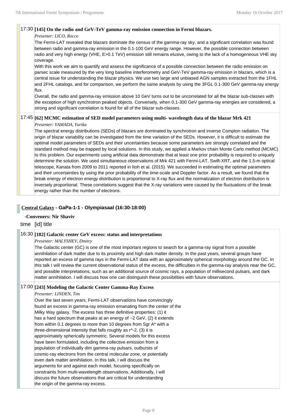### 17:30 **[145] On the radio and GeV-TeV gamma-ray emission connection in Fermi blazars.**

#### *Presenter: LICO, Rocco*

The Fermi-LAT revealed that blazars dominate the census of the gamma-ray sky, and a significant correlation was found between radio and gamma-ray emission in the 0.1-100 GeV energy range. However, the possible connection between radio and very high energy (VHE, E>0.1 TeV) emission still remains elusive, owing to the lack of a homogeneous VHE sky coverage.

With this work we aim to quantify and assess the significance of a possible connection between the radio emission on parsec scale measured by the very long baseline interferometry and GeV-TeV gamma-ray emission in blazars, which is a central issue for understanding the blazar physics. We use two large and unbiased AGN samples extracted from the 1FHL and 2FHL catalogs, and for comparison, we perform the same analysis by using the 3FGL 0.1-300 GeV gamma-ray energy flux.

Overall, the radio and gamma-ray emission above 10 GeV turns out to be uncorrelated for all the blazar sub-classes with the exception of high synchrotron peaked objects. Conversely, when 0.1-300 GeV gamma-ray energies are considered, a strong and significant correlation is found for all of the blazar sub-classes.

## 17:45 **[62] MCMC estimation of SED model parameters using multi- wavelength data of the blazar Mrk 421**

#### *Presenter: YAMADA, Yurika*

The spectral energy distributions (SEDs) of blazars are dominated by synchrotron and inverse Compton radiation. The origin of blazar variability can be investigated from the time variation of the SEDs. However, it is difficult to estimate the optimal model parameters of SEDs and their uncertainties because some parameters are strongly correlated and the standard method may be trapped by local solutions. In this study, we applied a Markov chain Monte Carlo method (MCMC) to this problem. Our experiments using artificial data demonstrate that at least one prior probability is required to uniquely determine the solution. We used simultaneous observations of Mrk 421 with Fermi-LAT, Swift-XRT, and the 1.5-m optical telescope, Kanata from 2009 to 2011 reported in Itoh et al. (2015). We succeeded in estimating the optimal parameters and their uncertainties by using the prior probability of the time-scale and Doppler factor. As a result, we found that the break energy of electron energy distribution is proportional to X-ray flux and the normalization of electron distribution is inversely proportional. These correlations suggest that the X-ray variations were caused by the fluctuations of the break energy rather than the number of electrons.

## **Central Galaxy - GaPa-1-1 - Olympiasaal (16:30-18:00)**

## **-Conveners: Nir Shaviv**

## time [id] title

#### 16:30 **[182] Galactic center GeV excess: status and interpretations**

*Presenter: MALYSHEV, Dmitry*

The Galactic center (GC) is one of the most important regions to search for a gamma-ray signal from a possible annihilation of dark matter due to its proximity and high dark matter density. In the past years, several groups have reported an excess of gamma rays in the Fermi-LAT data with an approximately spherical morphology around the GC. In this talk I will review the current observational status of the excess, the difficulties in the gamma-ray analysis near the GC, and possible interpretations, such as an additional source of cosmic rays, a population of millisecond pulsars, and dark matter annihilation. I will discuss how one can distinguish these possibilities with future observations.

### 17:00 **[243] Modeling the Galactic Center Gamma-Ray Excess**

#### *Presenter: LINDEN, Tim*

Over the last seven years, Fermi-LAT observations have convincingly found an excess in gamma-ray emission emanating from the center of the Milky Way galaxy. The excess has three definitive properties: (1) it has a hard spectrum that peaks at an energy of ~2 GeV, (2) it extends from within 0.1 degrees to more than 10 degrees from Sgr A\* with a three-dimensional intensity that falls roughly as r^-2, (3) it is approximately spherically symmetric. Several models for this excess have been formulated, including the collective emission from a population of individually dim gamma-ray pulsars, outbursts of cosmic-ray electrons from the central molecular zone, or potentially even dark matter annihilation. In this talk, I will discuss the arguments for and against each model, focusing specifically on constraints from multi-wavelength observations. Additionally, I will discuss the future observations that are critical for understanding the origin of the gamma-ray excess.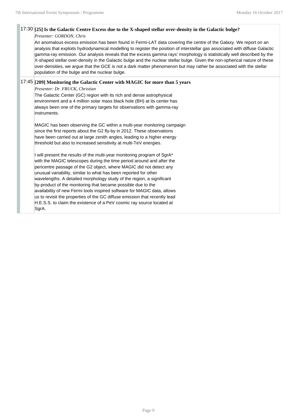## 17:30 **[25] Is the Galactic Centre Excess due to the X-shaped stellar over-density in the Galactic bulge?**

#### *Presenter: GORDON, Chris*

An anomalous excess emission has been found in Fermi-LAT data covering the centre of the Galaxy. We report on an analysis that exploits hydrodynamical modelling to register the position of interstellar gas associated with diffuse Galactic gamma-ray emission. Our analysis reveals that the excess gamma rays' morphology is statistically well described by the X-shaped stellar over-density in the Galactic bulge and the nuclear stellar bulge. Given the non-spherical nature of these over-densities, we argue that the GCE is not a dark matter phenomenon but may rather be associated with the stellar population of the bulge and the nuclear bulge.

## 17:45 **[209] Monitoring the Galactic Center with MAGIC for more than 5 years**

*Presenter: Dr. FRUCK, Christian*

The Galactic Center (GC) region with its rich and dense astrophysical environment and a 4 million solar mass black hole (BH) at its center has always been one of the primary targets for observations with gamma-ray instruments.

MAGIC has been observing the GC within a multi-year monitoring campaign since the first reports about the G2 fly-by in 2012. These observations have been carried out at large zenith angles, leading to a higher energy threshold but also to increased sensitivity at multi-TeV energies.

I will present the results of the multi-year monitoring program of SgrA\* with the MAGIC telescopes during the time period around and after the pericentre passage of the G2 object, where MAGIC did not detect any unusual variability, similar to what has been reported for other wavelengths. A detailed morphology study of the region, a significant by-product of the monitoring that became possible due to the availability of new Fermi tools inspired software for MAGIC data, allows us to revisit the properties of the GC diffuse emission that recently lead H.E.S.S. to claim the existence of a PeV cosmic ray source located at SgrA.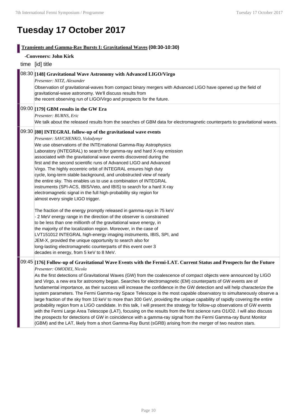## **Tuesday 17 October 2017**

| <b>Transients and Gamma-Ray Bursts I: Gravitational Waves (08:30-10:30)</b> |                                                                                                                                                                                                                                                                                                                                                                                                                                                                                                                                                                                                                                                                                                                                                                                                                                                                                                                                                                                                                                                                                                                                                                                                                                                                                                                                                       |  |  |
|-----------------------------------------------------------------------------|-------------------------------------------------------------------------------------------------------------------------------------------------------------------------------------------------------------------------------------------------------------------------------------------------------------------------------------------------------------------------------------------------------------------------------------------------------------------------------------------------------------------------------------------------------------------------------------------------------------------------------------------------------------------------------------------------------------------------------------------------------------------------------------------------------------------------------------------------------------------------------------------------------------------------------------------------------------------------------------------------------------------------------------------------------------------------------------------------------------------------------------------------------------------------------------------------------------------------------------------------------------------------------------------------------------------------------------------------------|--|--|
|                                                                             | -Conveners: John Kirk                                                                                                                                                                                                                                                                                                                                                                                                                                                                                                                                                                                                                                                                                                                                                                                                                                                                                                                                                                                                                                                                                                                                                                                                                                                                                                                                 |  |  |
|                                                                             | time [id] title                                                                                                                                                                                                                                                                                                                                                                                                                                                                                                                                                                                                                                                                                                                                                                                                                                                                                                                                                                                                                                                                                                                                                                                                                                                                                                                                       |  |  |
|                                                                             | $\left 08:30\right $ [148] Gravitational Wave Astronomy with Advanced LIGO/Virgo<br>Presenter: NITZ, Alexander<br>Observation of gravitational-waves from compact binary mergers with Advanced LIGO have opened up the field of<br>gravitational-wave astronomy. We'll discuss results from<br>the recent observing run of LIGO/Virgo and prospects for the future.                                                                                                                                                                                                                                                                                                                                                                                                                                                                                                                                                                                                                                                                                                                                                                                                                                                                                                                                                                                   |  |  |
|                                                                             | $[09:00]$ [179] GBM results in the GW Era<br>Presenter: BURNS, Eric<br>We talk about the released results from the searches of GBM data for electromagnetic counterparts to gravitational waves.                                                                                                                                                                                                                                                                                                                                                                                                                                                                                                                                                                                                                                                                                                                                                                                                                                                                                                                                                                                                                                                                                                                                                      |  |  |
|                                                                             | $\mid$ 09:30 $\mid$ [80] INTEGRAL follow-up of the gravitational wave events<br>Presenter: SAVCHENKO, Volodymyr<br>We use observations of the INTErnational Gamma-Ray Astrophysics<br>Laboratory (INTEGRAL) to search for gamma-ray and hard X-ray emission<br>associated with the gravitational wave events discovered during the<br>first and the second scientific runs of Advanced LIGO and Advanced<br>Virgo. The highly eccentric orbit of INTEGRAL ensures high duty<br>cycle, long-term stable background, and unobstructed view of nearly<br>the entire sky. This enables us to use a combination of INTEGRAL<br>instruments (SPI-ACS, IBIS/Veto, and IBIS) to search for a hard X-ray<br>electromagnetic signal in the full high-probability sky region for<br>almost every single LIGO trigger.<br>The fraction of the energy promptly released in gamma-rays in 75 keV<br>- 2 MeV energy range in the direction of the observer is constrained<br>to be less than one millionth of the gravitational wave energy, in<br>the majority of the localization region. Moreover, in the case of<br>LVT151012 INTEGRAL high-energy imaging instruments, IBIS, SPI, and<br>JEM-X, provided the unique opportunity to search also for<br>long-lasting electromagnetic counterparts of this event over 3<br>decades in energy, from 5 keV to 8 MeV. |  |  |
|                                                                             | $\left 09:45\right $ [176] Follow-up of Gravitational Wave Events with the Fermi-LAT. Current Status and Prospects for the Future<br>Presenter: OMODEI, Nicola<br>As the first detections of Gravitational Waves (GW) from the coalescence of compact objects were announced by LIGO<br>and Virgo, a new era for astronomy began. Searches for electromagnetic (EM) counterparts of GW events are of<br>fundamental importance, as their success will increase the confidence in the GW detection and will help characterize the<br>system parameters. The Fermi Gamma-ray Space Telescope is the most capable observatory to simultaneously observe a                                                                                                                                                                                                                                                                                                                                                                                                                                                                                                                                                                                                                                                                                                |  |  |

large fraction of the sky from 10 keV to more than 300 GeV, providing the unique capability of rapidly covering the entire probability region from a LIGO candidate. In this talk, I will present the strategy for follow-up observations of GW events with the Fermi Large Area Telescope (LAT), focusing on the results from the first science runs O1/O2. I will also discuss the prospects for detections of GW in coincidence with a gamma-ray signal from the Fermi Gamma-ray Burst Monitor (GBM) and the LAT, likely from a short Gamma-Ray Burst (sGRB) arising from the merger of two neutron stars.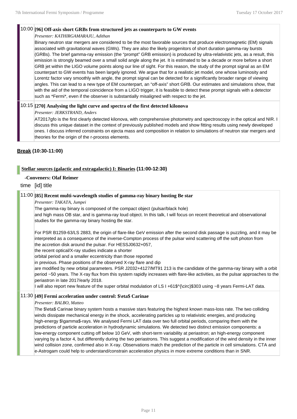#### 10:00 **[96] Off-axis short GRBs from structured jets as counterparts to GW events**

*Presenter: KATHIRGAMARAJU, Adithan*

Binary neutron star mergers are considered to be the most favorable sources that produce electromagnetic (EM) signals associated with gravitational waves (GWs). They are also the likely progenitors of short duration gamma-ray bursts (GRBs). The brief gamma-ray emission (the "prompt" GRB emission) is produced by ultra-relativistic jets, as a result, this emission is strongly beamed over a small solid angle along the jet. It is estimated to be a decade or more before a short GRB jet within the LIGO volume points along our line of sight. For this reason, the study of the prompt signal as an EM counterpart to GW events has been largely ignored. We argue that for a realistic jet model, one whose luminosity and Lorentz factor vary smoothly with angle, the prompt signal can be detected for a significantly broader range of viewing angles. This can lead to a new type of EM counterpart, an "off-axis" short GRB. Our estimates and simulations show, that with the aid of the temporal coincidence from a LIGO trigger, it is feasible to detect these prompt signals with a detector such as \*Fermi\*, even if the observer is substantially misaligned with respect to the jet.

## 10:15 **[270] Analysing the light curve and spectra of the first detected kilonova**

#### *Presenter: JERKSTRAND, Anders*

AT2017gfo is the first clearly detected kilonova, with comprehensive photometry and spectroscopy in the optical and NIR. I discuss this unique dataset in the context of previously published models and show fitting results using newly developed ones. I discuss inferred constraints on ejecta mass and composition in relation to simulations of neutron star mergers and theories for the origin of the r-process elements.

## **Break (10:30-11:00)**

## **Stellar sources (galactic and extragalactic) I: Binaries (11:00-12:30)**

#### **-Conveners: Olaf Reimer**

time [id] title

### 11:00 **[85] Recent multi-wavelength studies of gamma-ray binary hosting Be star**

#### *Presenter: TAKATA, Jumpei*

The gamma-ray binary is composed of the compact object (pulsar/black hole) and high mass OB star, and is gamma-ray loud object. In this talk, I will focus on recent theoretical and observational studies for the gamma-ray binary hosting Be star.

For PSR B1259-63/LS 2883, the origin of flare-like GeV emission after the second disk passage is puzzling, and it may be interpreted as a consequence of the inverse-Compton process of the pulsar wind scattering off the soft photon from the accretion disk around the pulsar. For HESSJ0632+057,

the recent optical/X-ray studies indicate a shorter

orbital period and a smaller eccentricity than those reported

in previous. Phase positions of the observed X-ray flare and dip

are modified by new orbital parameters. PSR J2032+4127/MT91 213 is the candidate of the gamma-ray binary with a orbit period ~50 years. The X-ray flux from this system rapidly increases with flare-like activities, as the pulsar approaches to the periastron in late 2017/early 2018.

I will also report new feature of the super orbital modulation of LS I +61\$^{\circ}\$303 using ~8 years Fermi-LAT data.

#### 11:30 **[49] Fermi acceleration under control: \$\eta\$ Carinae**

*Presenter: BALBO, Matteo*

The \$\eta\$ Carinae binary system hosts a massive stars featuring the highest known mass-loss rate. The two colliding winds dissipate mechanical energy in the shock, accelerating particles up to relativistic energies, and producing high-energy \$\gamma\$-rays. We analysed Fermi LAT data over two full orbital periods, comparing them with the predictions of particle acceleration in hydrodynamic simulations. We detected two distinct emission components: a low-energy component cutting off below 10 GeV, with short-term variability at periastron; an high-energy component varying by a factor 4, but differently during the two periastrons. This suggest a modification of the wind density in the inner wind collision zone, confirmed also in X-ray. Observations match the prediction of the particle in cell simulations. CTA and e-Astrogam could help to understand/constrain acceleration physics in more extreme conditions than in SNR.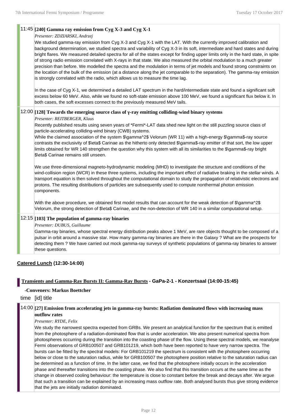## 11:45 **[240] Gamma ray emission from Cyg X-3 and Cyg X-1**

#### *Presenter: ZDZIARSKI, Andrzej*

We studied gamma-ray emission from Cyg X-3 and Cyg X-1 with the LAT. With the currently improved calibration and background determination, we studied spectra and variability of Cyg X-3 in its soft, intermediate and hard states and during bright flares. We measured detailed spectra for all of the states except for finding upper limits only in the hard state, in spite of strong radio emission correlated with X-rays in that state. We also measured the orbital modulation to a much greater precision than before. We modelled the spectra and the modulation in terms of jet models and found strong constraints on the location of the bulk of the emission (at a distance along the jet comparable to the separation). The gamma-ray emission is strongly correlated with the radio, which allows us to measure the time lag.

In the case of Cyg X-1, we determined a detailed LAT spectrum in the hard/intermediate state and found a significant soft excess below 60 MeV. Also, while we found no soft-state emission above 100 MeV, we found a significant flux below it. In both cases, the soft excesses connect to the previously measured MeV tails.

## 12:00 **[128] Towards the emerging source class of γ-ray emitting colliding-wind binary systems**

#### *Presenter: REITBERGER, Klaus*

Recently published results using seven years of \*Fermi\*-LAT data shed new light on the still puzzling source class of particle-accelerating colliding-wind binary (CWB) systems.

While the claimed association of the system \$\gamma^2\$ Velorum (WR 11) with a high-energy \$\gamma\$-ray source contrasts the exclusivity of \$\eta\$ Carinae as the hitherto only detected \$\gamma\$-ray emitter of that sort, the low upper limits obtained for WR 140 strengthen the question why this system with all its similarities to the \$\gamma\$-ray bright \$\eta\$ Carinae remains still unseen.

We use three-dimensional magneto-hydrodynamic modeling (MHD) to investigate the structure and conditions of the wind-collision region (WCR) in these three systems, including the important effect of radiative braking in the stellar winds. A transport equation is then solved throughout the computational domain to study the propagation of relativistic electrons and protons. The resulting distributions of particles are subsequently used to compute nonthermal photon emission components.

With the above procedure, we obtained first model results that can account for the weak detection of \$\gamma^2\$ Velorum, the strong detection of \$\eta\$ Carinae, and the non-detection of WR 140 in a similar computational setup.

## 12:15 **[103] The population of gamma-ray binaries**

*Presenter: DUBUS, Guillaume*

Gamma-ray binaries, whose spectral energy distribution peaks above 1 MeV, are rare objects thought to be composed of a pulsar in orbit around a massive star. How many gamma-ray binaries are there in the Galaxy ? What are the prospects for detecting them ? We have carried out mock gamma-ray surveys of synthetic populations of gamma-ray binaries to answer these questions.

## **Catered Lunch (12:30-14:00)**

## **Transients and Gamma-Ray Bursts II: Gamma-Ray Bursts - GaPa-2-1 - Konzertsaal (14:00-15:45)**

## **-Conveners: Markus Boettcher**

time [id] title

#### 14:00 **[27] Emission from accelerating jets in gamma-ray bursts: Radiation dominated flows with increasing mass outflow rates**

## *Presenter: RYDE, Felix*

We study the narrowest spectra expected from GRBs. We present an analytical function for the spectrum that is emitted from the photosphere of a radiation-dominated flow that is under acceleration. We also present numerical spectra from photospheres occurring during the transition into the coasting phase of the flow. Using these spectral models, we reanalyse Fermi observations of GRB100507 and GRB101219, which both have been reported to have very narrow spectra. The bursts can be fitted by the spectral models: For GRB101219 the spectrum is consistent with the photosphere occurring below or close to the saturation radius, while for GRB100507 the photosphere position relative to the saturation radius can be determined as a function of time. In the latter case, we find that the photosphere initially occurs in the acceleration phase and thereafter transitions into the coasting phase. We also find that this transition occurs at the same time as the change in observed cooling behaviour: the temperature is close to constant before the break and decays after. We argue that such a transition can be explained by an increasing mass outflow rate. Both analysed bursts thus give strong evidence that the jets are initially radiation dominated.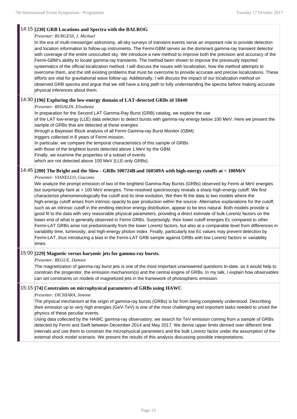## 14:15 **[230] GRB Locations and Spectra with the BALROG**

#### *Presenter: BURGESS, J. Michael*

In the era of multi-messenger astronomy, all-sky surveys of transient events serve an important role to provide detection and location information to follow-up instruments. The Fermi-GBM serves as the dominant gamma-ray transient detector with coverage of the entire unocculted sky. We introduce a new method to improve both the precision and accuracy of the Fermi-GBM's ability to locate gamma-ray transients. The method been shown to improve the previously reported systematics of the official localization method. I will discuss the issues with localization, how the method attempts to overcome them, and the still existing problems that must be overcome to provide accurate and precise localizations. These efforts are vital for gravitational wave follow-up. Additionally, I will discuss the impact of our localization method on observed GRB spectra and argue that we still have a long path to fully understanding the spectra before making accurate physical inferences about them.

## 14:30 **[196] Exploring the low-energy domain of LAT-detected GRBs id 18440**

#### *Presenter: BISSALDI, Elisabetta*

In preparation for the Second LAT Gamma-Ray Burst (GRB) catalog, we explore the use

of the LAT low-energy (LLE) data selection to detect bursts with gamma-ray energy below 100 MeV. Here we present the sample of GRBs that are detected at these energies

through a Bayesian Block analysis of all Fermi Gamma-ray Burst Monitor (GBM)

triggers collected in 8 years of Fermi mission.

In particular, we compare the temporal characteristics of this sample of GRBs

with those of the brightest bursts detected above 1 MeV by the GBM.

Finally, we examine the properties of a subset of events

which are not detected above 100 MeV (LLE-only GRBs).

## 14:45 **[200] The Bright and the Slow - GRBs 100724B and 160509A with high-energy cutoffs at < 100MeV**

#### *Presenter: VIANELLO, Giacomo*

We analyze the prompt emission of two of the brightest Gamma-Ray Bursts (GRBs) observed by Fermi at MeV energies but surprisingly faint at > 100 MeV energies. Time-resolved spectroscopy reveals a sharp high-energy cutoff. We first characterize phenomenologically the cutoff and its time evolution. We then fit the data to two models where the high-energy cutoff arises from intrinsic opacity to pair production within the source. Alternative explanations for the cutoff, such as an intrinsic cutoff in the emitting electron energy distribution, appear to be less natural. Both models provide a good fit to the data with very reasonable physical parameters, providing a direct estimate of bulk Lorentz factors on the lower end of what is generally observed in Fermi GRBs. Surprisingly, their lower cutoff energies Ec compared to other Fermi-LAT GRBs arise not predominantly from the lower Lorentz factors, but also at a comparable level from differences in variability time, luminosity, and high-energy photon index. Finally, particularly low Ec values may prevent detection by Fermi-LAT, thus introducing a bias in the Fermi-LAT GRB sample against GRBs with low Lorentz factors or variability times.

## 15:00 **[229] Magnetic versus baryonic jets for gamma-ray bursts.**

#### *Presenter: BEGUE, Damien*

The magnetization of gamma-ray burst jets is one of the most important unanswered questions to-date, as it would help to constrain the progenitor, the emission mechanism(s) and the central engine of GRBs. In my talk, I explain how observables can set constraints on models of magnetized jets in the framework of photospheric emission.

### 15:15 **[74] Constraints on microphysical parameters of GRBs using HAWC**

#### *Presenter: DICHIARA, Simone*

The physical mechanism at the origin of gamma-ray bursts (GRBs) is far from being completely understood. Describing their emission up to very high energies (GeV-TeV) is one of the most challenging and important tasks needed to unveil the physics of these peculiar events.

Using data collected by the HAWC gamma-ray observatory, we search for TeV emission coming from a sample of GRBs detected by Fermi and Swift between December 2014 and May 2017. We derive upper limits derived over different time intervals and use them to constrain the microphysical parameters and the bulk Lorentz factor under the assumption of the external shock model scenario. We present the results of this analysis discussing possible interpretations.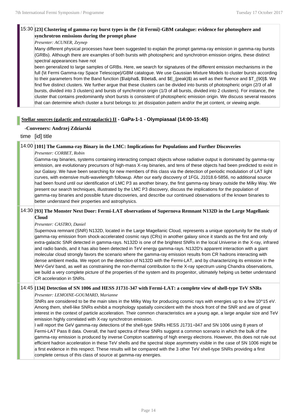## 15:30 **[23] Clustering of gamma-ray burst types in the {\it Fermi}-GBM catalogue: evidence for photosphere and synchrotron emissions during the prompt phase**

#### *Presenter: ACUNER, Zeynep*

Many different physical processes have been suggested to explain the prompt gamma-ray emission in gamma-ray bursts (GRBs). Although there are examples of both bursts with photospheric and synchrotron emission origins, these distinct spectral appearances have not

been generalized to large samples of GRBs. Here, we search for signatures of the different emission mechanisms in the full {\it Fermi Gamma-ray Space Telescope}/GBM catalogue. We use Gaussian Mixture Models to cluster bursts according to their parameters from the Band function (\$\alpha\$, \$\beta\$, and \$E\_{peak}\$) as well as their fluence and \$T\_{90}\$. We find five distinct clusters. We further argue that these clusters can be divided into bursts of photospheric origin (2/3 of all bursts, divided into 3 clusters) and bursts of synchrotron origin (1/3 of all bursts, divided into 2 clusters). For instance, the cluster that contains predominantly short bursts is consistent of photospheric emission origin. We discuss several reasons that can determine which cluster a burst belongs to: jet dissipation pattern and/or the jet content, or viewing angle.

## **Stellar sources (galactic and extragalactic) II - GaPa-1-1 - Olympiasaal (14:00-15:45)**

#### **-Conveners: Andrzej Zdziarski**

## time [id] title

#### 14:00 **[101] The Gamma-ray Binary in the LMC: Implications for Populations and Further Discoveries**

*Presenter: CORBET, Robin*

Gamma-ray binaries, systems containing interacting compact objects whose radiative output is dominated by gamma-ray emission, are evolutionary precursors of high-mass X-ray binaries, and tens of these objects had been predicted to exist in our Galaxy. We have been searching for new members of this class via the detection of periodic modulation of LAT light curves, with extensive multi-wavelength followup. After our early discovery of 1FGL J1018.6-5856, no additional source had been found until our identification of LMC P3 as another binary, the first gamma-ray binary outside the Milky Way. We present our search techniques, illustrated by the LMC P3 discovery, discuss the implications for the population of gamma-ray binaries and possible future discoveries, and describe our continued observations of the known binaries to better understand their properties and astrophysics.

#### 14:30 **[93] The Monster Next Door: Fermi-LAT observations of Supernova Remnant N132D in the Large Magellanic Cloud**

#### *Presenter: CASTRO, Daniel*

Supernova remnant (SNR) N132D, located in the Large Magellanic Cloud, represents a unique opportunity for the study of gamma-ray emission from shock-accelerated cosmic rays (CRs) in another galaxy since it stands as the first and only extra-galactic SNR detected in gamma-rays. N132D is one of the brightest SNRs in the local Universe in the X-ray, infrared and radio bands, and it has also been detected in TeV energy gamma-rays. N132D's apparent interaction with a giant molecular cloud strongly favors the scenario where the gamma-ray emission results from CR hadrons interacting with dense ambient media. We report on the detection of N132D with the Fermi-LAT, and by characterizing its emission in the MeV-GeV band, as well as constraining the non-thermal contribution to the X-ray spectrum using Chandra observations, we build a very complete picture of the properties of the system and its progenitor, ultimately helping us better understand CR acceleration in SNRs.

#### 14:45 **[134] Detection of SN 1006 and HESS J1731-347 with Fermi-LAT: a complete view of shell-type TeV SNRs**

*Presenter: LEMOINE-GOUMARD, Marianne*

SNRs are considered to be the main sites in the Milky Way for producing cosmic rays with energies up to a few 10^15 eV. Among them, shell-like SNRs exhibit a morphology spatially coincident with the shock front of the SNR and are of great interest in the context of particle acceleration. Their common characteristics are a young age, a large angular size and TeV emission highly correlated with X-ray synchrotron emission.

I will report the GeV gamma-ray detections of the shell-type SNRs HESS J1731−347 and SN 1006 using 8 years of Fermi-LAT Pass 8 data. Overall, the hard spectra of these SNRs suggest a common scenario in which the bulk of the gamma-ray emission is produced by inverse Compton scattering of high energy electrons. However, this does not rule out efficient hadron acceleration in these TeV shells and the spectral slope asymmetry visible in the case of SN 1006 might be a first evidence in this respect. These results will be compared with the 3 other TeV shell-type SNRs providing a first complete census of this class of source at gamma-ray energies.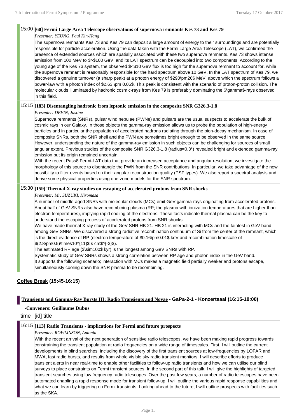#### 15:00 **[60] Fermi Large Area Telescope observations of supernova remnants Kes 73 and Kes 79**

#### *Presenter: YEUNG, Paul Kin-Hang*

The supernova remnants Kes 73 and Kes 79 can deposit a large amount of energy to their surroundings and are potentially responsible for particle acceleration. Using the data taken with the Fermi Large Area Telescope (LAT), we confirmed the presence of extended sources which are spatially associated with these two supernova remnants. Kes 73 shows intense emission from 100 MeV to \$>\$100 GeV, and its LAT spectrum can be decoupled into two components. According to the young age of the Kes 73 system, the observed \$<\$10 GeV flux is too high for the supernova remnant to account for, while the supernova remnant is reasonably responsible for the hard spectrum above 10 GeV. In the LAT spectrum of Kes 79, we discovered a genuine turnover (a sharp peak) at a photon energy of \$290\pm26\$ MeV, above which the spectrum follows a power-law with a photon index of \$2.63 \pm 0.05\$. This peak is consistent with the scenario of proton-proton collision. The molecular clouds illuminated by hadronic cosmic-rays from Kes 79 is preferably dominating the \$\gamma\$-rays observed in this field.

#### 15:15 **[183] Disentangling hadronic from leptonic emission in the composite SNR G326.3-1.8**

#### *Presenter: DEVIN, Justine*

Supernova remnants (SNRs), pulsar wind nebulae (PWNe) and pulsars are the usual suspects to accelerate the bulk of cosmic rays in our Galaxy. In those objects the gamma-ray emission allows us to probe the population of high-energy particles and in particular the population of accelerated hadrons radiating through the pion-decay mechanism. In case of composite SNRs, both the SNR shell and the PWN are sometimes bright enough to be observed in the same source. However, understanding the nature of the gamma-ray emission in such objects can be challenging for sources of small angular extent. Previous studies of the composite SNR G326.3-1.8 (radius=0.3°) revealed bright and extended gamma-ray emission but its origin remained uncertain.

With the recent Pass8 Fermi-LAT data that provide an increased acceptance and angular resolution, we investigate the morphology of this source to disentangle the PWN from the SNR contributions. In particular, we take advantage of the new possibility to filter events based on their angular reconstruction quality (PSF types). We also report a spectral analysis and derive some physical properties using one-zone models for the SNR spectrum.

#### 15:30 **[159] Thermal X-ray studies on escaping of accelerated protons from SNR shocks**

#### *Presenter: Mr. SUZUKI, Hiromasa*

A number of middle-aged SNRs with molecular clouds (MCs) emit GeV gamma-rays originating from accelerated protons. About half of GeV SNRs also have recombining plasma (RP; the plasma with ionization temperatures that are higher than electron temperatures), implying rapid cooling of the electrons. These facts indicate thermal plasma can be the key to understand the escaping process of accelerated protons from SNR shocks.

We have made thermal X-ray study of the GeV SNR HB 21. HB 21 is interacting with MCs and the faintest in GeV band among GeV SNRs. We discovered a strong radiative recombination continuum of Si from the center of the remnant, which is the direct evidence of RP (electron temperature of \$0.16\pm0.01\$ keV and recombination timescale of  $$$ (2.8\pm0.5)\times10^{11}\$ s cm\$^{-3}\$).

The estimated RP age (\$\sim100\$ kyr) is the longest among GeV SNRs with RP.

Systematic study of GeV SNRs shows a strong correlation between RP age and photon index in the GeV band. It supports the following scenario; interaction with MCs makes a magnetic field partially weaker and protons escape, simultaneously cooling down the SNR plasma to be recombining.

## **Coffee Break (15:45-16:15)**

## **Transients and Gamma-Ray Bursts III: Radio Transients and Novae - GaPa-2-1 - Konzertsaal (16:15-18:00)**

#### **-Conveners: Guillaume Dubus**

time [id] title

## 16:15 **[113] Radio Transients - implications for Fermi and future prospects**

#### *Presenter: ROWLINSON, Antonia*

With the recent arrival of the next generation of sensitive radio telescopes, we have been making rapid progress towards constraining the transient population at radio frequencies on a wide range of timescales. First, I will outline the current developments in blind searches; including the discovery of the first transient sources at low-frequencies by LOFAR and MWA, fast radio bursts, and results from whole visible sky radio transient monitors. I will describe efforts to produce transient alerts in near real-time to enable other facilities to follow-up radio transients and how we can utilise our blind surveys to place constraints on Fermi transient sources. In the second part of this talk, I will give the highlights of targeted transient searches using low frequency radio telescopes. Over the past few years, a number of radio telescopes have been automated enabling a rapid response mode for transient follow-up. I will outline the various rapid response capabilities and what we can learn by triggering on Fermi transients. Looking ahead to the future, I will outline prospects with facilities such as the SKA.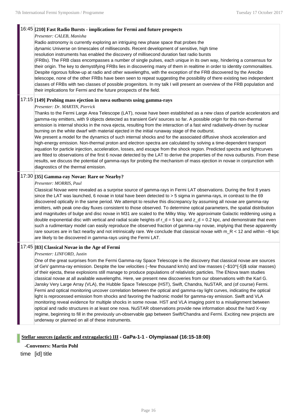#### 16:45 **[210] Fast Radio Bursts - implications for Fermi and future prospects**

#### *Presenter: CALEB, Manisha*

Radio astronomy is currently exploring an intriguing new phase space that probes the dynamic Universe on timescales of milliseconds. Recent development of sensitive, high time resolution instruments has enabled the discovery of millisecond duration fast radio bursts (FRBs). The FRB class encompasses a number of single pulses, each unique in its own way, hindering a consensus for their origin. The key to demystifying FRBs lies in discovering many of them in realtime in order to identity commonalities. Despite rigorous follow-up at radio and other wavelengths, with the exception of the FRB discovered by the Arecibo telescope, none of the other FRBs have been seen to repeat suggesting the possibility of there existing two independent classes of FRBs with two classes of possible progenitors. In my talk I will present an overview of the FRB population and their implications for Fermi and the future prospects of the field.

## 17:15 **[149] Probing mass ejection in nova outbursts using gamma-rays**

#### *Presenter: Dr. MARTIN, Pierrick*

Thanks to the Fermi Large Area Telescope (LAT), novae have been established as a new class of particle accelerators and gamma-ray emitters, with 9 objects detected as transient GeV sources so far. A possible origin for this non-thermal emission is internal shocks in the nova ejecta, resulting from the interaction of a fast wind radiatively-driven by nuclear burning on the white dwarf with material ejected in the initial runaway stage of the outburst.

We present a model for the dynamics of such internal shocks and for the associated diffusive shock acceleration and high-energy emission. Non-thermal proton and electron spectra are calculated by solving a time-dependent transport equation for particle injection, acceleration, losses, and escape from the shock region. Predicted spectra and lightcurves are fitted to observations of the first 6 novae detected by the LAT to derive the properties of the nova outbursts. From these results, we discuss the potential of gamma-rays for probing the mechanism of mass ejection in novae in conjunction with diagnostics of the thermal emission.

## 17:30 **[35] Gamma-ray Novae: Rare or Nearby?**

#### *Presenter: MORRIS, Paul*

Classical Novae were revealed as a surprise source of gamma-rays in Fermi LAT observations. During the first 8 years since the LAT was launched, 6 novae in total have been detected to > 5 sigma in gamma-rays, in contrast to the 69 discovered optically in the same period. We attempt to resolve this discrepancy by assuming all novae are gamma-ray emitters, with peak one-day fluxes consistent to those observed. To determine optical parameters, the spatial distribution and magnitudes of bulge and disc novae in M31 are scaled to the Milky Way. We approximate Galactic reddening using a double exponential disc with vertical and radial scale heights of  $r_d = 5$  kpc and  $z_d = 0.2$  kpc, and demonstrate that even such a rudimentary model can easily reproduce the observed fraction of gamma-ray novae, implying that these apparently rare sources are in fact nearby and not intrinsically rare. We conclude that classical novae with  $m_R < 12$  and within  $\sim$ 8 kpc are likely to be discovered in gamma-rays using the Fermi LAT.

## 17:45 **[83] Classical Novae in the Age of Fermi**

#### *Presenter: LINFORD, Justin*

One of the great surprises from the Fermi Gamma-ray Space Telescope is the discovery that classical novae are sources of GeV gamma-ray emission. Despite the low velocities (~few thousand km/s) and low masses (~\$10^{-5}\$ solar masses) of their ejecta, these explosions still manage to produce populations of relativistic particles. The ENova team studies classical novae at all available wavelengths. Here, we present new discoveries from our observations with the Karl G. Jansky Very Large Array (VLA), the Hubble Space Telescope (HST), Swift, Chandra, NuSTAR, and (of course) Fermi. Fermi and optical monitoring uncover correlation between the optical and gamma-ray light curves, indicating the optical light is reprocessed emission from shocks and favoring the hadronic model for gamma-ray emission. Swift and VLA monitoring reveal evidence for multiple shocks in some novae. HST and VLA imaging point to a misalignment between optical and radio structures in at least one nova. NuSTAR observations provide new information about the hard X-ray regime, beginning to fill in the previously un-observable gap between Swift/Chandra and Fermi. Exciting new projects are underway or planned on all of these instruments.

## **Stellar sources (galactic and extragalactic) III - GaPa-1-1 - Olympiasaal (16:15-18:00)**

**-Conveners: Martin Pohl**

time [id] title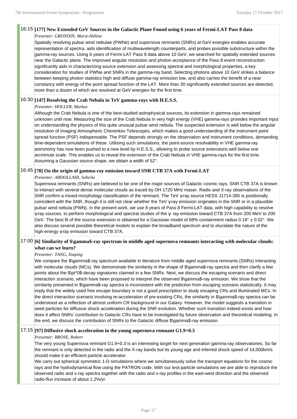## 16:15 **[177] New Extended GeV Sources in the Galactic Plane Found using 6 years of Fermi-LAT Pass 8 data**

#### *Presenter: GRONDIN, Marie-Hélène*

Spatially resolving pulsar wind nebulae (PWNe) and supernova remnants (SNRs) at GeV energies enables accurate representation of spectra, aids identification of multiwavelength counterparts, and probes possible substructure within the gamma-ray sources. Using 6 years of Fermi-LAT Pass 8 data above 10 GeV, we searched for spatially extended sources near the Galactic plane. The improved angular resolution and photon acceptance of the Pass 8 event reconstruction significantly aids in characterizing source extension and assessing spectral and morphological properties, a key consideration for studies of PWNe and SNRs in the gamma-ray band. Selecting photons above 10 GeV strikes a balance between keeping photon statistics high and diffuse gamma-ray emission low, and also carries the benefit of a near constancy with energy of the point spread function of the LAT. More than 30 significantly extended sources are detected, more than a dozen of which are resolved at GeV energies for the first time.

## 16:30 **[147] Resolving the Crab Nebula in TeV gamma-rays with H.E.S.S.**

#### *Presenter: HOLLER, Markus*

Although the Crab Nebula is one of the best-studied astrophysical sources, its extension in gamma-rays remained unknown until now. Measuring the size of the Crab Nebula in very high energy (VHE) gamma-rays provides important input on understanding the physics of this quite unusual pulsar wind nebula. The suspected extension is well below the angular resolution of Imaging Atmospheric Cherenkov Telescopes, which makes a good understanding of the instrument point spread function (PSF) indispensable. The PSF depends strongly on the observation and instrument conditions, demanding time-dependent simulations of these. Utilising such simulations, the point-source resolvability in VHE gamma-ray astronomy has now been pushed to a new level by H.E.S.S., allowing to probe source extensions well below one arcminute scale. This enables us to reveal the extension of the Crab Nebula in VHE gamma-rays for the first time. Assuming a Gaussian source shape, we obtain a width of 52''.

## 16:45 **[78] On the origin of gamma-ray emission toward SNR CTB 37A with Fermi-LAT**

#### *Presenter: ABDOLLAHI, Soheila*

Supernova remnants (SNRs) are believed to be one of the major sources of Galactic cosmic rays. SNR CTB 37A is known to interact with several dense molecular clouds as traced by OH 1720 MHz maser. Radio and X-ray observations of the SNR confirm a mixed-morphology classification of the remnant. The TeV γ-ray source HESS J1714-385 is positionally coincident with the SNR, though it is still not clear whether the TeV γ-ray emission originates in the SNR or in a plausible pulsar wind nebula (PWN). In the present work, we use 8 years of Pass 8 Fermi-LAT data, with high capability to resolve γ-ray sources, to perform morphological and spectral studies of the γ- ray emission toward CTB 37A from 200 MeV to 200 GeV. The best fit of the source extension is obtained for a Gaussian model of 68% containment radius  $0.18^{\circ} \pm 0.02^{\circ}$ . We also discuss several possible theoretical models to explain the broadband spectrum and to elucidate the nature of the high-energy γ-ray emission toward CTB 37A.

## 17:00 **[6] Similarity of \$\gamma\$-ray spectrum in middle aged supernova remnants interacting with molecular clouds: what can we learn?**

#### *Presenter: TANG, Xiaping*

We compare the \$\gamma\$-ray spectrum available in literature from middle aged supernova remnants (SNRs) interacting with molecular clouds (MCs). We demonstrate the similarity in the shape of \$\gamma\$-ray spectra and then clarify a few points about the \$\pi^0\$-decay signatures claimed in a few SNRs. Next, we discuss the escaping scenario and direct interaction scenario, which have been proposed to interpret the observed \$\gamma\$-ray emission. We show that the similarity presented in \$\gamma\$-ray spectra is inconsistent with the prediction from escaping scenario statistically. It may imply that the widely used free escape boundary is not a good prescription to study escaping CRs and illuminated MCs. In the direct interaction scenario involving re-acceleration of pre-existing CRs, the similarity in \$\gamma\$-ray spectra can be understood as a reflection of almost uniform CR background in our Galaxy. However, the model suggests a transition in seed particles for diffusive shock acceleration during the SNR evolution. Whether such transition indeed exists and how does it affect SNRs' contribution to Galactic CRs have to be investigated by future observation and theoretical modeling. In the end, we discuss the contribution of SNRs to the Galactic diffuse \$\gamma\$-ray emission.

## 17:15 **[97] Diffusive shock acceleration in the young supernova remnant G1.9+0.3**

#### *Presenter: BROSE, Robert*

The very young Supernova remnant G1.9+0.3 is an interesting target for next generation gamma-ray observatories. So far the remnant is only detected in the radio and the X-ray bands but its young age and inferred shock speed of 14,000km/s should make it an efficient particle accelerator.

We carry out spherical symmetric 1-D simulations where we simultaneously solve the transport equations for the cosmic rays and the hydrodynamical flow using the PATRON code. With our test-particle simulations we are able to reproduce the observed radio and x-ray spectra together with the radio and x-ray profiles in the east-west direction and the observed radio-flux increase of about 1.2%/yr.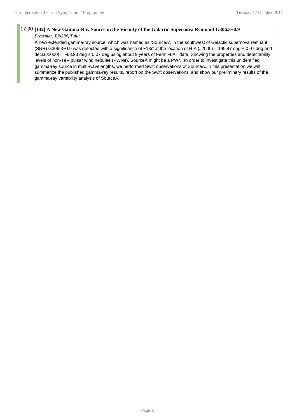## 17:30 **[142] A New Gamma-Ray Source in the Vicinity of the Galactic Supernova Remnant G306.3−0.9**

#### *Presenter: ERGIN, Tulun*

A new extended gamma-ray source, which was named as 'SourceA', in the southwest of Galactic supernova remnant (SNR) G306.3–0.9 was detected with a significance of ~13 $\sigma$  at the location of R.A.(J2000) = 199.47 deg  $\pm$  0.07 deg and decl.(J2000) = −63.93 deg ± 0.07 deg using about 9 years of Fermi−LAT data. Showing the properties and detectability levels of non-TeV pulsar wind nebulae (PWNe), SourceA might be a PWN. In order to investigate this unidentified gamma-ray source in multi-wavelengths, we performed Swift observations of SourceA. In this presentation we will summarize the published gamma-ray results, report on the Swift observations, and show our preliminary results of the gamma-ray variability analysis of SourceA.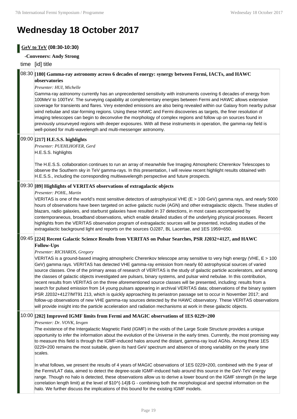## **Wednesday 18 October 2017**

## **GeV to TeV (08:30-10:30)**

#### **-Conveners: Andy Strong**

## time [id] title

#### 08:30 **[180] Gamma-ray astronomy across 6 decades of energy: synergy between Fermi, IACTs, and HAWC observatories**

#### *Presenter: HUI, Michelle*

Gamma-ray astronomy currently has an unprecedented sensitivity with instruments covering 6 decades of energy from 100MeV to 100TeV. The surveying capability at complementary energies between Fermi and HAWC allows extensive coverage for transients and flares. Very extended emissions are also being revealed within our Galaxy from nearby pulsar wind nebulae and star-forming regions. Using these HAWC and Fermi discoveries as targets, the finer resolution of imaging telescopes can begin to deconvolve the morphology of complex regions and follow up on sources found in previously unsurveyed regions with deeper exposures. With all these instruments in operation, the gamma-ray field is well-poised for multi-wavelength and multi-messenger astronomy.

#### 09:00 **[217] H.E.S.S. highlights**

*Presenter: PUEHLHOFER, Gerd* H.E.S.S. highlights

The H.E.S.S. collaboration continues to run an array of meanwhile five Imaging Atmospheric Cherenkov Telescopes to observe the Southern sky in TeV gamma-rays. In this presentation, I will review recent highlight results obtained with H.E.S.S., including the corresponding multiwavelength perspective and future prospects.

### 09:30 **[89] Highlights of VERITAS observations of extragalactic objects**

#### *Presenter: POHL, Martin*

VERITAS is one of the world's most sensitive detectors of astrophysical VHE (E > 100 GeV) gamma rays, and nearly 5000 hours of observations have been targeted on active galactic nuclei (AGN) and other extragalactic objects. These studies of blazars, radio galaxies, and starburst galaxies have resulted in 37 detections, in most cases accompanied by contemporaneous, broadband observations, which enable detailed studies of the underlying physical processes. Recent highlights from the VERITAS observation program of extragalactic sources will be presented, including studies of the extragalactic background light and reports on the sources OJ287, BL Lacertae, and 1ES 1959+650.

#### 09:45 **[224] Recent Galactic Science Results from VERITAS on Pulsar Searches, PSR J2032+4127, and HAWC Follow-Ups**

#### *Presenter: RICHARDS, Gregory*

VERITAS is a ground-based imaging atmospheric Cherenkov telescope array sensitive to very high energy (VHE, E > 100 GeV) gamma rays. VERITAS has detected VHE gamma-ray emission from nearly 60 astrophysical sources of varied source classes. One of the primary areas of research of VERITAS is the study of galactic particle accelerators, and among the classes of galactic objects investigated are pulsars, binary systems, and pulsar wind nebulae. In this contribution, recent results from VERITAS on the three aforementioned source classes will be presented, including: results from a search for pulsed emission from 14 young pulsars appearing in archival VERITAS data; observations of the binary system PSR J2032+4127/MT91 213, which is quickly approaching its periastron passage set to occur in November 2017; and follow-up observations of new VHE gamma-ray sources detected by the HAWC observatory. These VERITAS observations will provide insight into the particle acceleration and radiation mechanisms at work in these galactic objects.

## 10:00 **[202] Improved IGMF limits from Fermi and MAGIC observations of 1ES 0229+200**

#### *Presenter: Dr. VOVK, Ievgen*

The existence of the Intergalactic Magnetic Field (IGMF) in the voids of the Large Scale Structure provides a unique opportunity to infer the information about the evolution of the Universe in the early times. Currently, the most promising way to measure this field is through the IGMF-induced halos around the distant, gamma-ray loud AGNs. Among these 1ES 0229+200 remains the most suitable, given its hard GeV spectrum and absence of strong variability on the yearly time scales.

In what follows, we present the results of 4 years of MAGIC observations of 1ES 0229+200, combined with the 9 year of the Fermi/LAT data, aimed to detect the degree-scale IGMF-induced halo around this source in the GeV-TeV energy range. Though no halo is detected, these observations allow us to derive a lower bound on the IGMF strength (in the large correlation length limit) at the level of \$10^{-14}\$ G - combining both the morphological and spectral information on the halo. We further discuss the implications of this bound for the existing IGMF models.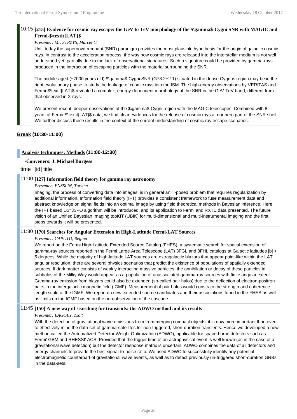#### 10:15 **[215] Evidence for cosmic ray escape: the GeV to TeV morphology of the \$\gamma\$-Cygni SNR with MAGIC and Fermi-\$\textit{LAT}\$**

#### *Presenter: Mr. STRZYS, Marcel C.*

Until today the supernova remnant (SNR) paradigm provides the most plausible hypothesis for the origin of galactic cosmic rays. In contrast to the acceleration process, the way how cosmic rays are released into the interstellar medium is not well understood yet, partially due to the lack of observational signatures. Such a signature could be provided by gamma-rays produced in the interaction of escaping particles with the material surrounding the SNR.

The middle-aged (~7000 years old) \$\gamma\$-Cygni SNR (G78.2+2.1) situated in the dense Cygnus region may be in the right evolutionary phase to study the leakage of cosmic rays into the ISM. The high-energy observations by VERITAS and Fermi-\$\textit{LAT}\$ revealed a complex, energy-dependent morphology of the SNR in the GeV-TeV band, different from that observed in X-rays.

We present recent, deeper observations of the \$\gamma\$-Cygni region with the MAGIC telescopes. Combined with 8 years of Fermi-\$\textit{LAT}\$ data, we find clear evidences for the release of cosmic rays at northern part of the SNR shell. We further discuss these results in the context of the current understanding of cosmic ray escape scenarios.

## **Break (10:30-11:00)**

## **Analysis techniques: Methods (11:00-12:30)**

#### **-Conveners: J. Michael Burgess**

time [id] title

## 11:00 **[127] Information field theory for gamma ray astronomy**

#### *Presenter: ENSSLIN, Torsten*

Imaging, the process of converting data into images, is in general an ill-posed problem that requires regularization by additional information. Information field theory (IFT) provides a consistent framework to fuse measurement data and abstract knowledge on signal fields into an optimal image by using field theoretical methods in Bayesian inference. Here, the IFT based D\$^3\$PO algorithm will be introduced, and its application to Fermi and RXTE data presented. The future vision of an Unified Bayesian Imaging tooKIT (UBIK) for multi-dimensional and multi-instrumental imaging and the first steps towards it will be presented.

#### 11:30 **[170] Searches for Angular Extension in High-Latitude Fermi-LAT Sources**

#### *Presenter: CAPUTO, Regina*

We report on the Fermi High-Latitude Extended Source Catalog (FHES), a systematic search for spatial extension of gamma-ray sources reported in the Fermi Large Area Telescope (LAT) 3FGL and 3FHL catalogs at Galactic latitudes |b| > 5 degrees. While the majority of high-latitude LAT sources are extragalactic blazars that appear point-like within the LAT angular resolution, there are several physics scenarios that predict the existence of populations of spatially extended sources. If dark matter consists of weakly interacting massive particles, the annihilation or decay of these particles in subhalos of the Milky Way would appear as a population of unassociated gamma-ray sources with finite angular extent. Gamma-ray emission from blazars could also be extended (so-called pair halos) due to the deflection of electron-positron pairs in the intergalactic magnetic field (IGMF). Measurement of pair halos would constrain the strength and coherence length scale of the IGMF. We report on new extended source candidates and their associations found in the FHES as well as limits on the IGMF based on the non-observation of the cascade.

## 11:45 **[150] A new way of searching for transients: the ADWO method and its results**

#### *Presenter: BAGOLY, Zsolt*

With the detection of gravitational wave emissions from from merging compact objects, it is now more important than ever to effectively mine the data-set of gamma-satellites for non-triggered, short-duration transients. Hence we developed a new method called the Automatized Detector Weight Optimization (ADWO), applicable for space-borne detectors such as Fermi' GBM and RHESSI' ACS. Provided that the trigger time of an astrophysical event is well known (as in the case of a gravitational wave detection) but the detector response matrix is uncertain, ADWO combines the data of all detectors and energy channels to provide the best signal-to-noise ratio. We used ADWO to successfully identify any potential electromagnetic counterpart of gravitational wave events, as well as to detect previously un-triggered short-duration GRBs in the data-sets.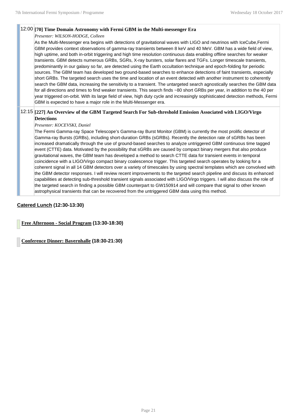#### 12:00 **[70] Time Domain Astronomy with Fermi GBM in the Multi-messenger Era**

*Presenter: WILSON-HODGE, Colleen*

As the Multi-Messenger era begins with detections of gravitational waves with LIGO and neutrinos with IceCube,Fermi GBM provides context observations of gamma-ray transients between 8 keV and 40 MeV. GBM has a wide field of view, high uptime, and both in-orbit triggering and high time resolution continuous data enabling offline searches for weaker transients. GBM detects numerous GRBs, SGRs, X-ray bursters, solar flares and TGFs. Longer timescale transients, predominantly in our galaxy so far, are detected using the Earth occultation technique and epoch-folding for periodic sources. The GBM team has developed two ground-based searches to enhance detections of faint transients, especially short GRBs. The targeted search uses the time and location of an event detected with another instrument to coherently search the GBM data, increasing the sensitivity to a transient. The untargeted search agnostically searches the GBM data for all directions and times to find weaker transients. This search finds ~80 short GRBs per year, in addition to the 40 per year triggered on-orbit. With its large field of view, high duty cycle and increasingly sophisticated detection methods, Fermi GBM is expected to have a major role in the Multi-Messenger era.

## 12:15 **[227] An Overview of the GBM Targeted Search For Sub-threshold Emission Associated with LIGO/Virgo Detections**

#### *Presenter: KOCEVSKI, Daniel*

The Fermi Gamma-ray Space Telescope's Gamma-ray Burst Monitor (GBM) is currently the most prolific detector of Gamma-ray Bursts (GRBs), including short-duration GRBs (sGRBs). Recently the detection rate of sGRBs has been increased dramatically through the use of ground-based searches to analyze untriggered GBM continuous time tagged event (CTTE) data. Motivated by the possibility that sGRBs are caused by compact binary mergers that also produce gravitational waves, the GBM team has developed a method to search CTTE data for transient events in temporal coincidence with a LIGO/Virgo compact binary coalescence trigger. This targeted search operates by looking for a coherent signal in all 14 GBM detectors over a variety of timescales by using spectral templates which are convolved with the GBM detector responses. I will review recent improvements to the targeted search pipeline and discuss its enhanced capabilities at detecting sub-threshold transient signals associated with LIGO/Virgo triggers. I will also discuss the role of the targeted search in finding a possible GBM counterpart to GW150914 and will compare that signal to other known astrophysical transients that can be recovered from the untriggered GBM data using this method.

## **Catered Lunch (12:30-13:30)**

**Free Afternoon - Social Program (13:30-18:30)**

**Conference Dinner: Bayernhalle (18:30-21:30)**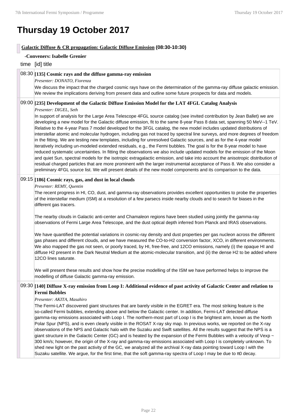## **Thursday 19 October 2017**

## **Galactic Diffuse & CR propagation: Galactic Diffuse Emission (08:30-10:30)**

| -Conveners: Isabelle Grenier                                                                                                                                                                                                                                                                                                                                                                                                                                                                                                                                                                                                                                                                                                                                                                                                                                                                                                                                                                                                                                                                                                                                                                                                                                                                                                                                                                               |
|------------------------------------------------------------------------------------------------------------------------------------------------------------------------------------------------------------------------------------------------------------------------------------------------------------------------------------------------------------------------------------------------------------------------------------------------------------------------------------------------------------------------------------------------------------------------------------------------------------------------------------------------------------------------------------------------------------------------------------------------------------------------------------------------------------------------------------------------------------------------------------------------------------------------------------------------------------------------------------------------------------------------------------------------------------------------------------------------------------------------------------------------------------------------------------------------------------------------------------------------------------------------------------------------------------------------------------------------------------------------------------------------------------|
| time [id] title                                                                                                                                                                                                                                                                                                                                                                                                                                                                                                                                                                                                                                                                                                                                                                                                                                                                                                                                                                                                                                                                                                                                                                                                                                                                                                                                                                                            |
| 08:30 [135] Cosmic rays and the diffuse gamma-ray emission<br>Presenter: DONATO, Fiorenza<br>We discuss the impact that the charged cosmic rays have on the determination of the gamma-ray diffuse galactic emission.<br>We review the implications deriving from present data and outline some future prospects for data and models.                                                                                                                                                                                                                                                                                                                                                                                                                                                                                                                                                                                                                                                                                                                                                                                                                                                                                                                                                                                                                                                                      |
| 09:00 [235] Development of the Galactic Diffuse Emission Model for the LAT 4FGL Catalog Analysis<br>Presenter: DIGEL, Seth<br>In support of analysis for the Large Area Telescope 4FGL source catalog (see invited contribution by Jean Ballet) we are<br>developing a new model for the Galactic diffuse emission, fit to the same 8-year Pass 8 data set, spanning 50 MeV--1 TeV.<br>Relative to the 4-year Pass 7 model developed for the 3FGL catalog, the new model includes updated distributions of<br>interstellar atomic and molecular hydrogen, including gas not traced by spectral line surveys, and more degrees of freedom<br>in the fitting. We are testing new templates, including for unresolved Galactic sources, and as for the 4-year model<br>iteratively including un-modeled extended residuals, e.g., the Fermi bubbles. The goal is for the 8-year model to have<br>reduced systematic uncertainties. In fitting the observations we also include updated models for the emission of the Moon<br>and quiet Sun, spectral models for the isotropic extragalactic emission, and take into account the anisotropic distribution of<br>residual charged particles that are more prominent with the larger instrumental acceptance of Pass 8. We also consider a<br>preliminary 4FGL source list. We will present details of the new model components and its comparison to the data. |
| 09:15 [186] Cosmic rays, gas, and dust in local clouds<br>Presenter: REMY, Quentin<br>The recent progress in HI, CO, dust, and gamma-ray observations provides excellent opportunities to probe the properties<br>of the interstellar medium (ISM) at a resolution of a few parsecs inside nearby clouds and to search for biases in the<br>different gas tracers.<br>The nearby clouds in Galactic anti-center and Chamaleon regions have been studied using jointly the gamma-ray<br>observations of Fermi Large Area Telescope, and the dust optical depth inferred from Planck and IRAS observations.<br>We have quantified the potential variations in cosmic-ray density and dust properties per gas nucleon across the different<br>gas phases and different clouds, and we have measured the CO-to-H2 conversion factor, XCO, in different environments.<br>We also mapped the gas not seen, or poorly traced, by HI, free-free, and 12CO emissions, namely (i) the opaque HI and<br>diffuse H2 present in the Dark Neutral Medium at the atomic-molecular transition, and (ii) the dense H2 to be added where<br>12CO lines saturate.<br>We will present these results and show how the precise modelling of the ISM we have performed helps to improve the<br>modelling of diffuse Galactic gamma-ray emission.                                                                                  |
| 09:30 [140] Diffuse X-ray emission from Loop I: Additional evidence of past activity of Galactic Center and relation to<br><b>Fermi Bubbles</b><br>Presenter: AKITA, Masahiro<br>The Fermi-LAT discovered giant structures that are barely visible in the EGRET era. The most striking feature is the<br>so-called Fermi bubbles, extending above and below the Galactic center. In addition, Fermi-LAT detected diffuse<br>gamma-ray emissions associated with Loop I. The northern-most part of Loop I is the brightest arm, known as the North<br>Polar Spur (NPS), and is even clearly visible in the ROSAT X-ray sky map. In previous works, we reported on the X-ray<br>observations of the NPS and Galactic halo with the Suzaku and Swift satellites. All the results suggest that the NPS is a<br>giant structure in the Galactic Center (GC) and is heated by the expansion of the Fermi Bubbles with a velocity of Vexp ~<br>300 km/s; however, the origin of the X-ray and gamma-ray emissions associated with Loop I is completely unknown. To<br>shed new light on the past activity of the GC, we analyzed all the archival X-ray data pointing toward Loop I with the<br>Suzaku satellite. We argue, for the first time, that the soft gamma-ray spectra of Loop I may be due to $\pi 0$ decay.                                                                                            |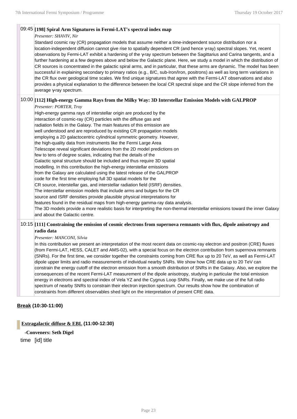### 09:45 **[198] Spiral Arm Signatures in Fermi-LAT's spectral index map**

*Presenter: SHAVIV, Nir*

Standard cosmic ray (CR) propagation models that assume neither a time-independent source distribution nor a location-independent diffusion cannot give rise to spatially dependent CR (and hence γ-ray) spectral slopes. Yet, recent observations by Fermi-LAT exhibit a hardening of the γ-ray spectrum between the Sagittarius and Carina tangents, and a further hardening at a few degrees above and below the Galactic plane. Here, we study a model in which the distribution of CR sources is concentrated in the galactic spiral arms, and in particular, that these arms are dynamic. The model has been successful in explaining secondary to primary ratios (e.g., B/C, sub-Iron/Iron, positrons) as well as long term variations in the CR flux over geological time scales. We find unique signatures that agree with the Fermi-LAT observations and also provides a physical explanation to the difference between the local CR spectral slope and the CR slope inferred from the average γ-ray spectrum.

## 10:00 **[112] High-energy Gamma Rays from the Milky Way: 3D Interstellar Emission Models with GALPROP**

*Presenter: PORTER, Troy*

High-energy gamma rays of interstellar origin are produced by the interaction of cosmic-ray (CR) particles with the diffuse gas and radiation fields in the Galaxy. The main features of this emission are well understood and are reproduced by existing CR propagation models employing a 2D galactocentric cylindrical symmetric geometry. However, the high-quality data from instruments like the Fermi Large Area Telescope reveal significant deviations from the 2D model predictions on few to tens of degree scales, indicating that the details of the Galactic spiral structure should be included and thus require 3D spatial modelling. In this contribution the high-energy interstellar emissions from the Galaxy are calculated using the latest release of the GALPROP code for the first time employing full 3D spatial models for the CR source, interstellar gas, and interstellar radiation field (ISRF) densities. The interstellar emission models that include arms and bulges for the CR source and ISRF densities provide plausible physical interpretations for features found in the residual maps from high-energy gamma-ray data analysis. The 3D models provide a more realistic basis for interpreting the non-thermal interstellar emissions toward the inner Galaxy and about the Galactic centre.

## 10:15 **[111] Constraining the emission of cosmic electrons from supernova remnants with flux, dipole anisotropy and radio data**

#### *Presenter: MANCONI, Silvia*

In this contribution we present an interpretation of the most recent data on cosmic-ray electron and positron (CRE) fluxes (from Fermi-LAT, HESS, CALET and AMS-02), with a special focus on the electron contribution from supernova remnants (SNRs). For the first time, we consider together the constraints coming from CRE flux up to 20 TeV, as well as Fermi-LAT dipole upper limits and radio measurements of individual nearby SNRs. We show how CRE data up to 20 TeV can constrain the energy cutoff of the electron emission from a smooth distribution of SNRs in the Galaxy. Also, we explore the consequences of the recent Fermi-LAT measurement of the dipole anisotropy, studying in particular the total emission energy in electrons and spectral index of Vela YZ and the Cygnus Loop SNRs. Finally, we make use of the full radio spectrum of nearby SNRs to constrain their electron injection spectrum. Our results show how the combination of constraints from different observables shed light on the interpretation of present CRE data.

## **Break (10:30-11:00)**

**Extragalactic diffuse & EBL (11:00-12:30)**

**-Conveners: Seth Digel**

time [id] title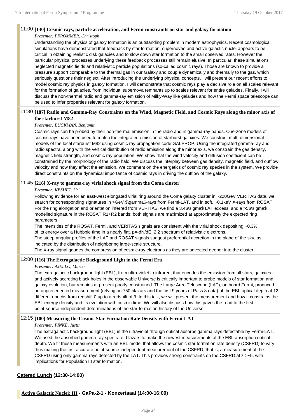## 11:00 **[130] Cosmic rays, particle acceleration, and Fermi constraints on star and galaxy formation**

#### *Presenter: PFROMMER, Christoph*

Understanding the physics of galaxy formation is an outstanding problem in modern astrophysics. Recent cosmological simulations have demonstrated that feedback by star formation, supernovae and active galactic nuclei appears to be critical in obtaining realistic disk galaxies and to slow down star formation to the small observed rates. However the particular physical processes underlying these feedback processes still remain elusive. In particular, these simulations neglected magnetic fields and relativistic particle populations (so-called cosmic rays). Those are known to provide a pressure support comparable to the thermal gas in our Galaxy and couple dynamically and thermally to the gas, which seriously questions their neglect. After introducing the underlying physical concepts, I will present our recent efforts to model cosmic ray physics in galaxy formation. I will demonstrate that cosmic rays play a decisive role on all scales relevant for the formation of galaxies, from individual supernova remnants up to scales relevant for entire galaxies. Finally, I will discuss the non-thermal radio and gamma-ray emission of Milky-Way like galaxies and how the Fermi space telescope can be used to infer properties relevant for galaxy formation.

## 11:30 **[187] Radio and Gamma-Ray Constraints on the Wind, Magnetic Field, and Cosmic Rays along the minor axis of the starburst M82**

#### *Presenter: BUCKMAN, Benjamin*

Cosmic rays can be probed by their non-thermal emission in the radio and in gamma-ray bands. One-zone models of cosmic rays have been used to match the integrated emission of starburst galaxies. We construct multi-dimensional models of the local starburst M82 using cosmic ray propagation code GALPROP. Using the integrated gamma-ray and radio spectra, along with the vertical distribution of radio emission along the minor axis, we constrain the gas density, magnetic field strength, and cosmic ray population. We show that the wind velocity and diffusion coefficient can be constrained by the morphology of the radio halo. We discuss the interplay between gas density, magnetic field, and outflow velocity and how they effect the emission. We comment on the energetics of cosmic ray species in the system. We provide direct constraints on the dynamical importance of cosmic rays in driving the outflow of the galaxy.

#### 11:45 **[216] X-ray to gamma-ray virial shock signal from the Coma cluster**

#### *Presenter: KESHET, Uri*

Following evidence for an east-west elongated virial ring around the Coma galaxy cluster in ~220GeV VERITAS data, we search for corresponding signatures in >GeV \$\gamma\$-rays from Fermi-LAT, and in soft, ~0.1keV X-rays from ROSAT. For the ring elongation and orientation inferred from VERITAS, we find a 3.4\$\sigma\$ LAT excess, and a >5\$\sigma\$ modelled signature in the ROSAT R1+R2 bands; both signals are maximized at approximately the expected ring parameters.

The intensities of the ROSAT, Fermi, and VERITAS signals are consistent with the virial shock depositing ~0.3% of its energy over a Hubbble time in a nearly flat,  $p=-dN/dE-2.2$  spectrum of relativistic electrons.

The steep angular profiles of the LAT and ROSAT signals suggest preferential accretion in the plane of the sky, as indicated by the distribution of neighboring large-scale structure.

The X-ray signal gauges the compression of cosmic-ray electrons as they are advected deeper into the cluster.

#### 12:00 **[116] The Extragalactic Background Light in the Fermi Era**

#### *Presenter: AJELLO, Marco*

The extragalactic background light (EBL), from ultra-violet to infrared, that encodes the emission from all stars, galaxies and actively accreting black holes in the observable Universe is critically important to probe models of star formation and galaxy evolution, but remains at present poorly constrained. The Large Area Telescope (LAT), on board Fermi, produced an unprecedented measurement (relying on 750 blazars and the first 9 years of Pass 8 data) of the EBL optical depth at 12 different epochs from redshift 0 up to a redshift of 3. In this talk, we will present the measurement and how it constrains the EBL energy density and its evolution with cosmic time. We will also discuss how this paves the road to the first point-source-independent determinations of the star-formation history of the Universe.

#### 12:15 **[100] Measuring the Cosmic Star Formation Rate Density with Fermi-LAT**

#### *Presenter: FINKE, Justin*

The extragalactic background light (EBL) in the ultraviolet through optical absorbs gamma rays detectable by Fermi-LAT. We used the absorbed gamma-ray spectra of blazars to make the newest measurements of the EBL absorption optical depth. We fit these measurements with an EBL model that allows the cosmic star formation rate density (CSFRD) to vary, thus making the first accurate point-source-independent measurement of the CSFRD; that is, a measurement of the CSFRD using only gamma rays detected by the LAT. This provides strong constraints on the CSFRD at z >~5, with implications for Population III star formation.

#### **Catered Lunch (12:30-14:00)**

**Active Galactic Nuclei: III - GaPa-2-1 - Konzertsaal (14:00-16:00)**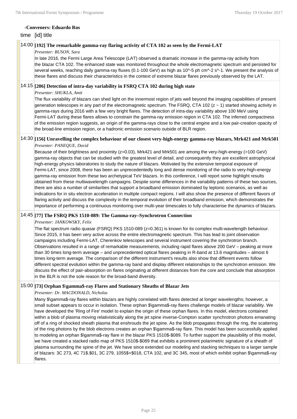#### **-Conveners: Eduardo Ros**

#### time [id] title

#### 14:00 **[192] The remarkable gamma-ray flaring activity of CTA 102 as seen by the Fermi-LAT**

#### *Presenter: BUSON, Sara*

In late 2016, the Fermi Large Area Telescope (LAT) observed a dramatic increase in the gamma-ray activity from the blazar CTA 102. The enhanced state was monitored throughout the whole electromagnetic spectrum and persisted for several weeks, reaching daily gamma-ray fluxes (0.1-100 GeV) as high as 10^-5 ph cm^-2 s^-1. We present the analysis of these flares and discuss their characteristics in the context of extreme blazar flares previously observed by the LAT.

#### 14:15 **[206] Detection of intra-day variability in FSRQ CTA 102 during high state**

#### *Presenter: SHUKLA, Amit*

The flux variability of blazars can shed light on the innermost region of jets well beyond the imaging capabilities of present generation telescopes in any part of the electromagnetic spectrum. The FSRQ, CTA 102 ( $z \sim 1$ ) started showing activity in gamma-rays during 2016 with a few very bright flares. The detection of intra-day variability above 100 MeV using Fermi-LAT during these flares allows to constrain the gamma-ray emission region in CTA 102. The inferred compactness of the emission region suggests, an origin of the gamma-rays close to the central engine and a low pair-creation opacity of the broad-line emission region, or a hadronic emission scenario outside of BLR region.

#### 14:30 **[156] Unravelling the complex behaviour of our closest very-high-energy gamma-ray blazars, Mrk421 and Mrk501** *Presenter: PANEQUE, David*

Because of their brightness and proximity (z=0.03), Mrk421 and Mrk501 are among the very-high-energy (>100 GeV) gamma-ray objects that can be studied with the greatest level of detail, and consequently they are excellent astrophysical high-energy physics laboratories to study the nature of blazars. Motivated by the extensive temporal exposure of Fermi-LAT, since 2008, there has been an unprecedentedly long and dense monitoring of the radio to very-high-energy gamma-ray emission from these two archetypical TeV blazars. In this conference, I will report some highlight results obtained from these multiwavelength campaigns. Despite some differences in the variability patterns of these two sources, there are also a number of similarities that support a broadband emission dominated by leptonic scenarios, as well as indications for in situ electron acceleration in multiple compact regions. I will also show the presence of different flavors of flaring activity and discuss the complexity in the temporal evolution of their broadband emission, which demonstrates the importance of performing a continuous monitoring over multi-year timescales to fully characterise the dynamics of blazars.

#### 14:45 **[77] The FSRQ PKS 1510-089: The Gamma-ray–Synchrotron Connection**

#### *Presenter: JANKOWSKY, Felix*

The flat spectrum radio quasar (FSRQ) PKS 1510-089 (z=0.361) is known for its complex multi-wavelength behaviour. Since 2015, it has been very active across the entire electromagnetic spectrum. This has lead to joint observation campaigns including Fermi-LAT, Cherenkov telescopes and several instrument covering the synchrotron branch. Observations resulted in a range of remarkable measurements, including rapid flares above 200 GeV – peaking at more than 30 times long-term average – and unprecedented optical flares peaking in R-band at 13.6 magnitudes – almost 6 times long-term average. The comparison of the different instrument's results also show that different events follow different spectral evolution within the gamma-ray band and display different relationships to the synchrotron emission. We discuss the effect of pair-absorption on flares originating at different distances from the core and conclude that absorption in the BLR is not the sole reason for the broad-band diversity.

#### 15:00 **[73] Orphan \$\gamma\$-ray Flares and Stationary Sheaths of Blazar Jets**

#### *Presenter: Dr. MACDONALD, Nicholas*

Many \$\gamma\$-ray flares within blazars are highly correlated with flares detected at longer wavelengths; however, a small subset appears to occur in isolation. These orphan \$\gamma\$-ray flares challenge models of blazar variability. We have developed the 'Ring of Fire' model to explain the origin of these orphan flares. In this model, electrons contained within a blob of plasma moving relativistically along the jet spine inverse-Compton scatter synchrotron photons emanating off of a ring of shocked sheath plasma that enshrouds the jet spine. As the blob propagates through the ring, the scattering of the ring photons by the blob electrons creates an orphan \$\gamma\$-ray flare. This model has been successfully applied to modeling an orphan \$\gamma\$-ray flare in the blazar PKS 1510\$-\$089. To further support the plausibility of this model, we have created a stacked radio map of PKS 1510\$-\$089 that exhibits a prominent polarimetric signature of a sheath of plasma surrounding the spine of the jet. We have since extended our modeling and stacking techniques to a larger sample of blazars: 3C 273, 4C 71\$.\$01, 3C 279, 1055\$+\$018, CTA 102, and 3C 345, most of which exhibit orphan \$\gamma\$-ray flares.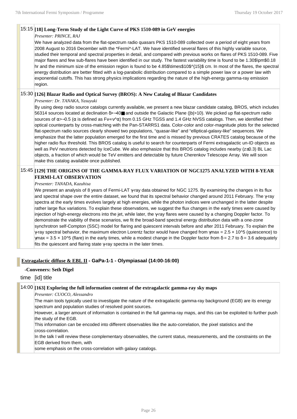### 15:15 **[18] Long-Term Study of the Light Curve of PKS 1510-089 in GeV energies**

#### *Presenter: PRINCE, RAJ*

We have analyzed data from the flat-spectrum radio quasars PKS 1510-089 collected over a period of eight years from 2008 August to 2016 December with the \*Fermi\*-LAT. We have identified several flares of this highly variable source, studied their temporal and spectral properties in detail, and compared with previous works on flares of PKS 1510-089. Five major flares and few sub-flares have been identified in our study. The fastest variability time is found to be 1.30\$\pm\$0.18 hr and the minimum size of the emission region is found to be 4.85\$\times\$10\$^{15}\$ cm. In most of the flares, the spectral energy distribution are better fitted with a log-parabolic distribution compared to a simple power law or a power law with exponential cutoffs. This has strong physics implications regarding the nature of the high-energy gamma-ray emission region.

### 15:30 **[126] Blazar Radio and Optical Survey (BROS): A New Catalog of Blazar Candidates**

*Presenter: Dr. TANAKA, Yasuyuki*

By using deep radio source catalogs currently available, we present a new blazar candidate catalog, BROS, which includes 56314 sources located at declination δ>−40■ and outside the Galactic Plane (|b|>10). We picked up flat-spectrum radio sources of α>−0.5 (α is defined as Fν∝ν^α) from 0.15 GHz TGSS and 1.4 GHz NVSS catalogs. Then, we identified their optical counterparts by cross-matching with the Pan-STARRS1 data. Color-color and color-magnitude plots for the selected flat-spectrum radio sources clearly showed two populations, "quasar-like" and "elliptical-galaxy-like" sequences. We emphasize that the latter population emerged for the first time and is missed by previous CRATES catalog because of the higher radio flux threshold. This BROS catalog is useful to search for counterparts of Fermi extragalactic un-ID objects as well as PeV neutrions detected by IceCube. We also emphasize that this BROS catalog includes nearby (z≤0.3) BL Lac objects, a fraction of which would be TeV emitters and detectable by future Cherenkov Telescope Array. We will soon make this catalog available once published.

## 15:45 **[129] THE ORIGINS OF THE GAMMA-RAY FLUX VARIATION OF NGC1275 ANALYZED WITH 8-YEAR FERMI-LAT OBSERVATION**

#### *Presenter: TANADA, Kazuhisa*

We present an analysis of 8 years of Fermi-LAT γ-ray data obtained for NGC 1275. By examining the changes in its flux and spectral shape over the entire dataset, we found that its spectral behavior changed around 2011 February. The γ-ray spectra at the early times evolves largely at high energies, while the photon indices were unchanged in the latter despite rather large flux variations. To explain these observations, we suggest the flux changes in the early times were caused by injection of high-energy electrons into the jet, while later, the γ-ray flares were caused by a changing Doppler factor. To demonstrate the viability of these scenarios, we fit the broad-band spectral energy distribution data with a one-zone synchrotron self-Compton (SSC) model for flaring and quiescent intervals before and after 2011 February. To explain the  $\gamma$ -ray spectral behavior, the maximum electron Lorentz factor would have changed from  $\gamma$ max = 2.5 x 10^5 (quiescence) to  $\gamma$ max = 3.5 x 10^5 (flare) in the early times, while a modest change in the Doppler factor from  $\delta$  = 2.7 to  $\delta$  = 3.6 adequately fits the quiescent and flaring state  $\gamma$ -ray spectra in the later times.

## **Extragalactic diffuse & EBL II - GaPa-1-1 - Olympiasaal (14:00-16:00)**

**-Conveners: Seth Digel**

time [id] title

## 14:00 **[163] Exploring the full information content of the extragalactic gamma-ray sky maps**

*Presenter: CUOCO, Alessandro*

The main tools typically used to investigate the nature of the extragalactic gamma-ray background (EGB) are its energy spectrum and population studies of resolved point sources.

However, a larger amount of information is contained in the full gamma-ray maps, and this can be exploited to further push the study of the EGB.

This information can be encoded into different observables like the auto-correlation, the pixel statistics and the cross-correlation.

In the talk I will review these complementary observables, the current status, measurements, and the constraints on the EGB derived from them, with

some emphasis on the cross-correlation with galaxy catalogs.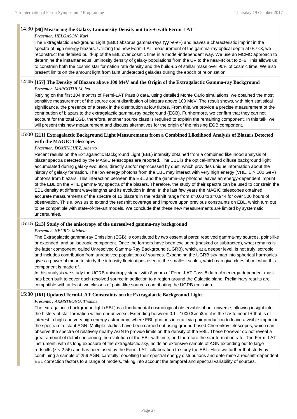#### 14:30 **[90] Measuring the Galaxy Luminosity Density out to z~6 with Fermi-LAT**

#### *Presenter: HELGASON, Kari*

The Extragalactic Background Light (EBL) absorbs gamma-rays (γγ->e-e+) and leaves a characteristic imprint in the spectra of high energy blazars. Utilizing the new Fermi-LAT measurement of the gamma-ray optical depth at 0<z<3, we reconstruct the detailed build-up of the EBL over cosmic time in a model-independent way. We use an MCMC approach to determine the instantaneous luminosity density of galaxy populations from the UV to the near-IR out to z~6. This allows us to constrain both the cosmic star formation rate density and the build-up of stellar mass over 90% of cosmic time. We also present limits on the amount light from faint undetected galaxies during the epoch of reionization.

## 14:45 **[157] The Density of Blazars above 100 MeV and the Origin of the Extragalactic Gamma-ray Background**

#### *Presenter: MARCOTULLI, lea*

Relying on the first 104 months of Fermi-LAT Pass 8 data, using detailed Monte Carlo simulations, we obtained the most sensitive measurement of the source count distribution of blazars above 100 MeV. The result shows, with high statistical significance, the presence of a break in the distribution at low fluxes. From this, we provide a precise measurement of the contribution of blazars to the extragalactic gamma-ray background (EGB). Furthermore, we confirm that they can not account for the total EGB, therefore, another source class is required to explain the remaining component. In this talk, we will present this new measurement and discuss alternatives for the origin of the missing EGB component.

#### 15:00 **[211] Extragalactic Background Light Measurements from a Combined Likelihood Analysis of Blazars Detected with the MAGIC Telescopes**

#### *Presenter: DOMINGUEZ, Alberto*

Recent results on the Extragalactic Background Light (EBL) intensity obtained from a combined likelihood analysis of blazar spectra detected by the MAGIC telescopes are reported. The EBL is the optical-infrared diffuse background light accumulated during galaxy evolution, directly and/or reprocessed by dust, which provides unique information about the history of galaxy formation. The low energy photons from the EBL may interact with very high energy (VHE, E > 100 GeV) photons from blazars. This interaction between the EBL and the gamma-ray photons leaves an energy-dependent imprint of the EBL on the VHE gamma-ray spectra of the blazars. Therefore, the study of their spectra can be used to constrain the EBL density at different wavelengths and its evolution in time. In the last few years the MAGIC telescopes obtained accurate measurements of the spectra of 12 blazars in the redshift range from z=0.03 to z=0.944 for over 300 hours of observation. This allows us to extend the redshift coverage and improve upon previous constraints on EBL, which turn out to be compatible with state-of-the-art models. We conclude that these new measurements are limited by systematic uncertainties.

#### 15:15 **[213] Study of the anisotropy of the unresolved gamma-ray background**

#### *Presenter: NEGRO, Michela*

The Extragalactic gamma-ray Emission (EGB) is constituted by two essential parts: resolved gamma-ray sources, point-like or extended, and an isotropic component. Once the formers have been excluded (masked or subtracted), what remains is the latter component, called Unresolved Gamma-Ray Background (UGRB), which, at a deeper level, is not truly isotropic and includes contribution from unresolved populations of sources. Expanding the UGRB sky map into spherical harmonics gives a powerful mean to study the intensity fluctuations even at the smallest scales, which can give clues about what this component is made of.

In this analysis we study the UGRB anisotropy signal with 8 years of Fermi-LAT Pass 8 data. An energy-dependent mask has been built to cover each resolved source in addiction to a region around the Galactic plane. Preliminary results are compatible with at least two classes of point-like sources contributing the UGRB emission.

#### 15:30 **[161] Updated Fermi-LAT Constraints on the Extragalactic Background Light**

#### *Presenter: ARMSTRONG, Thomas*

The extragalactic background light (EBL) is a fundamental cosmological observable of our universe, allowing insight into the history of star formation within our universe. Extending between 0.1 - 1000 \$\mu\$m, it is the UV to near-IR that is of interest in high and very high energy astronomy, where EBL photons interact via pair production to leave a visible imprint in the spectra of distant AGN. Multiple studies have been carried out using ground-based Cherenkov telescopes, which can observe the spectra of relatively nearby AGN to provide limits on the density of the EBL. These however do not reveal a great amount of detail concerning the evolution of the EBL with time, and therefore the star formation rate. The Fermi-LAT instrument, with its long exposure of the extragalactic sky, holds an extensive sample of AGN extending out to large redshifts (z < 2.56) and has been used by the Fermi-LAT collaboration to study the EBL. Here we further that study by combining a sample of 259 AGN, carefully modelling their spectral energy distributions and determine a redshift-dependent EBL correction factors to a range of models, taking into account the temporal and spectral variability of sources.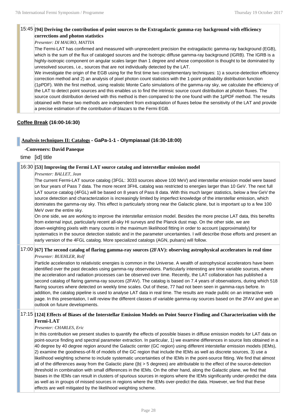### 15:45 **[94] Deriving the contribution of point sources to the Extragalactic gamma-ray background with efficiency corrections and photon statistics**

#### *Presenter: DI MAURO, MATTIA*

The Fermi-LAT has confirmed and measured with unprecedent precision the extragalactic gamma-ray background (EGB), which is the sum of the flux of cataloged sources and the Isotropic diffuse gamma-ray background (IGRB). The IGRB is a highly-isotropic component on angular scales larger than 1 degree and whose composition is thought to be dominated by unresolved sources, i.e., sources that are not individually detected by the LAT.

We investigate the origin of the EGB using for the first time two complementary techniques: 1) a source-detection efficiency correction method and 2) an analysis of pixel photon count statistics with the 1-point probability distribution function (1pPDF). With the first method, using realistic Monte Carlo simulations of the gamma-ray sky, we calculate the efficiency of the LAT to detect point sources and this enables us to find the intrinsic source count distribution at photon fluxes. The source count distribution derived with this method is then compared to the one found with the 1pPDF method. The results obtained with these two methods are independent from extrapolation of fluxes below the sensitivity of the LAT and provide a precise estimation of the contribution of blazars to the Fermi EGB.

## **Coffee Break (16:00-16:30)**

#### **Analysis techniques II: Catalogs - GaPa-1-1 - Olympiasaal (16:30-18:00)**

#### **-Conveners: David Paneque**

time [id] title

#### 16:30 **[53] Improving the Fermi LAT source catalog and interstellar emission model**

#### *Presenter: BALLET, Jean*

The current Fermi-LAT source catalog (3FGL: 3033 sources above 100 MeV) and interstellar emission model were based on four years of Pass 7 data. The more recent 3FHL catalog was restricted to energies larger than 10 GeV. The next full LAT source catalog (4FGL) will be based on 8 years of Pass 8 data. With this much larger statistics, below a few GeV the source detection and characterization is increasingly limited by imperfect knowledge of the interstellar emission, which dominates the gamma-ray sky. This effect is particularly strong near the Galactic plane, but is important up to a few 100 MeV over the entire sky.

On one side, we are working to improve the interstellar emission model. Besides the more precise LAT data, this benefits from external input, particularly recent all-sky HI surveys and the Planck dust map. On the other side, we are down-weighting pixels with many counts in the maximum likelihood fitting in order to account (approximately) for systematics in the source detection statistic and in the parameter uncertainties. I will describe those efforts and present an early version of the 4FGL catalog. More specialized catalogs (AGN, pulsars) will follow.

#### 17:00 **[67] The second catalog of flaring gamma-ray sources (2FAV): observing astrophysical accelerators in real time** *Presenter: BUEHLER, Rolf*

Particle acceleration to relativistic energies is common in the Universe. A wealth of astrophysical accelerators have been identified over the past decades using gamma-ray observations. Particularly interesting are time variable sources, where the acceleration and radiation processes can be observed over time. Recently, the LAT collaboration has published a second catalog of flaring gamma-ray sources (2FAV). The catalog is based on 7.4 years of observations, during which 518 flaring sources where detected on weekly time scales. Out of these, 77 had not been seen in gamma-rays before. In addition, the catalog pipeline is used to analyse LAT data in real time. The results are made public on an interactive web page. In this presentation, I will review the different classes of variable gamma-ray sources based on the 2FAV and give an outlook on future developments.

### 17:15 **[124] Effects of Biases of the Interstellar Emission Models on Point Source Finding and Characterization with the Fermi-LAT**

#### *Presenter: CHARLES, Eric*

In this contribution we present studies to quantify the effects of possible biases in diffuse emission models for LAT data on point-source finding and spectral parameter extraction. In particular, 1) we examine differences in source lists obtained in a 40 degree by 40 degree region around the Galactic center (GC region) using different interstellar emission models (IEMs), 2) examine the goodness-of-fit of models of the GC region that include the IEMs as well as discrete sources, 3) use a likelihood weighting scheme to include systematic uncertainties of the IEMs in the point-source fitting. We find that almost all of the differences away from the Galactic plane (|b| > 5 degrees) are attributable to the effect of the source-detection threshold in combination with small differences in the IEMs. On the other hand, along the Galactic plane, we find that biases in the IEMs can result in clusters of spurious sources in regions where the IEMs significantly under-predict the data as well as in groups of missed sources in regions where the IEMs over-predict the data. However, we find that these effects are well mitigated by the likelihood weighting scheme.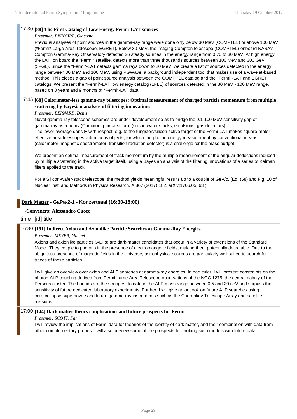## 17:30 **[88] The First Catalog of Low Energy Fermi-LAT sources**

#### *Presenter: PRINCIPE, Giacomo*

Previous analyses of point sources in the gamma-ray range were done only below 30 MeV (COMPTEL) or above 100 MeV (\*Fermi\*-Large Area Telescope, EGRET). Below 30 MeV, the imaging Compton telescope (COMPTEL) onboard NASA's Compton Gamma-Ray Observatory detected 26 steady sources in the energy range from 0.70 to 30 MeV. At high energy, the LAT, on board the \*Fermi\* satellite, detects more than three thousands sources between 100 MeV and 300 GeV (3FGL). Since the \*Fermi\*-LAT detects gamma rays down to 20 MeV, we create a list of sources detected in the energy range between 30 MeV and 100 MeV, using PGWave, a background independent tool that makes use of a wavelet-based method. This closes a gap of point source analysis between the COMPTEL catalog and the \*Fermi\*-LAT and EGRET catalogs. We present the \*Fermi\*-LAT low energy catalog (1FLE) of sources detected in the 30 MeV - 100 MeV range, based on 8 years and 9 months of \*Fermi\*-LAT data.

## 17:45 **[68] Calorimeter-less gamma-ray telescopes: Optimal measurement of charged particle momentum from multiple scattering by Bayesian analysis of filtering innovations.**

*Presenter: BERNARD, Denis*

Novel gamma-ray telescope schemes are under development so as to bridge the 0.1-100 MeV sensitivity gap of gamma-ray astronomy (Compton, pair creation), (silicon wafer stacks, emulsions, gas detectors). The lower average density with respect, e.g. to the tungsten/silicon active target of the Fermi-LAT makes square-meter effective area telescopes voluminous objects, for which the photon energy measurement by conventional means (calorimeter, magnetic spectrometer, transition radiation detector) is a challenge for the mass budget.

We present an optimal measurement of track momentum by the multiple measurement of the angular deflections induced by multiple scattering in the active target itself, using a Bayesian analysis of the filtering innovations of a series of Kalman filters applied to the track.

For a Silicon-wafer-stack telescope, the method yields meaningful results up to a couple of GeV/c. (Eq. (58) and Fig. 10 of Nuclear Inst. and Methods in Physics Research, A 867 (2017) 182, arXiv:1706.05863 )

## **Dark Matter - GaPa-2-1 - Konzertsaal (16:30-18:00)**

## **-Conveners: Alessandro Cuoco**

time [id] title

## 16:30 **[191] Indirect Axion and Axionlike Particle Searches at Gamma-Ray Energies**

*Presenter: MEYER, Manuel*

Axions and axionlike particles (ALPs) are dark-matter candidates that occur in a variety of extensions of the Standard Model. They couple to photons in the presence of electromangetic fields, making them potentially detectable. Due to the ubiquitous presence of magnetic fields in the Universe, astrophysical sources are particularly well suited to search for traces of these particles.

I will give an overview over axion and ALP searches at gamma-ray energies. In particular, I will present constraints on the photon-ALP coupling derived from Fermi Large Area Telescope observations of the NGC 1275, the central galaxy of the Perseus cluster. The bounds are the strongest to date in the ALP mass range between 0.5 and 20 neV and surpass the sensitivity of future dedicated laboratory experiments. Further, I will give an outlook on future ALP searches using core-collapse supernovae and future gamma-ray instruments such as the Cherenkov Telescope Array and satellite missions.

### 17:00 **[144] Dark matter theory: implications and future prospects for Fermi**

*Presenter: SCOTT, Pat*

I will review the implications of Fermi data for theories of the identity of dark matter, and their combination with data from other complementary probes. I will also preview some of the prospects for probing such models with future data.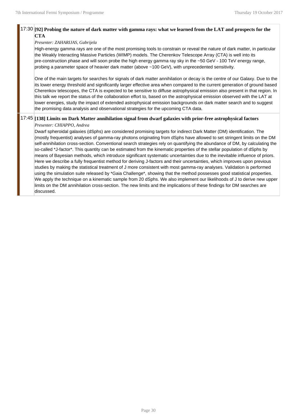#### 17:30 **[92] Probing the nature of dark matter with gamma rays: what we learned from the LAT and prospects for the CTA**

#### *Presenter: ZAHARIJAS, Gabrijela*

High-energy gamma rays are one of the most promising tools to constrain or reveal the nature of dark matter, in particular the Weakly Interacting Massive Particles (WIMP) models. The Cherenkov Telescope Array (CTA) is well into its pre-construction phase and will soon probe the high energy gamma ray sky in the ~50 GeV - 100 TeV energy range, probing a parameter space of heavier dark matter (above ~100 GeV), with unprecedented sensitivity.

One of the main targets for searches for signals of dark matter annihilation or decay is the centre of our Galaxy. Due to the its lower energy threshold and significantly larger effective area when compared to the current generation of ground based Cherenkov telescopes, the CTA is expected to be sensitive to diffuse astrophysical emission also present in that region. In this talk we report the status of the collaboration effort to, based on the astrophysical emission observed with the LAT at lower energies, study the impact of extended astrophysical emission backgrounds on dark matter search and to suggest the promising data analysis and observational strategies for the upcoming CTA data.

#### 17:45 **[138] Limits on Dark Matter annihilation signal from dwarf galaxies with prior-free astrophysical factors**

#### *Presenter: CHIAPPO, Andrea*

Dwarf spheroidal galaxies (dSphs) are considered promising targets for indirect Dark Matter (DM) identification. The (mostly frequentist) analyses of gamma-ray photons originating from dSphs have allowed to set stringent limits on the DM self-annihilation cross-section. Conventional search strategies rely on quantifying the abundance of DM, by calculating the so-called \*J-factor\*. This quantity can be estimated from the kinematic properties of the stellar population of dSphs by means of Bayesian methods, which introduce significant systematic uncertainties due to the inevitable influence of priors. Here we describe a fully frequentist method for deriving J-factors and their uncertainties, which improves upon previous studies by making the statistical treatment of J more consistent with most gamma-ray analyses. Validation is performed using the simulation suite released by \*Gaia Challenge\*, showing that the method possesses good statistical properties. We apply the technique on a kinematic sample from 20 dSphs. We also implement our likelihoods of J to derive new upper limits on the DM annihilation cross-section. The new limits and the implications of these findings for DM searches are discussed.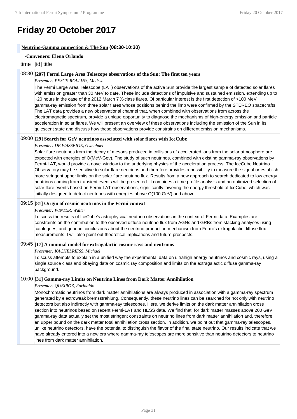## **Friday 20 October 2017**

#### **Neutrino-Gamma connection & The Sun (08:30-10:30)**

#### **-Conveners: Elena Orlando**

#### time [id] title

#### 08:30 **[207] Fermi Large Area Telescope observations of the Sun: The first ten years**

#### *Presenter: PESCE-ROLLINS, Melissa*

The Fermi Large Area Telescope (LAT) observations of the active Sun provide the largest sample of detected solar flares with emission greater than 30 MeV to date. These include detections of impulsive and sustained emission, extending up to ~20 hours in the case of the 2012 March 7 X-class flares. Of particular interest is the first detection of >100 MeV gamma-ray emission from three solar flares whose positions behind the limb were confirmed by the STEREO spacecrafts. The LAT data provides a new observational channel that, when combined with observations from across the electromagnetic spectrum, provide a unique opportunity to diagnose the mechanisms of high-energy emission and particle acceleration in solar flares. We will present an overview of these observations including the emission of the Sun in its quiescent state and discuss how these observations provide constrains on different emission mechanisms.

#### 09:00 **[29] Search for GeV neutrinos associated with solar flares with IceCube**

*Presenter: DE WASSEIGE, Gwenhaël*

Solar flare neutrinos from the decay of mesons produced in collisions of accelerated ions from the solar atmosphere are expected with energies of O(MeV-Gev). The study of such neutrinos, combined with existing gamma-ray observations by Fermi-LAT, would provide a novel window to the underlying physics of the acceleration process. The IceCube Neutrino Observatory may be sensitive to solar flare neutrinos and therefore provides a possibility to measure the signal or establish more stringent upper limits on the solar flare neutrino flux. Results from a new approach to search dedicated to low energy neutrinos coming from transient events will be presented. It combines a time profile analysis and an optimized selection of solar flare events based on Fermi-LAT observations, significantly lowering the energy threshold of IceCube, which was initially designed to detect neutrinos with energies above O(100 GeV) and above.

#### 09:15 **[81] Origin of cosmic neutrinos in the Fermi context**

#### *Presenter: WINTER, Walter*

I discuss the results of IceCube's astrophysical neutrino observations in the context of Fermi data. Examples are constraints on the contribution to the observed diffuse neutrino flux from AGNs and GRBs from stacking analyses using catalogues, and generic conclusions about the neutrino production mechanism from Fermi's extragalactic diffuse flux measurements. I will also point out theoretical implications and future prospects.

#### 09:45 **[17] A minimal model for extragalactic cosmic rays and neutrinos**

#### *Presenter: KACHELRIESS, Michael*

I discuss attempts to explain in a unified way the experimental data on ultrahigh energy neutrinos and cosmic rays, using a single source class and obeying data on cosmic ray composition and limits on the extragalactic diffuse gamma-ray background.

## 10:00 **[31] Gamma-ray Limits on Neutrino Lines from Dark Matter Annihilation**

#### *Presenter: QUEIROZ, Farinaldo*

Monochromatic neutrinos from dark matter annihilations are always produced in association with a gamma-ray spectrum generated by electroweak bremsstrahlung. Consequently, these neutrino lines can be searched for not only with neutrino detectors but also indirectly with gamma-ray telescopes. Here, we derive limits on the dark matter annihilation cross section into neutrinos based on recent Fermi-LAT and HESS data. We find that, for dark matter masses above 200 GeV, gamma-ray data actually set the most stringent constraints on neutrino lines from dark matter annihilation and, therefore, an upper bound on the dark matter total annihilation cross section. In addition, we point out that gamma-ray telescopes, unlike neutrino detectors, have the potential to distinguish the flavor of the final state neutrino. Our results indicate that we have already entered into a new era where gamma-ray telescopes are more sensitive than neutrino detectors to neutrino lines from dark matter annihilation.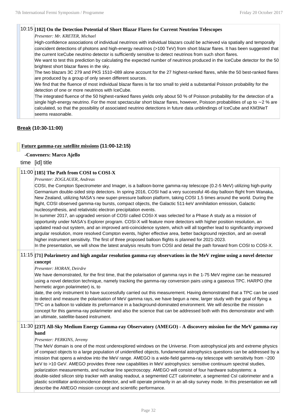## 10:15 **[102] On the Detection Potential of Short Blazar Flares for Current Neutrino Telescopes**

## *Presenter: Mr. KRETER, Michael*

High-confidence associations of individual neutrinos with individual blazars could be achieved via spatially and temporally coincident detections of photons and high-energy neutrinos (>100 TeV) from short blazar flares. It has been suggested that the current IceCube neutrino detector is sufficiently sensitive to detect neutrinos from such short flares.

We want to test this prediction by calculating the expected number of neutrinos produced in the IceCube detector for the 50 brightest short blazar flares in the sky.

The two blazars 3C 279 and PKS 1510−089 alone account for the 27 highest-ranked flares, while the 50 best-ranked flares are produced by a group of only seven different sources.

We find that the fluence of most individual blazar flares is far too small to yield a substantial Poisson probability for the detection of one or more neutrinos with IceCube.

The integrated fluence of the 50 highest-ranked flares yields only about 50 % of Poisson probability for the detection of a single high-energy neutrino. For the most spectacular short blazar flares, however, Poisson probabilities of up to ∼ 2 % are calculated, so that the possibility of associated neutrino detections in future data unblindings of IceCube and KM3NeT seems reasonable.

## **Break (10:30-11:00)**

#### **Future gamma-ray satellite missions (11:00-12:15)**

#### **-Conveners: Marco Ajello**

time [id] title

## 11:00 **[185] The Path from COSI to COSI-X**

#### *Presenter: ZOGLAUER, Andreas*

COSI, the Compton Spectrometer and Imager, is a balloon-borne gamma-ray telescope (0.2-5 MeV) utilizing high-purity Germanium double-sided strip detectors. In spring 2016, COSI had a very successful 46-day balloon flight from Wanaka, New Zealand, utilizing NASA's new super-pressure balloon platform, taking COSI 1.5 times around the world. During the flight, COSI observed gamma-ray bursts, compact objects, the Galactic 511-keV annihilation emission, Galactic nucleosynthesis, and relativistic electron precipitation events.

In summer 2017, an upgraded version of COSI called COSI-X was selected for a Phase A study as a mission of opportunity under NASA's Explorer program. COSI-X will feature more detectors with higher position resolution, an updated read-out system, and an improved anti-coincidence system, which will all together lead to significantly improved angular resolution, more resolved Compton events, higher effective area, better background rejection, and an overall higher instrument sensitivity. The first of three proposed balloon flights is planned for 2021-2023.

In the presentation, we will show the latest analysis results from COSI and detail the path forward from COSI to COSI-X.

#### 11:15 **[71] Polarimetry and high angular resolution gamma-ray observations in the MeV regime using a novel detector concept**

#### *Presenter: HORAN, Deirdre*

We have demonstrated, for the first time, that the polarisation of gamma rays in the 1-75 MeV regime can be measured using a novel detection technique, namely tracking the gamma-ray conversion pairs using a gaseous TPC. HARPO (the hermetic argon polarimeter) is, to

date, the only instrument to have successfully carried out this measurement. Having demonstrated that a TPC can be used to detect and measure the polarisation of MeV gamma rays, we have begun a new, larger study with the goal of flying a TPC on a balloon to validate its preformance in a background-dominated environment. We will describe the mission concept for this gamma-ray polarimeter and also the science that can be addressed both with this demonstrator and with an ultimate, satellite-based instrument.

## 11:30 **[237] All-Sky Medium Energy Gamma-ray Observatory (AMEGO) - A discovery mission for the MeV gamma-ray band**

#### *Presenter: PERKINS, Jeremy*

The MeV domain is one of the most underexplored windows on the Universe. From astrophysical jets and extreme physics of compact objects to a large population of unidentified objects, fundamental astrophysics questions can be addressed by a mission that opens a window into the MeV range. AMEGO is a wide-field gamma-ray telescope with sensitivity from ~200 keV to >10 GeV. AMEGO provides three new capabilities in MeV astrophysics: sensitive continuum spectral studies, polarization measurements, and nuclear line spectroscopy. AMEGO will consist of four hardware subsystems: a double-sided silicon strip tracker with analog readout, a segmented CZT calorimeter, a segmented CsI calorimeter and a plastic scintillator anticoincidence detector, and will operate primarily in an all-sky survey mode. In this presentation we will describe the AMEGO mission concept and scientific performance.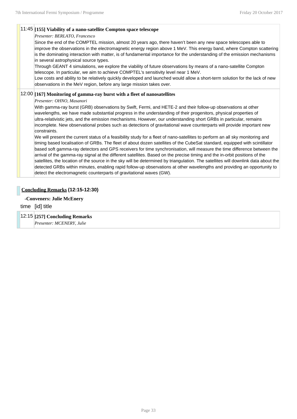#### 11:45 **[155] Viability of a nano-satellite Compton space telescope**

#### *Presenter: BERLATO, Francesco*

Since the end of the COMPTEL mission, almost 20 years ago, there haven't been any new space telescopes able to improve the observations in the electromagnetic energy region above 1 MeV. This energy band, where Compton scattering is the dominating interaction with matter, is of fundamental importance for the understanding of the emission mechanisms in several astrophysical source types.

Through GEANT 4 simulations, we explore the viability of future observations by means of a nano-satellite Compton telescope. In particular, we aim to achieve COMPTEL's sensitivity level near 1 MeV.

Low costs and ability to be relatively quickly developed and launched would allow a short-term solution for the lack of new observations in the MeV region, before any large mission takes over.

### 12:00 **[167] Monitoring of gamma-ray burst with a fleet of nanosatellites**

#### *Presenter: OHNO, Masanori*

With gamma-ray burst (GRB) observations by Swift, Fermi, and HETE-2 and their follow-up observations at other wavelengths, we have made substantial progress in the understanding of their progenitors, physical properties of ultra-relativistic jets, and the emission mechanisms. However, our understanding short GRBs in particular, remains incomplete. New observational probes such as detections of gravitational wave counterparts will provide important new constraints.

We will present the current status of a feasibility study for a fleet of nano-satellites to perform an all sky monitoring and timing based localisation of GRBs. The fleet of about dozen satellites of the CubeSat standard, equipped with scintillator based soft gamma-ray detectors and GPS receivers for time synchronisation, will measure the time difference between the arrival of the gamma-ray signal at the different satellites. Based on the precise timing and the in-orbit positions of the satellites, the location of the source in the sky will be determined by triangulation. The satellites will downlink data about the detected GRBs within minutes, enabling rapid follow-up observations at other wavelengths and providing an opportunity to detect the electromagnetic counterparts of gravitational waves (GW).

#### **Concluding Remarks (12:15-12:30)**

#### **-Conveners: Julie McEnery**

time [id] title

#### 12:15 **[257] Concluding Remarks**

*Presenter: MCENERY, Julie*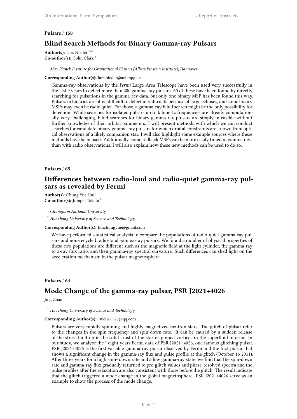# **Pulsars** / **158 Blind Search Methods for Binary Gamma-ray Pulsars**

**Author(s):** Lars Nieder<sup>None</sup> **Co-author(s):** Colin Clark<sup>1</sup>

<sup>1</sup> *Max Planck Institute for Gravitational Physics (Albert Einstein Institute), Hannover*

#### **Corresponding Author(s):** lars.nieder@aei.mpg.de

Gamma-ray observations by the *Fermi* Large Area Telescope have been used very successfully in the last 9 years to detect more than 200 gamma-ray pulsars. 60 of these have been found by directly searching for pulsations in the gamma-ray data, but only one binary MSP has been found this way. Pulsars in binaries are often difficult to detect in radio data because of large eclipses, and some binary MSPs may even be radio quiet. For those, a gamma-ray blind search might be the only possibility for detection. While searches for isolated pulsars up to kilohertz frequencies are already computationally very challenging, blind searches for binary gamma-ray pulsars are simply infeasible without further knowledge of their orbital parameters. I will present methods with which we can conduct searches for candidate binary gamma-ray pulsars for which orbital constraints are known from optical observations of a likely companion star. I will also highlight some example sources where these methods have been used. Additionally, some redback MSPs can be more easily timed in gamma rays than with radio observations; I will also explain how these new methods can be used to do so.

## **Pulsars** / **65**

# **Differences between radio-loud and radio-quiet gamma-ray pulsars as revealed by Fermi**

Author(s): Chung Yue Hui<sup>1</sup> **Co-author(s):** Jumpei Takata <sup>2</sup>

<sup>1</sup> *Chungnam National University*

<sup>2</sup> *Huazhong University of Science and Technology*

#### **Corresponding Author(s):** huichungyue@gmail.com

We have performed a statistical analysis to compare the populations of radio-quiet gamma-ray pulsars and non-recycled radio-loud gamma-ray pulsars. We found a number of physical properties of these two populations are different such as the magnetic field at the light cylinder, the gamma-ray to x-ray flux ratio, and their gamma-ray spectral curvature. Such differences can shed light on the acceleration mechanism in the pulsar magnetosphere.

#### **Pulsars** / **64**

# **Mode Change of the gamma-ray pulsar, PSR J2021+4026**

Jing Zhao<sup>1</sup>

<sup>1</sup> *Huazhong University of Science and Technology*

#### **Corresponding Author(s):** 1055266575@qq.com

Pulsars are very rapidly spinning and highly-magnetized neutron stars. The glitch of phlsar refer to the changes in the spin frequency and spin down rate. It can be caused by a sudden release of the stress built up in the solid crust of the star or pinned vortices in the superfluid interior. In our study, we analyse the ˜ eight years Fermi data of PSR J2021+4026, one famous glitching pulsar. PSR J2021+4026 is the first variable gamma-ray pulsar observed by Fermi and the first pulsar that shows a significant change in the gamma-ray flux and pulse profile at the glitch (October 16 2011). After three years for a high spin- down rate and a low gamma-ray state, we find that the spin-down rate and gamma-ray flux gradually returned to pre-glitch values and phase-resolved spectra and the pulse profiles after the relaxation are also consistent with those before the glitch. The result indicate that the glitch triggered a mode change in the global magnetosphere. PSR J2021+4026 serve as an example to show the process of the mode change.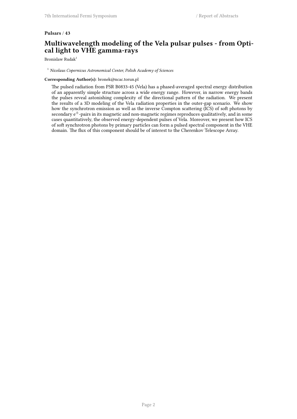## **Pulsars** / **43**

# **Multiwavelength modeling of the Vela pulsar pulses - from Optical light to VHE gamma-rays**

Bronislaw Rudak<sup>1</sup>

## <sup>1</sup> *Nicolaus Copernicus Astronomical Center, Polish Academy of Sciences*

## **Corresponding Author(s):** bronek@ncac.torun.pl

The pulsed radiation from PSR B0833-45 (Vela) has a phased-averaged spectral energy distribution of an apparently simple structure across a wide energy range. However, in narrow energy bands the pulses reveal astonishing complexity of the directional pattern of the radiation. We present the results of a 3D modeling of the Vela radiation properties in the outer-gap scenario. We show how the synchrotron emission as well as the inverse Compton scattering (ICS) of soft photons by secondary e*±*-pairs in its magnetic and non-magnetic regimes reproduces qualitatively, and in some cases quantitatively, the observed energy-dependent pulses of Vela. Moreover, we present how ICS of soft synchrotron photons by primary particles can form a pulsed spectral component in the VHE domain. The flux of this component should be of interest to the Cherenkov Telescope Array.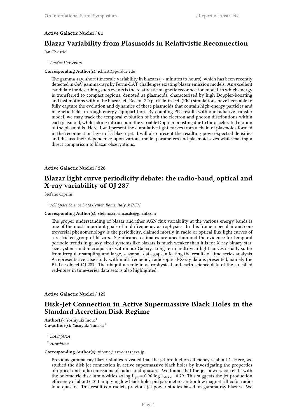## **Active Galactic Nuclei** / **61**

# **Blazar Variability from Plasmoids in Relativistic Reconnection**

Ian Christie<sup>1</sup>

### 1 *Purdue University*

## **Corresponding Author(s):** ichristi@purdue.edu

The gamma-ray, short timescale variability in blazars (*∼* minutes to hours), which has been recently detected in GeV gamma-rays by Fermi-LAT, challenges existing blazar emission models. An excellent candidate for describing such events is the relativistic magnetic reconnection model, in which energy is transferred to compact regions, denoted as plasmoids, characterized by high Doppler-boosting and fast motions within the blazar jet. Recent 2D particle-in-cell (PIC) simulations have been able to fully capture the evolution and dynamics of these plasmoids that contain high-energy particles and magnetic fields in rough energy equipartition. By coupling PIC results with our radiative transfer model, we may track the temporal evolution of both the electron and photon distributions within each plasmoid, while taking into account the variable Doppler boosting due to the accelerated motion of the plasmoids. Here, I will present the cumulative light curves from a chain of plasmoids formed in the reconnection layer of a blazar jet. I will also present the resulting power-spectral densities and discuss their dependence upon various model parameters and plasmoid sizes while making a direct comparison to blazar observations.

## **Active Galactic Nuclei** / **228**

# **Blazar light curve periodicity debate: the radio-band, optical and X-ray variability of OJ 287**

Stefano Ciprini<sup>1</sup>

<sup>1</sup> *ASI Space Science Data Center, Rome, Italy & INFN*

#### **Corresponding Author(s):** stefano.ciprini.asdc@gmail.com

The proper understanding of blazar and ither AGN flux variability at the various energy bands is one of the most important goals of multifrequency astrophysics. In this frame a peculiar and controversial phenomenology is the periodicity, claimed mostly in radio or optical flux light curves of a restricted group of blazars. Significance estimates are uncertain and the evidence for temporal periodic trends in galaxy-sized systems like blazars is much weaker than it is for X-ray binary starsize systems and microquasars within our Galaxy. Long-term multi-year light curves usually suffer from irregular sampling and large, seasonal, data gaps, affecting the results of time series analysis. A representative case study with multifrequency radio-optical-X-ray data is presented, namely the BL Lac object OJ 287. The ubiquitous role in astrophysical and earth science data of the so called red-noise in time-series data sets is also highlighted.

## **Active Galactic Nuclei** / **125**

## **Disk-Jet Connection in Active Supermassive Black Holes in the Standard Accretion Disk Regime**

**Author(s):** Yoshiyuki Inoue<sup>1</sup> **Co-author(s):** Yasuyuki Tanaka <sup>2</sup>

1 *ISAS/JAXA*

<sup>2</sup> *Hiroshima*

#### **Corresponding Author(s):** yinoue@astro.isas.jaxa.jp

Previous gamma-ray blazar studies revealed that the jet production efficiency is about 1. Here, we studied the disk-jet connection in active supermassive black holes by investigating the properties of optical and radio emissions of radio-loud quasars. We found that the jet powers correlate with the bolometric disk luminosities as log P*jet*= 0.96 log L*disk*+ 0.79. This suggests the jet production efficiency of about 0.011, implying low black hole spin parameters and/or low magnetic flux for radioloud quasars. This result contradicts previous jet power studies based on gamma-ray blazars. We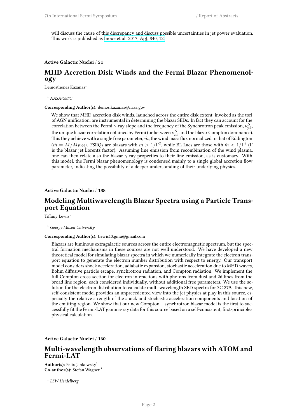will discuss the cause of this discrepancy and discuss possible uncertainties in jet power evaluation. This work is published as [Inoue et al. 2017, ApJ, 840, 12.](http://adsabs.harvard.edu/abs/2017ApJ...840...46I)

## **Active Galactic Nuclei** / **51**

# **MHD Accretion Disk Winds and the Fermi Blazar Phenomenology**

Demosthenes Kazanas<sup>1</sup>

<sup>1</sup> *NASA/GSFC*

#### **Corresponding Author(s):** demos.kazanas@nasa.gov

We show that MHD accretion disk winds, launched across the entire disk extent, invoked as the tori of AGN unification, are instrumental in determining the blazar SEDs. In fact they can account for the correlation between the Fermi  $\gamma$ -ray slope and the frequency of the Synchrotron peak emission,  $\nu_{pk}^S$ , the unique blazar correlation obtained by Fermi (or between  $\nu_{pk}^S$  and the blazar Compton dominance). This they achieve with a single free parameter,  $\dot{m}$ , the wind mass flux normalized to that of Eddington  $(m=\dot M/\dot M_{Edd})$ . FSRQs are blazars with  $\dot m>1/\Gamma^2$ , while BL Lacs are those with  $\dot m< 1/\Gamma^2$  ( $\Gamma$ is the blazar jet Lorentz factor). Assuming line emission from recombination of the wind plasma, one can then relate also the blazar *γ*-ray properties to their line emission, as is customary. With this model, the Fermi blazar phenomenology is condensed mainly to a single global accretion flow parameter, indicating the possibility of a deeper understanding of their underlying physics.

### **Active Galactic Nuclei** / **188**

# **Modeling Multiwavelength Blazar Spectra using a Particle Transport Equation**

Tiffany Lewis<sup>1</sup>

<sup>1</sup> *George Mason University*

#### **Corresponding Author(s):** tlewis13.gmu@gmail.com

Blazars are luminous extragalactic sources across the entire electromagnetic spectrum, but the spectral formation mechanisms in these sources are not well understood. We have developed a new theoretical model for simulating blazar spectra in which we numerically integrate the electron transport equation to generate the electron number distribution with respect to energy. Our transport model considers shock acceleration, adiabatic expansion, stochastic acceleration due to MHD waves, Bohm diffusive particle escape, synchrotron radiation, and Compton radiation. We implement the full Compton cross-section for electron interactions with photons from dust and 26 lines from the broad line region, each considered individually, without additional free parameters. We use the solution for the electron distribution to calculate multi-wavelength SED spectra for 3C 279. This new, self-consistent model provides an unprecedented view into the jet physics at play in this source, especially the relative strength of the shock and stochastic acceleration components and location of the emitting region. We show that our new Compton + synchrotron blazar model is the first to successfully fit the Fermi-LAT gamma-ray data for this source based on a self-consistent, first-principles physical calculation.

**Active Galactic Nuclei** / **160**

## **Multi-wavelength observations of flaring blazars with ATOM and Fermi-LAT**

Author(s): Felix Jankowsky<sup>1</sup> **Co-author(s):** Stefan Wagner

1 *LSW Heidelberg*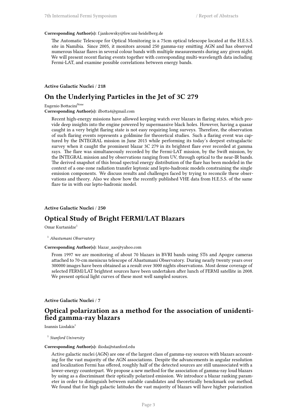#### **Corresponding Author(s):** f.jankowsky@lsw.uni-heidelberg.de

The Automatic Telescope for Optical Monitoring is a 75cm optical telescope located at the H.E.S.S. site in Namibia. Since 2005, it monitors around 250 gamma-ray emitting AGN and has observed numerous blazar flares in several colour bands with multiple measurements during any given night. We will present recent flaring events together with corresponding multi-wavelength data including Fermi-LAT, and examine possible correlations between energy bands.

**Active Galactic Nuclei** / **218**

## **On the Underlying Particles in the Jet of 3C 279**

Eugenio Bottacini<sup>None</sup>

**Corresponding Author(s):** ilbotta4@gmail.com

Recent high-energy missions have allowed keeping watch over blazars in flaring states, which provide deep insights into the engine powered by supermassive black holes. However, having a quasar caught in a very bright flaring state is not easy requiring long surveys. Therefore, the observation of such flaring events represents a goldmine for theoretical studies. Such a flaring event was captured by the INTEGRAL mission in June 2015 while performing its today's deepest extragalactic survey when it caught the prominent blazar 3C 279 in its brightest flare ever recorded at gamma rays. The flare was simultaneously recorded by the Fermi-LAT mission, by the Swift mission, by the INTEGRAL mission and by observations ranging from UV, through optical to the near-IR bands. The derived snapshot of this broad spectral energy distribution of the flare has been modeled in the context of a one-zone radiation transfer leptonic and lepto-hadronic models constraining the single emission components. We discuss results and challenges faced by trying to reconcile these observations and theory. Also we show how the recently published VHE data from H.E.S.S. of the same flare tie in with our lepto-hadronic model.

## **Active Galactic Nuclei** / **250**

# **Optical Study of Bright FERMI/LAT Blazars**

Omar Kurtanidze<sup>1</sup>

<sup>1</sup> *Abastumani Observatory*

## **Corresponding Author(s):** blazar\_aao@yahoo.com

From 1997 we are monitoring of about 70 blazars in BVRI bands using ST6 and Apogee cameras attached to 70-cm meniscus telescope of Abastumani Observatory. During nearly twenty years over 300000 images have been obtained as a result over 3000 nights observations. Most dense coverage of selected FERMI/LAT brightest sources have been undertaken after lunch of FERMI satellite in 2008. We present optical light curves of these most well sampled sources.

**Active Galactic Nuclei** / **7**

# **Optical polarization as a method for the association of unidentified gamma-ray blazars**

Ioannis Liodakis<sup>1</sup>

1 *Stanford University*

#### **Corresponding Author(s):** ilioda@stanford.edu

Active galactic nuclei (AGN) are one of the largest class of gamma-ray sources with blazars accounting for the vast majority of the AGN associations. Despite the advancements in angular resolution and localization Fermi has offered, roughly half of the detected sources are still unassociated with a lower-energy counterpart. We propose a new method for the association of gamma-ray loud blazars by using as a discriminant their optically polarized emission. We introduce a blazar ranking parameter in order to distinguish between suitable candidates and theoretically benckmark our method. We found that for high galactic latitudes the vast majority of blazars will have higher polarization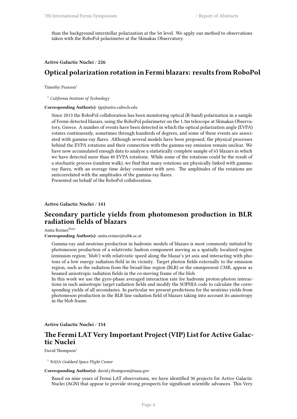than the background interstellar polarization at the 5σ level. We apply our method to observations taken with the RoboPol polarimeter at the Skinakas Observatory.

## **Active Galactic Nuclei** / **226**

# **Optical polarization rotation in Fermi blazars: results from RoboPol**

## Timothy Pearson<sup>1</sup>

<sup>1</sup> *California Institute of Technology*

## **Corresponding Author(s):** tjp@astro.caltech.edu

Since 2013 the RoboPol collaboration has been monitoring optical (R-band) polarization in a sample of Fermi-detected blazars, using the RoboPol polarimeter on the 1.3m telescope at Skinakas Observatory, Greece. A number of events have been detected in which the optical polarization angle (EVPA) rotates continuously, sometimes through hundreds of degrees, and some of these events are associated with gamma-ray flares. Although several models have been proposed, the physical processes behind the EVPA rotations and their connection with the gamma-ray emission remain unclear. We have now accumulated enough data to analyse a statistically complete sample of 65 blazars in which we have detected more than 40 EVPA rotations. While some of the rotations could be the result of a stochastic process (random walk), we find that many rotations are physically linked with gammaray flares, with an average time delay consistent with zero. The amplitudes of the rotations are anticorrelated with the amplitudes of the gamma-ray flares. Presented on behalf of the RoboPol collaboration.

## **Active Galactic Nuclei** / **141**

# **Secondary particle yields from photomeson production in BLR radiation fields of blazars**

Anita Reimer<sup>None</sup>

**Corresponding Author(s):** anita.reimer@uibk.ac.at

Gamma-ray and neutrino production in hadronic models of blazars is most commonly initiated by photomeson production of a relativistic hadron component moving as a spatially localized region (emission region; 'blob') with relativistic speed along the blazar's jet axis and interacting with photons of a low energy radiation field in its vicinity. Target photon fields externally to the emission region, such as the radiation from the broad-line region (BLR) or the omnipresent CMB, appear as beamed anisotropic radiation fields in the co-moving frame of the blob.

In this work we use the gyro-phase averaged interaction rate for hadronic proton-photon interactions in such anisotropic target radiation fields and modify the SOPHIA code to calculate the corresponding yields of all secondaries. In particular we present predictions for the neutrino yields from photomeson production in the BLR line radiation field of blazars taking into account its anisotropy in the blob frame.

**Active Galactic Nuclei** / **154**

# **The Fermi LAT Very Important Project (VIP) List for Active Galactic Nuclei**

David Thompson<sup>1</sup>

<sup>1</sup> *NASA Goddard Space Flight Center*

#### **Corresponding Author(s):** david.j.thompson@nasa.gov

Based on nine years of Fermi LAT observations, we have identified 30 projects for Active Galactic Nuclei (AGN) that appear to provide strong prospects for significant scientific advances. This Very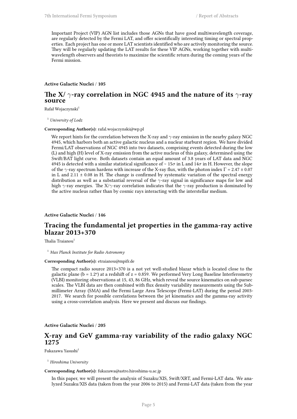Important Project (VIP) AGN list includes those AGNs that have good multiwavelength coverage, are regularly detected by the Fermi LAT, and offer scientifically interesting timing or spectral properties. Each project has one or more LAT scientists identified who are actively monitoring the source. They will be regularly updating the LAT results for these VIP AGNs, working together with multiwavelength observers and theorists to maximize the scientific return during the coming years of the Fermi mission.

## **Active Galactic Nuclei** / **105**

## **The X/** *γ***-ray correlation in NGC 4945 and the nature of its** *γ***-ray source**

Rafał Wojaczynski<sup>1</sup>

<sup>1</sup> *University of Lodz*

#### **Corresponding Author(s):** rafal.wojaczynski@wp.pl

We report hints for the correlation between the X-ray and *γ*-ray emission in the nearby galaxy NGC 4945, which harbors both an active galactic nucleus and a nuclear starburst region. We have divided Fermi/LAT observations of NGC 4945 into two datasets, comprising events detected during the low (L) and high (H) level of X-ray emission from the active nucleus of this galaxy, determined using the Swift/BAT light curve. Both datasets contain an equal amount of 3.8 years of LAT data and NGC 4945 is detected with a similar statistical significance of ∼ 15*σ* in L and 14*σ* in H. However, the slope of the *γ*-ray spectrum hardens with increase of the X-ray flux, with the photon index  $\Gamma = 2.47 \pm 0.07$ in L and  $2.11 \pm 0.08$  in H. The change is confirmed by systematic variation of the spectral energy distribution as well as a substantial reversal of the *γ*-ray signal in significance maps for low and high *γ*-ray energies. The X/*γ*-ray correlation indicates that the *γ*-ray production is dominated by the active nucleus rather than by cosmic rays interacting with the interstellar medium.

## **Active Galactic Nuclei** / **146**

# **Tracing the fundamental jet properties in the gamma-ray active blazar 2013+370**

Thalia Traianou<sup>1</sup>

<sup>1</sup> *Max Planck Institute for Radio Astronomy*

#### **Corresponding Author(s):** etraianou@mpifr.de

The compact radio source 2013+370 is a not yet well-studied blazar which is located close to the galactic plane ( $b = 1.2^{\circ}$ ) at a redshift of  $z = 0.859$ . We performed Very Long Baseline Interferometry (VLBI) monitoring observations at 15, 43, 86 GHz, which reveal the source kinematics on sub-parsec scales. The VLBI data are then combined with flux density variability measurements using the Submillimeter Array (SMA) and the Fermi Large Area Telescope (Fermi-LAT) during the period 2003- 2017. We search for possible correlations between the jet kinematics and the gamma-ray activity using a cross-correlation analysis. Here we present and discuss our findings.

## **Active Galactic Nuclei** / **205**

## **X-ray and GeV gamma-ray variability of the radio galaxy NGC 1275**

Fukazawa Yasushi<sup>1</sup>

<sup>1</sup> *Hiroshima University*

#### **Corresponding Author(s):** fukazawa@astro.hiroshima-u.ac.jp

In this paper, we will present the analysis of Suzaku/XIS, Swift/XRT, and Fermi-LAT data. We analyzed Suzaku/XIS data (taken from the year 2006 to 2015) and Fermi-LAT data (taken from the year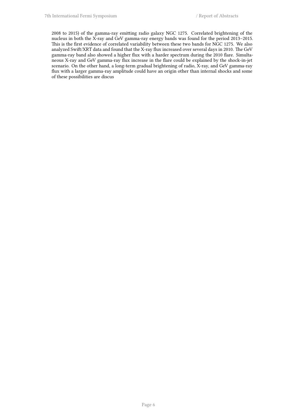2008 to 2015) of the gamma-ray emitting radio galaxy NGC 1275. Correlated brightening of the nucleus in both the X-ray and GeV gamma-ray energy bands was found for the period 2013–2015. This is the first evidence of correlated variability between these two bands for NGC 1275. We also analyzed Swift/XRT data and found that the X-ray flux increased over several days in 2010. The GeV gamma-ray band also showed a higher flux with a harder spectrum during the 2010 flare. Simultaneous X-ray and GeV gamma-ray flux increase in the flare could be explained by the shock-in-jet scenario. On the other hand, a long-term gradual brightening of radio, X-ray, and GeV gamma-ray flux with a larger gamma-ray amplitude could have an origin other than internal shocks and some of these possibilities are discus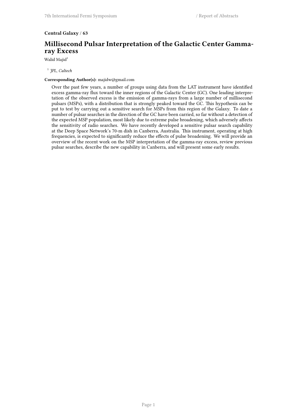## **Central Galaxy** / **63**

# **Millisecond Pulsar Interpretation of the Galactic Center Gammaray Excess**

Walid Majid<sup>1</sup>

1 *JPL, Caltech*

## **Corresponding Author(s):** majidw@gmail.com

Over the past few years, a number of groups using data from the LAT instrument have identified excess gamma-ray flux toward the inner regions of the Galactic Center (GC). One leading interpretation of the observed excess is the emission of gamma-rays from a large number of millisecond pulsars (MSPs), with a distribution that is strongly peaked toward the GC. This hypothesis can be put to test by carrying out a sensitive search for MSPs from this region of the Galaxy. To date a number of pulsar searches in the direction of the GC have been carried, so far without a detection of the expected MSP population, most likely due to extreme pulse broadening, which adversely affects the sensitivity of radio searches. We have recently developed a sensitive pulsar search capability at the Deep Space Network's 70-m dish in Canberra, Australia. This instrument, operating at high frequencies, is expected to significantly reduce the effects of pulse broadening. We will provide an overview of the recent work on the MSP interpretation of the gamma-ray excess, review previous pulsar searches, describe the new capability in Canberra, and will present some early results.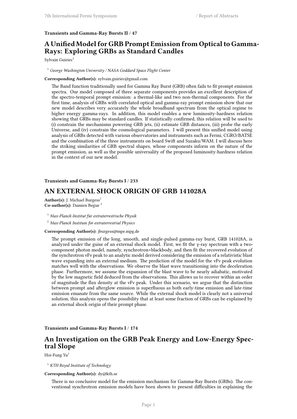### **Transients and Gamma-Ray Bursts II** / **47**

# **A Unified Model for GRB Prompt Emission from Optical to Gamma-Rays: Exploring GRBs as Standard Candles**

Sylvain Guiriec<sup>1</sup>

<sup>1</sup> *George Washington University / NASA Goddard Space Flight Center*

## **Corresponding Author(s):** sylvain.guiriec@gmail.com

The Band function traditionally used for Gamma Ray Burst (GRB) often fails to fit prompt emission spectra. Our model composed of three separate components provides an excellent description of the spectro-temporal prompt emission: a thermal -like and two non-thermal components. For the first time, analysis of GRBs with correlated optical and gamma -ray prompt emission show that our new model describes very accurately the whole broadband spectrum from the optical regime to higher energy gamma -rays. In addition, this model enables a new luminosity -hardness relation showing that GRBs may be standard candles. If statistically confirmed, this relation will be used to (i) constrain the mechanisms powering GRB jets, (ii) estimate GRB distances, (iii) probe the early Universe, and (iv) constrain the cosmological parameters. I will present this unified model using analysis of GRBs detected with various observatories and instruments such as Fermi, CGRO/BATSE and the combination of the three instruments on board Swift and Suzaku/WAM. I will discuss here the striking similarities of GRB spectral shapes, whose components inform on the nature of the prompt emission, as well as the possible universality of the proposed luminosity- hardness relation in the context of our new model.

### **Transients and Gamma-Ray Bursts I** / **233**

# **AN EXTERNAL SHOCK ORIGIN OF GRB 141028A**

Author(s): J. Michael Burgess<sup>1</sup> **Co-author(s):** Damien Begue <sup>2</sup>

<sup>1</sup> *Max-Planck-Institut für extraterrestrische Physik*

<sup>2</sup> *Max-Planck Institute for extraterrestrial Physics*

#### **Corresponding Author(s):** jburgess@mpe.mpg.de

The prompt emission of the long, smooth, and single-pulsed gamma-ray burst, GRB 141028A, is analyzed under the guise of an external shock model. First, we fit the γ-ray spectrum with a twocomponent photon model, namely, synchrotron+blackbody, and then fit the recovered evolution of the synchrotron νFν peak to an analytic model derived considering the emission of a relativistic blast wave expanding into an external medium. The prediction of the model for the νFν peak evolution matches well with the observations. We observe the blast wave transitioning into the deceleration phase. Furthermore, we assume the expansion of the blast wave to be nearly adiabatic, motivated by the low magnetic field deduced from the observations. This allows us to recover within an order of magnitude the flux density at the νFν peak. Under this scenario, we argue that the distinction between prompt and afterglow emission is superfluous as both early-time emission and late-time emission emanate from the same source. While the external shock model is clearly not a universal solution, this analysis opens the possibility that at least some fraction of GRBs can be explained by an external shock origin of their prompt phase.

## **Transients and Gamma-Ray Bursts I** / **174**

# **An Investigation on the GRB Peak Energy and Low-Energy Spectral Slope**

Hoi-Fung Yu<sup>1</sup>

## <sup>1</sup> *KTH Royal Institute of Technology*

## **Corresponding Author(s):** dy@kth.se

There is no conclusive model for the emission mechanism for Gamma-Ray Bursts (GRBs). The conventional synchrotron emission models have been shown to present difficulties in explaining the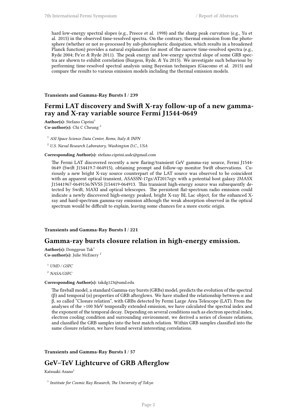hard low-energy spectral slopes (e.g., Preece et al. 1998) and the sharp peak curvature (e.g., Yu et al. 2015) in the observed time-resolved spectra. On the contrary, thermal emission from the photosphere (whether or not re-processed by sub-photospheric dissipation, which results in a broadened Planck function) provides a natural explanation for most of the narrow time-resolved spectra (e.g., Ryde 2004; Pe'er & Ryde 2011). The peak energy and low-energy spectral slope of some GRB spectra are shown to exhibit correlation (Burgess, Ryde, & Yu 2015). We investigate such behaviour by performing time-resolved spectral analysis using Bayesian techniques (Giacomo et al. 2015) and compare the results to various emission models including the thermal emission models.

#### **Transients and Gamma-Ray Bursts I** / **239**

# **Fermi LAT discovery and Swift X-ray follow-up of a new gammaray and X-ray variable source Fermi J1544-0649**

Author(s): Stefano Ciprini<sup>1</sup> **Co-author(s):** Chi C Cheung <sup>2</sup>

<sup>1</sup> *ASI Space Science Data Center, Rome, Italy & INFN*

<sup>2</sup> *U.S. Naval Research Laboratory, Washington D.C., USA*

**Corresponding Author(s):** stefano.ciprini.asdc@gmail.com

The Fermi LAT discovered recently a new flaring/transient GeV gamma-ray source, Fermi J1544- 0649 (Swift J154419.7-064915), obtaining prompt and follow-up monitor Swift observations. Curiously a new bright X-ray source counterpart of the LAT source was observed to be coincident with an apparent optical transient, ASASSN-17gs/AT2017egv with a potential host galaxy 2MASX J15441967-0649156/NVSS J154419-064913. This transient high-energy source was subsequently detected by Swift, MAXI and optical telescopes. The persistent flat-spectrum radio emission could indicate a newly discovered high-energy peaked, bright X-ray BL Lac object, for the enhanced Xray and hard-spectrum gamma-ray emission although the weak absorption observed in the optical spectrum would be difficult to explain, leaving some chances for a more exotic origin.

#### **Transients and Gamma-Ray Bursts I** / **221**

## **Gamma-ray bursts closure relation in high-energy emission.**

Author(s): Donggeun Tak<sup>1</sup> **Co-author(s):** Julie McEnery <sup>2</sup>

<sup>1</sup> *UMD / GSFC*

<sup>2</sup> *NASA/GSFC*

#### **Corresponding Author(s):** takdg123@umd.edu

The fireball model, a standard Gamma-ray bursts (GRBs) model, predicts the evolution of the spectral (β) and temporal (α) properties of GRB afterglows. We have studied the relationship between α and β, so called "Closure relation", with GRBs detected by Fermi Large Area Telescope (LAT). From the analyses of the >100 MeV temporally extended emission, we have calculated the spectral index and the exponent of the temporal decay. Depending on several conditions such as electron spectral index, electron cooling condition and surrounding environment, we derived a series of closure relations, and classified the GRB samples into the best match relation. Within GRB samples classified into the same closure relation, we have found several interesting correlations.

## **Transients and Gamma-Ray Bursts I** / **57**

# **GeV–TeV Lightcurve of GRB Afterglow**

## Katsuaki Asano<sup>1</sup>

1 *Institute for Cosmic Ray Research, The University of Tokyo*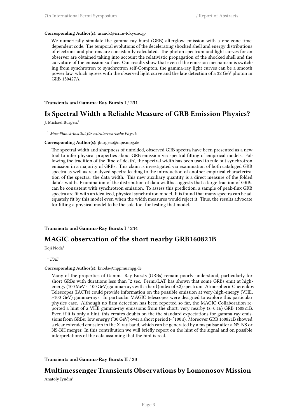#### **Corresponding Author(s):** asanok@icrr.u-tokyo.ac.jp

We numerically simulate the gamma-ray burst (GRB) afterglow emission with a one-zone timedependent code. The temporal evolutions of the decelerating shocked shell and energy distributions of electrons and photons are consistently calculated. The photon spectrum and light curves for an observer are obtained taking into account the relativistic propagation of the shocked shell and the curvature of the emission surface. Our results show that even if the emission mechanism is switching from synchrotron to synchrotron self-Compton, the gamma-ray light curves can be a smooth power law, which agrees with the observed light curve and the late detection of a 32 GeV photon in GRB 130427A.

## **Transients and Gamma-Ray Bursts I** / **231**

## **Is Spectral Width a Reliable Measure of GRB Emission Physics?**

J. Michael Burgess<sup>1</sup>

#### <sup>1</sup> *Max-Planck-Institut für extraterrestrische Physik*

#### **Corresponding Author(s):** jburgess@mpe.mpg.de

The spectral width and sharpness of unfolded, observed GRB spectra have been presented as a new tool to infer physical properties about GRB emission via spectral fitting of empirical models. Following the tradition of the 'line-of-death', the spectral width has been used to rule out synchrotron emission in a majority of GRBs. This claim is investigated via examination of both cataloged GRB spectra as well as reanalyzed spectra leading to the introduction of another empirical characterization of the spectra: the data width. This new auxiliary quantity is a direct measure of the folded data's width. Examination of the distribution of data widths suggests that a large fraction of GRBs can be consistent with synchrotron emission. To assess this prediction, a sample of peak-flux GRB spectra are fit with an idealized, physical synchrotron model. It is found that many spectra can be adequately fit by this model even when the width measures would reject it. Thus, the results advocate for fitting a physical model to be the sole tool for testing that model.

## **Transients and Gamma-Ray Bursts I** / **214**

## **MAGIC observation of the short nearby GRB160821B**

Koji Noda<sup>1</sup>

<sup>1</sup> IFAE

#### **Corresponding Author(s):** knoda@mppmu.mpg.de

Many of the properties of Gamma Ray Bursts (GRBs) remain poorly understood, particularly for short GRBs with durations less than ˜2 sec. Fermi/LAT has shown that some GRBs emit at highenergy (100 MeV - ~ 100 GeV) gamma-rays with a hard (index of <2) spectrum. Atmospheric Cherenkov Telescopes (IACTs) could provide information on the possible emission at very-high-energy (VHE, >100 GeV) gamma-rays. In particular MAGIC telescopes were designed to explore this particular physics case. Although no firm detection has been reported so far, the MAGIC Collaboration reported a hint of a VHE gamma-ray emissions from the short, very nearby (z=0.16) GRB 160821B. Even if it is only a hint, this creates doubts on the the standard expectations for gamma-ray emissions from GRBs: low energy (˜30 GeV) over a short period (<˜100 s). Moreover GRB 160821B showed a clear extended emission in the X-ray band, which can be generated by a ms pulsar after a NS-NS or NS-BH merger. In this contribution we will briefly report on the hint of the signal and on possible interpretations of the data assuming that the hint is real.

**Transients and Gamma-Ray Bursts II** / **33**

# **Multimessenger Transients Observations by Lomonosov Mission**

Anatoly Iyudin<sup>1</sup>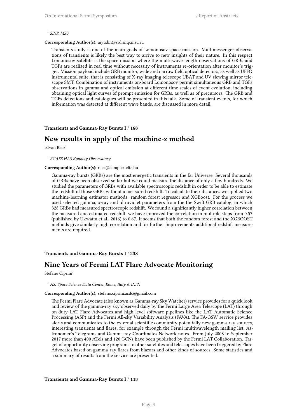### 1 *SINP, MSU*

#### **Corresponding Author(s):** aiyudin@srd.sinp.msu.ru

Transients study is one of the main goals of Lomonosov space mission. Multimessenger observations of transients is likely the best way to arrive to new insights of their nature. In this respect Lomonosov satellite is the space mission where the multi-wave length observations of GRBs and TGFs are realized in real time without necessity of instruments re-orientation after monitor's trigger. Mission payload include GRB monitor, wide and narrow field optical detectors, as well as UFFO instrumental suite, that is consisting of X-ray imaging telescope UBAT and UV slewing mirror telescope SMT. Combination of instruments on-board Lomonosov permit simultaneous GRB and TGFs observations in gamma and optical emission at different time scales of event evolution, including obtaining optical light curves of prompt emission for GRBs, as well as of precursors. The GRB and TGFs detections and catalogues will be presented in this talk. Some of transient events, for which information was detected at different wave bands, are discussed in more detail.

#### **Transients and Gamma-Ray Bursts I** / **168**

## **New results in apply of the machine-z method**

Istvan Racz<sup>1</sup>

1 *RCAES HAS Konkoly Observatory*

#### **Corresponding Author(s):** racz@complex.elte.hu

Gamma-ray bursts (GRBs) are the most energetic transients in the far Universe. Several thousands of GRBs have been observed so far but we could measure the distance of only a few hundreds. We studied the parameters of GRBs with available spectroscopic redshift in order to be able to estimate the redshift of those GRBs without a measured redshift. To calculate their distances we applied two machine-learning estimator methods: random forest regressor and XGBoost. For the process we used selected gamma, x-ray and ultraviolet parameters from the the Swift GRB catalog, in which 328 GRBs had measured spectroscopic redshift. We found a significantly higher correlation between the measured and estimated redshift, we have improved the correlation in multiple steps from 0.57 (published by Ukwatta et al., 2016) to 0.67. It seems that both the random forest and the XGBOOST methods give similarly high correlation and for further improvements additional redshift measurements are required.

## **Transients and Gamma-Ray Bursts I** / **238**

## **Nine Years of Fermi LAT Flare Advocate Monitoring**

Stefano Ciprini<sup>1</sup>

## <sup>1</sup> *ASI Space Science Data Center, Rome, Italy & INFN*

#### **Corresponding Author(s):** stefano.ciprini.asdc@gmail.com

The Fermi Flare Advocate (also known as Gamma-ray Sky Watcher) service provides for a quick look and review of the gamma-ray sky observed daily by the Fermi Large Area Telescope (LAT) through on-duty LAT Flare Advocates and high level software pipelines like the LAT Automatic Science Processing (ASP) and the Fermi All-sky Variability Analysis (FAVA). The FA-GSW service provides alerts and communicates to the external scientific community potentially new gamma-ray sources, interesting transients and flares, for example through the Fermi multiwavelength mailing list, Astronomer's Telegrams and Gamma-ray Coordinates Network notes. From July 2008 to September 2017 more than 400 ATels and 120 GCNs have been published by the Fermi LAT Collaboration. Target of opportunity observing programs to other satellites and telescopes have been triggered by Flare Advocates based on gamma-ray flares from blazars and other kinds of sources. Some statistics and a summary of results from the service are presented.

## **Transients and Gamma-Ray Bursts I** / **118**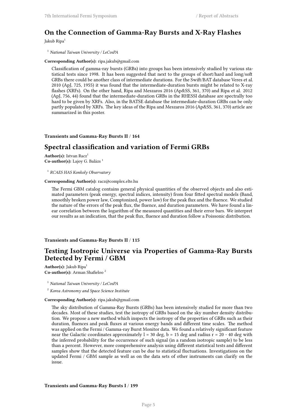# **On the Connection of Gamma-Ray Bursts and X-Ray Flashes**

Jakub Ripa<sup>1</sup>

<sup>1</sup> *National Taiwan University / LeCosPA*

**Corresponding Author(s):** ripa.jakub@gmail.com

Classification of gamma-ray bursts (GRBs) into groups has been intensively studied by various statistical tests since 1998. It has been suggested that next to the groups of short/hard and long/soft GRBs there could be another class of intermediate durations. For the Swift/BAT database Veres et al. 2010 (ApJ, 725, 1955) it was found that the intermediate-duration bursts might be related to X-ray flashes (XRFs). On the other hand, Ripa and Meszaros 2016 (Ap&SS, 361, 370) and Ripa et al. 2012 (ApJ, 756, 44) found that the intermediate-duration GRBs in the RHESSI database are spectrally too hard to be given by XRFs. Also, in the BATSE database the intermediate-duration GRBs can be only partly populated by XRFs. The key ideas of the Ripa and Meszaros 2016 (Ap&SS, 361, 370) article are summarized in this poster.

**Transients and Gamma-Ray Bursts II** / **164**

# **Spectral classification and variation of Fermi GRBs**

**Author(s):** Istvan Racz<sup>1</sup> Co-author(s): Lajoy G. Balázs<sup>1</sup>

1 *RCAES HAS Konkoly Observatory*

#### **Corresponding Author(s):** racz@complex.elte.hu

The Fermi GBM catalog contains general physical quantities of the observed objects and also estimated parameters (peak energy, spectral indices, intensity) from four fitted spectral models (Band, smoothly broken power law, Comptonized, power law) for the peak flux and the fluence. We studied the nature of the errors of the peak flux, the fluence, and duration parameters. We have found a linear correlation between the logarithm of the measured quantities and their error bars. We interpret our results as an indication, that the peak flux, fluence and duration follow a Poissonic distribution.

### **Transients and Gamma-Ray Bursts II** / **115**

# **Testing Isotropic Universe via Properties of Gamma-Ray Bursts Detected by Fermi / GBM**

Author(s): Jakub Ripa<sup>1</sup> **Co-author(s):** Arman Shafieloo <sup>2</sup>

<sup>1</sup> *National Taiwan University / LeCosPA*

<sup>2</sup> *Korea Astronomy and Space Science Institute*

#### **Corresponding Author(s):** ripa.jakub@gmail.com

The sky distribution of Gamma-Ray Bursts (GRBs) has been intensively studied for more than two decades. Most of these studies, test the isotropy of GRBs based on the sky number density distribution. We propose a new method which inspects the isotropy of the properties of GRBs such as their duration, fluences and peak fluxes at various energy bands and different time scales. The method was applied on the Fermi / Gamma-ray Burst Monitor data. We found a relatively significant feature near the Galactic coordinates approximately  $l = 30$  deg,  $b = 15$  deg and radius  $r = 20 - 40$  deg with the inferred probability for the occurrence of such signal (in a random isotropic sample) to be less than a percent. However, more comprehensive analysis using different statistical tests and different samples show that the detected feature can be due to statistical fluctuations. Investigations on the updated Fermi / GBM sample as well as on the data sets of other instruments can clarify on the issue.

### **Transients and Gamma-Ray Bursts I** / **199**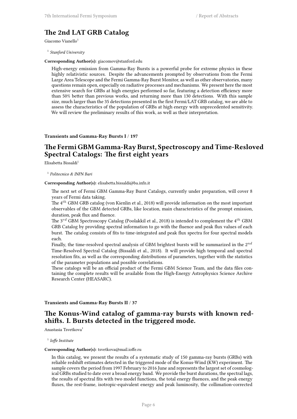# **The 2nd LAT GRB Catalog**

Giacomo Vianello<sup>1</sup>

1 *Stanford University*

## **Corresponding Author(s):** giacomov@stanford.edu

High-energy emission from Gamma-Ray Bursts is a powerful probe for extreme physics in these highly relativistic sources. Despite the advancements prompted by observations from the Fermi Large Area Telescope and the Fermi Gamma-Ray Burst Monitor, as well as other observatories, many questions remain open, especially on radiative processes and mechanisms. We present here the most extensive search for GRBs at high energies performed so far, featuring a detection efficiency more than 50% better than previous works, and returning more than 130 detections. With this sample size, much larger than the 35 detections presented in the first Fermi/LAT GRB catalog, we are able to assess the characteristics of the population of GRBs at high energy with unprecedented sensitivity. We will review the preliminary results of this work, as well as their interpretation.

## **Transients and Gamma-Ray Bursts I** / **197**

# **The Fermi GBM Gamma-Ray Burst, Spectroscopy and Time-Resloved Spectral Catalogs: The first eight years**

Elisabetta Bissaldi<sup>1</sup>

1 *Politecnico & INFN Bari*

**Corresponding Author(s):** elisabetta.bissaldi@ba.infn.it

The next set of Fermi GBM Gamma-Ray Burst Catalogs, currently under preparation, will cover 8 years of Fermi data taking.

The 4*th* GBM GRB catalog (von Kienlin et al., 2018) will provide information on the most important observables of the GBM detected GRBs, like location, main characteristics of the prompt emission, duration, peak flux and fluence.

The 3*rd* GBM Spectroscopy Catalog (Poolakkil et al., 2018) is intended to complement the 4*th* GBM GRB Catalog by providing spectral information to go with the fluence and peak flux values of each burst. The catalog consists of fits to time-integrated and peak flux spectra for four spectral models each.

Finally, the time-resolved spectral analysis of GBM brightest bursts will be summarized in the 2*nd* Time-Resolved Spectral Catalog (Bissaldi et al., 2018). It will provide high temporal and spectral resolution fits, as well as the corresponding distributions of parameters, together with the statistics of the parameter populations and possible correlations.

These catalogs will be an official product of the Fermi GBM Science Team, and the data files containing the complete results will be available from the High-Energy Astrophysics Science Archive Research Center (HEASARC).

## **Transients and Gamma-Ray Bursts II** / **37**

# **The Konus-Wind catalog of gamma-ray bursts with known redshifts. I. Bursts detected in the triggered mode.**

Anastasia Tsvetkova<sup>1</sup>

1 *Ioffe Institute*

#### **Corresponding Author(s):** tsvetkova@mail.ioffe.ru

In this catalog, we present the results of a systematic study of 150 gamma-ray bursts (GRBs) with reliable redshift estimates detected in the triggered mode of the Konus-Wind (KW) experiment. The sample covers the period from 1997 February to 2016 June and represents the largest set of cosmological GRBs studied to date over a broad energy band. We provide the burst durations, the spectral lags, the results of spectral fits with two model functions, the total energy fluences, and the peak energy fluxes, the rest-frame, isotropic-equivalent energy and peak luminosity, the collimation-corrected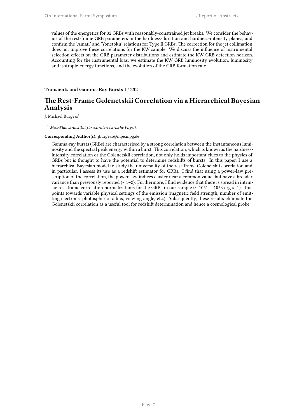values of the energetics for 32 GRBs with reasonably-constrained jet breaks. We consider the behavior of the rest-frame GRB parameters in the hardness-duration and hardness-intensity planes, and confirm the 'Amati' and 'Yonetoku' relations for Type II GRBs. The correction for the jet collimation does not improve these correlations for the KW sample. We discuss the influence of instrumental selection effects on the GRB parameter distributions and estimate the KW GRB detection horizon. Accounting for the instrumental bias, we estimate the KW GRB luminosity evolution, luminosity and isotropic-energy functions, and the evolution of the GRB formation rate.

**Transients and Gamma-Ray Bursts I** / **232**

# **The Rest-Frame Golenetskii Correlation via a Hierarchical Bayesian Analysis**

J. Michael Burgess<sup>1</sup>

<sup>1</sup> *Max-Planck-Institut für extraterrestrische Physik*

#### **Corresponding Author(s):** jburgess@mpe.mpg.de

Gamma-ray bursts (GRBs) are characterised by a strong correlation between the instantaneous luminosity and the spectral peak energy within a burst. This correlation, which is known as the hardnessintensity correlation or the Golenetskii correlation, not only holds important clues to the physics of GRBs but is thought to have the potential to determine redshifts of bursts. In this paper, I use a hierarchical Bayesian model to study the universality of the rest-frame Golenetskii correlation and in particular, I assess its use as a redshift estimator for GRBs. I find that using a power-law prescription of the correlation, the power-law indices cluster near a common value, but have a broader variance than previously reported (∼ 1−2). Furthermore, I find evidence that there is spread in intrinsic rest-frame correlation normalizations for the GRBs in our sample (∼ 1051 − 1053 erg s−1). This points towards variable physical settings of the emission (magnetic field strength, number of emitting electrons, photospheric radius, viewing angle, etc.). Subsequently, these results eliminate the Golenetskii correlation as a useful tool for redshift determination and hence a cosmological probe.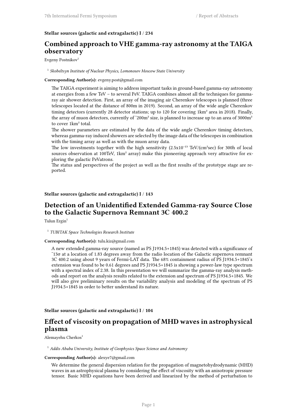## **Stellar sources (galactic and extragalactic) I** / **234**

# **Combined approach to VHE gamma-ray astronomy at the TAIGA observatory**

Evgeny Postnikov<sup>1</sup>

### <sup>1</sup> Skobeltsyn Institute of Nuclear Physics, Lomonosov Moscow State University

## **Corresponding Author(s):** evgeny.post@gmail.com

The TAIGA experiment is aiming to address important tasks in ground-based gamma-ray astronomy at energies from a few TeV – to several PeV. TAIGA combines almost all the techniques for gammaray air shower detection. First, an array of the imaging air Cherenkov telescopes is planned (three telescopes located at the distance of 800m in 2019). Second, an array of the wide angle Cherenkov timing detectors (currently 28 detector stations; up to 120 for covering 1km² area in 2018). Finally, the array of muon detectors, currently of ~200m<sup>2</sup> size, is planned to increase up to an area of 3000m<sup>2</sup> to cover 1km² total.

The shower parameters are estimated by the data of the wide angle Cherenkov timing detectors, whereas gamma-ray induced showers are selected by the image data of the telescopes in combination with the timing array as well as with the muon array data.

The low investments together with the high sensitivity  $(2.5x10^{-13} \text{ TeV}/(\text{cm}^2 \text{sec})$  for 300h of local sources observation at 100TeV, 1km² array) make this pioneering approach very attractive for exploring the galactic PeVatrons.

The status and perspectives of the project as well as the first results of the prototype stage are reported.

## **Stellar sources (galactic and extragalactic) I** / **143**

# **Detection of an Unidentified Extended Gamma-ray Source Close to the Galactic Supernova Remnant 3C 400.2**

Tulun Ergin<sup>1</sup>

1 *TUBITAK Space Technologies Research Institute*

#### **Corresponding Author(s):** tulu.kiz@gmail.com

A new extended gamma-ray source (named as PS J1934.5+1845) was detected with a significance of ˜13σ at a location of 1.83 degrees away from the radio location of the Galactic supernova remnant 3C 400.2 using about 9 years of Fermi-LAT data. The 68% containment radius of PS J1934.5+1845's extension was found to be 0.61 degrees and PS J1934.5+1845 is showing a power-law type spectrum with a spectral index of 2.38. In this presentation we will summarize the gamma-ray analysis methods and report on the analysis results related to the extension and spectrum of PS J1934.5+1845. We will also give preliminary results on the variability analysis and modeling of the spectrum of PS J1934.5+1845 in order to better understand its nature.

## **Stellar sources (galactic and extragalactic) I** / **104**

# **Effect of viscosity on propagation of MHD waves in astrophysical plasma**

Alemayehu Cherkos<sup>1</sup>

<sup>1</sup> *Addis Ababa University, Institute of Geophysics Space Science and Astronomy*

## **Corresponding Author(s):** alexye7@gmail.com

We determine the general dispersion relation for the propagation of magnetohydrodynamic (MHD) waves in an astrophysical plasma by considering the effect of viscosity with an anisotropic pressure tensor. Basic MHD equations have been derived and linearized by the method of perturbation to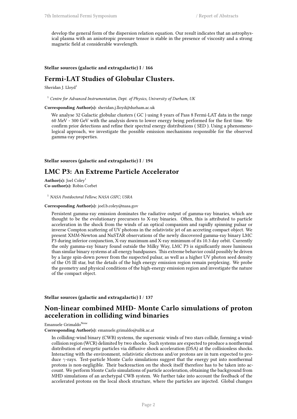develop the general form of the dispersion relation equation. Our result indicates that an astrophysical plasma with an anisotropic pressure tensor is stable in the presence of viscosity and a strong magnetic field at considerable wavelength.

**Stellar sources (galactic and extragalactic) I** / **166**

## **Fermi-LAT Studies of Globular Clusters.**

Sheridan J. Lloyd<sup>1</sup>

<sup>1</sup> *Centre for Advanced Instrumentation, Dept. of Physics, University of Durham, UK*

**Corresponding Author(s):** sheridan.j.lloyd@durham.ac.uk

We analyse 32 Galactic globular clusters ( GC ) using 8 years of Pass 8 Fermi-LAT data in the range 60 MeV - 300 GeV with the analysis down to lower energy being performed for the first time. We confirm prior detections and refine their spectral energy distributions ( SED ). Using a phenomenological approach, we investigate the possible emission mechanisms responsible for the observed gamma-ray properties.

**Stellar sources (galactic and extragalactic) I** / **194**

## **LMC P3: An Extreme Particle Accelerator**

Author(s): Joel Coley<sup>1</sup> **Co-author(s):** Robin Corbet

<sup>1</sup> *NASA Postdoctoral Fellow; NASA GSFC; USRA*

#### **Corresponding Author(s):** joel.b.coley@nasa.gov

Persistent gamma-ray emission dominates the radiative output of gamma-ray binaries, which are thought to be the evolutionary precursors to X-ray binaries. Often, this is attributed to particle acceleration in the shock from the winds of an optical companion and rapidly spinning pulsar or inverse Compton scattering of UV photons in the relativistic jet of an accreting compact object. We present XMM-Newton and NuSTAR observations of the newly discovered gamma-ray binary LMC P3 during inferior conjunction, X-ray maximum and X-ray minimum of its 10.3 day orbit. Currently the only gamma-ray binary found outside the Milky Way, LMC P3 is significantly more luminous than similar binary systems at all energy bandpasses. This extreme behavior could possibly be driven by a large spin-down power from the suspected pulsar, as well as a higher UV photon seed density of the O5 III star, but the details of the high energy emission region remain perplexing. We probe the geometry and physical conditions of the high-energy emission region and investigate the nature of the compact object.

**Stellar sources (galactic and extragalactic) I** / **137**

## **Non-linear combined MHD- Monte Carlo simulations of proton acceleration in colliding wind binaries**

Emanuele Grimaldo<sup>None</sup>

**Corresponding Author(s):** emanuele.grimaldo@uibk.ac.at

In colliding-wind binary (CWB) systems, the supersonic winds of two stars collide, forming a windcollision region (WCR) delimited by two shocks. Such systems are expected to produce a nonthermal distribution of energetic particles via diffusive shock acceleration (DSA) at the collisionless shocks. Interacting with the environment, relativistic electrons and/or protons are in turn expected to produce *γ*-rays. Test-particle Monte Carlo simulations suggest that the energy put into nonthermal protons is non-negligible. Their backreaction on the shock itself therefore has to be taken into account. We perform Monte Carlo simulations of particle acceleration, obtaining the background from MHD simulations of an archetypal CWB system. We further take into account the feedback of the accelerated protons on the local shock structure, where the particles are injected. Global changes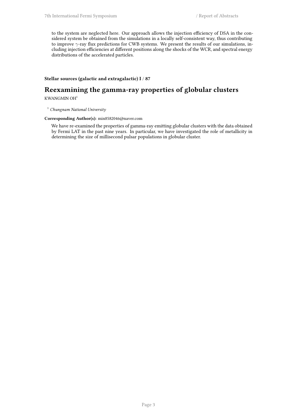to the system are neglected here. Our approach allows the injection efficiency of DSA in the considered system be obtained from the simulations in a locally self-consistent way, thus contributing to improve *γ*-ray flux predictions for CWB systems. We present the results of our simulations, including injection efficiencies at different positions along the shocks of the WCR, and spectral energy distributions of the accelerated particles.

## **Stellar sources (galactic and extragalactic) I** / **87**

# **Reexamining the gamma-ray properties of globular clusters**

KWANGMIN $\rm OH^{1}$ 

<sup>1</sup> *Chungnam National University*

### **Corresponding Author(s):** min8582046@naver.com

We have re-examined the properties of gamma-ray emitting globular clusters with the data obtained by Fermi LAT in the past nine years. In particular, we have investigated the role of metallicity in determining the size of millisecond pulsar populations in globular cluster.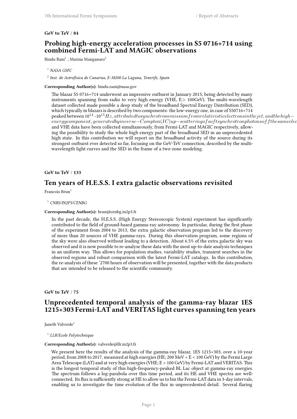## **GeV to TeV** / **84**

# **Probing high-energy acceleration processes in S5 0716+714 using combined Fermi-LAT and MAGIC observations**

Bindu Rani $^1$  ; Marina Manganaro $^2$ 

2 *Inst. de Astrofísica de Canarias, E-38200 La Laguna, Tenerife, Spain*

**Corresponding Author(s):** bindu.rani@nasa.gov

The blazar S5 0716+714 underwent an impressive outburst in January 2015, being detected by many instruments spanning from radio to very high energy (VHE, E*>* 100GeV). The multi-wavelength dataset collected made possible a deep study of the broadband Spectral Energy Distribution (SED), which typically in blazars is described by two components: the low-energy one, in case of S50716+714 peaked between 10<sup>14</sup> -10<sup>15</sup>*Hz, attributedtosynchrotronemissionfromrelativisticelectronsinthejet, andthehigh<sup>−</sup>*  $energy component, generated by inverse-Compton (IC) up-scattering of soft synchrotron photons of the same elec.$ and VHE data have been collected simultaneously, from Fermi-LAT and MAGIC respectively, allowing the possibility to study the whole high energy part of the broadband SED in an unprecedented high state. In this contribution we will report on the broadband activity of the source during its strongest outburst ever detected so far, focusing on the GeV-TeV connection, described by the multiwavelength light curves and the SED in the frame of a two-zone modeling.

## **GeV to TeV** / **133**

## **Ten years of H.E.S.S. I extra galactic observations revisited**

Francois Brun<sup>1</sup>

#### <sup>1</sup> *CNRS/IN2P3/CENBG*

#### **Corresponding Author(s):** brun@cenbg.in2p3.fr

In the past decade, the H.E.S.S. (High Energy Stereoscopic System) experiment has significantly contributed to the field of ground-based gamma-ray astronomy. In particular, during the first phase of the experiment from 2004 to 2013, the extra galactic observation program led to the discovery of more than 20 sources of VHE gamma-rays. During this observation program, some regions of the sky were also observed without leading to a detection. About 6.5% of the extra galactic sky was observed and it is now possible to re-analyse these data with the most up-to-date analysis techniques in an uniform way. This allows for population studies, variability studies, transient searches in the observed regions and robust comparison with the latest Fermi-LAT catalogs. In this contribution, the re-analysis of these ˜2700 hours of observation will be presented, together with the data products that are intended to be released to the scientific community.

## **GeV to TeV** / **75**

# **Unprecedented temporal analysis of the gamma-ray blazar 1ES 1215+303 Fermi-LAT and VERITAS light curves spanning ten years**

Janeth Valverde<sup>1</sup>

1 *LLR/Ecole Polytechnique*

## **Corresponding Author(s):** valverde@llr.in2p3.fr

We present here the results of the analysis of the gamma-ray blazar, 1ES 1215+303, over a 10-year period, from 2008 to 2017, measured at high energies (HE; 200 MeV < E < 100 GeV) by the Fermi Large Area Telescope (LAT) and at very high energies (VHE; E > 100 GeV) by Fermi-LAT and VERITAS. This is the longest temporal study of this high-frequency-peaked BL Lac object at gamma-ray energies. The spectrum follows a log-parabola over this time period, and its HE and VHE spectra are wellconnected. Its flux is sufficiently strong at HE to allow us to bin the Fermi-LAT data in 3-day intervals, enabling us to investigate the time evolution of the flux in unprecedented detail. Several flaring

<sup>1</sup> *NASA GSFC*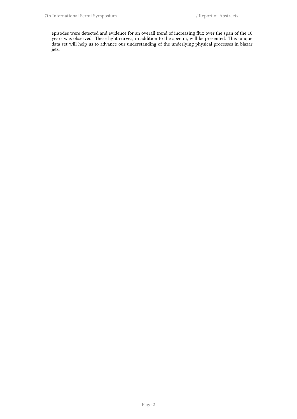episodes were detected and evidence for an overall trend of increasing flux over the span of the 10 years was observed. These light curves, in addition to the spectra, will be presented. This unique data set will help us to advance our understanding of the underlying physical processes in blazar jets.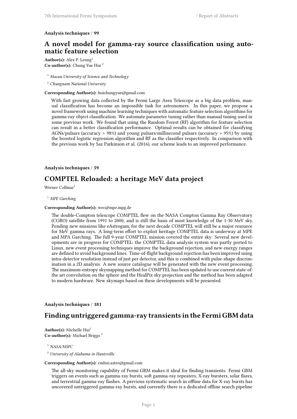### **Analysis techniques** / **99**

# **A novel model for gamma-ray source classification using automatic feature selection**

Author(s): Alex P. Leung<sup>1</sup> **Co-author(s):** Chung Yue Hui <sup>2</sup>

<sup>1</sup> *Macau University of Science and Technology*

<sup>2</sup> *Chungnam National University*

#### **Corresponding Author(s):** huichungyue@gmail.com

With fast growing data collected by the Fermi Large Area Telescope as a big data problem, manual classification has become an impossible task for astronomers. In this paper, we propose a novel framework using machine learning techniques with automatic feature selection algorithms for gamma-ray object classification. We automate parameter tuning rather than manual tuning used in some previous work. We found that using the Random Forest (RF) algorithm for feature selection can result in a better classification performance. Optimal results can be obtained for classifying AGNs/pulsars (accuracy > 98%) and young pulsars/millisecond pulsars (accuracy > 95%) by using the boosted logistic regression algorithm and RF as the classifier respectively. In comparison with the previous work by Saz Parkinson et al. (2016), our scheme leads to an improved performance.

## **Analysis techniques** / **59**

# **COMPTEL Reloaded: a heritage MeV data project**

Werner Collmar<sup>1</sup>

<sup>1</sup> *MPE Garching*

#### **Corresponding Author(s):** wec@mpe.mpg.de

The double-Compton telescope COMPTEL flew on the NASA Compton Gamma Ray Observatory (CGRO) satellite from 1991 to 2000, and is still the basis of most knowledge of the 1-30 MeV sky. Pending new missions like eAstrogam, for the next decade COMPTEL will still be a major resource for MeV gamma rays. A long-term effort to exploit heritage COMPTEL data is underway at MPE and MPA Garching. The full 9-year COMPTEL mission covered the entire sky. Several new developments are in progress for COMPTEL: the COMPTEL data analysis system was partly ported to Linux, new event processing techniques improve the background rejection, and new energy ranges are defined to avoid background lines. Time-of-flight background rejection has been improved using intra-detector resolution instead of just per detector, and this is combined with pulse-shape discrimination in a 2D analysis. A new source catalogue will be generated with the new event processing. The maximum-entropy skymapping method for COMPTEL has been updated to use current state-ofthe art convolution on the sphere and the HealPix sky projection and the method has been adapted to modern hardware. New skymaps based on these developments will be presented.

## **Analysis techniques** / **181**

## **Finding untriggered gamma-ray transients in the Fermi GBM data**

**Author(s):** Michelle Hui<sup>1</sup> **Co-author(s):** Michael Briggs <sup>2</sup>

<sup>1</sup> *NASA/MSFC*

<sup>2</sup> *University of Alabama in Huntsville*

#### **Corresponding Author(s):** cmhui.astro@gmail.com

The all-sky monitoring capability of Fermi GBM makes it ideal for finding transients. Fermi GBM triggers on events such as gamma-ray bursts, soft gamma-ray repeaters, X-ray bursters, solar flares, and terrestrial gamma-ray flashes. A previous systematic search in offline data for X-ray bursts has uncovered untriggered gamma-ray bursts, and currently there is a dedicated offline search pipeline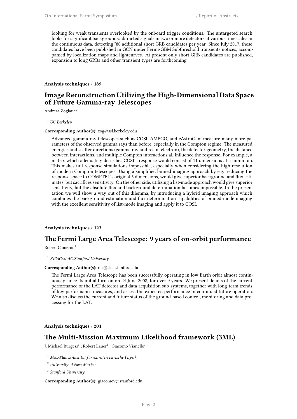looking for weak transients overlooked by the onboard trigger conditions. The untargeted search looks for significant background-subtracted signals in two or more detectors at various timescales in the continuous data, detecting ˜80 additional short GRB candidates per year. Since July 2017, these candidates have been published in GCN under Fermi-GBM Subthreshold transients notices, accompanied by localization maps and lightcurves. At present only short GRB candidates are published, expansion to long GRBs and other transient types are forthcoming.

## **Analysis techniques** / **189**

# **Image Reconstruction Utilizing the High-Dimensional Data Space of Future Gamma-ray Telescopes**

Andreas Zoglauer<sup>1</sup>

<sup>1</sup> *UC Berkeley*

#### **Corresponding Author(s):** zog@ssl.berkeley.edu

Advanced gamma-ray telescopes such as COSI, AMEGO, and eAstroGam measure many more parameters of the observed gamma rays than before, especially in the Compton regime. The measured energies and scatter directions (gamma ray and recoil electron), the detector geometry, the distance between interactions, and multiple Compton interactions all influence the response. For example, a matrix which adequately describes COSI's response would consist of 11 dimensions at a minimum. This makes full response simulations impossible, especially when considering the high resolution of modern Compton telescopes. Using a simplified binned imaging approach by e.g. reducing the response space to COMPTEL's original 5 dimensions, would give superior background and flux estimates, but sacrifices sensitivity. On the other side, utilizing a list-mode approach would give superior sensitivity, but the absolute flux and background determination becomes impossible. In the presentation we will show a way out of this dilemma, by introducing a hybrid imaging approach which combines the background estimation and flux determination capabilities of binned-mode imaging with the excellent sensitivity of list-mode imaging and apply it to COSI.

## **Analysis techniques** / **123**

# **The Fermi Large Area Telescope: 9 years of on-orbit performance**

Robert Cameron<sup>1</sup>

#### <sup>1</sup> *KIPAC/SLAC/Stanford University*

#### **Corresponding Author(s):** rac@slac.stanford.edu

The Fermi Large Area Telescope has been successfully operating in low Earth orbit almost continuously since its initial turn-on on 24 June 2008, for over 9 years. We present details of the current performance of the LAT detector and data acquisition sub-systems, together with long-term trends of key performance measures, and assess the expected performance in continued future operation. We also discuss the current and future status of the ground-based control, monitoring and data processing for the LAT.

### **Analysis techniques** / **201**

## **The Multi-Mission Maximum Likelihood framework (3ML)**

J. Michael Burgess $^1$  ; Robert Lauer $^2$  ; Giacomo Vianello $^3$ 

- <sup>1</sup> *Max-Planck-Institut für extraterrestrische Physik*
- <sup>2</sup> *University of New Mexico*
- 3 *Stanford University*

### **Corresponding Author(s):** giacomov@stanford.edu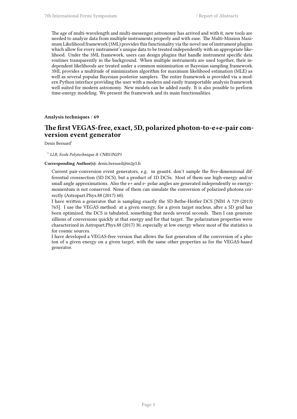The age of multi-wavelength and multi-messenger astronomy has arrived and with it, new tools are needed to analyze data from multiple instruments properly and with ease. The Multi-Mission Maximum Likelihood framework (3ML) provides this functionality via the novel use of instrument plugins which allow for every instrument's unique data to be treated independently with an appropriate likelihood. Under the 3ML framework, users can design plugins that handle instrument specific data routines transparently in the background. When multiple instruments are used together, their independent likelihoods are treated under a common minimization or Bayesian sampling framework. 3ML provides a multitude of minimization algorithm for maximum likelihood estimation (MLE) as well as several popular Bayesian posterior samplers. The entire framework is provided via a modern Python interface providing the user with a modern and easily transportable analysis framework well suited for modern astronomy. New models can be added easily. It is also possible to perform time-energy modeling. We present the framework and its main functionalities.

**Analysis techniques** / **69**

## **The first VEGAS-free, exact, 5D, polarized photon-to-e+e-pair conversion event generator**

Denis Bernard $1$ 

### 1 *LLR, Ecole Polytechnique & CNRS/IN2P3*

#### **Corresponding Author(s):** denis.bernard@in2p3.fr

Current pair-conversion event generators, e.g. in geant4, don't sample the five-dimensional differential crosssection (5D DCS), but a product of 1D DCSs. Most of them use high-energy and/or small angle approximations. Also the  $e+$  and  $e-$  polar angles are generated independently so energymomentum is not conserved. None of them can simulate the conversion of polarized photons correctly (Astropart.Phys.88 (2017) 60).

I have written a generator that is sampling exactly the 5D Bethe-Heitler DCS [NIM A 729 (2013) 765]. I use the VEGAS method: at a given energy, for a given target nucleus, after a 5D grid has been optimized, the DCS is tabulated, something that needs several seconds. Then I can generate zillions of conversions quickly at that energy and for that target. The polarization properties were characterized in Astropart.Phys.88 (2017) 30, especially at low energy where most of the statistics is for cosmic sources.

I have developed a VEGAS-free version that allows the fast generation of the conversion of a photon of a given energy on a given target, with the same other properties as for the VEGAS-based generator.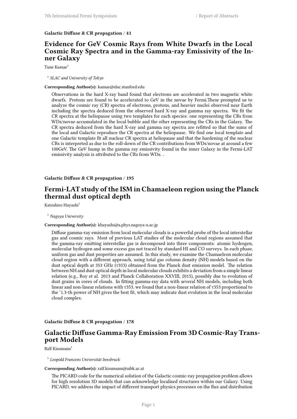### **Galactic Diffuse & CR propagation** / **41**

# **Evidence for GeV Cosmic Rays from White Dwarfs in the Local Cosmic Ray Spectra and in the Gamma-ray Emissivity of the Inner Galaxy**

Tune Kamae<sup>1</sup>

1 *SLAC and University of Tokyo*

#### **Corresponding Author(s):** kamae@slac.stanford.edu

Observations in the hard X-ray band found that electrons are accelerated in two magnetic white dwarfs. Protons are found to be accelerated to GeV in the novae by Fermi.These prompted us to analyze the cosmic ray (CR) spectra of electrons, protons, and heavier nuclei observed near Earth including the spectra deduced from the observed hard X-ray and gamma ray spectra. We fit the CR spectra at the heliopause using two templates for each species: one representing the CRs from WDs/novae accumulated in the local bubble and the other representing the CRs in the Galaxy. The CR spectra deduced from the hard X-ray and gamma ray spectra are refitted so that the sums of the local and Galactic reproduce the CR spectra at the heliopause. We find one local template and one Galactic template fit all nuclear CR spectra at heliopause and that the hardening of the nuclear CRs is interpreted as due to the roll-down of the CR contributions from WDs/novae at around a few 100GeV. The GeV hump in the gamma ray emissivity found in the inner Galaxy in the Fermi-LAT emissivity analysis is attributed to the CRs from WDs. .

**Galactic Diffuse & CR propagation** / **195**

# **Fermi-LAT study of the ISM in Chamaeleon region using the Planck thermal dust optical depth**

Katsuhiro Hayashi<sup>1</sup>

<sup>1</sup> *Nagoya University*

## **Corresponding Author(s):** khayashi@a.phys.nagoya-u.ac.jp

Diffuse gamma-ray emission from local molecular clouds is a powerful probe of the local interstellar gas and cosmic rays. Most of previous LAT studies of the molecular cloud regions assumed that the gamma-ray emitting interstellar gas is decomposed into three components: atomic hydrogen, molecular hydrogen and some excess gas not traced by standard HI and CO surveys. In each phase, uniform gas and dust properties are assumed. In this study, we examine the Chamaeleon molecular cloud region with a different approach, using total gas column density (NH) models based on the dust optical depth at 353 GHz (τ353) obtained from the Planck dust emission model. The relation between NH and dust optical depth in local molecular clouds exhibits a deviation from a simple linear relation (e.g., Roy et al. 2013 and Planck Collaboration XXVIII, 2015), possibly due to evolution of dust grains in cores of clouds. In fitting gamma-ray data with several NH models, including both linear and non-linear relations with τ353, we found that a non-linear relation of τ353 proportional to the ˜1.3-th power of NH gives the best fit, which may indicate dust evolution in the local molecular cloud complex.

**Galactic Diffuse & CR propagation** / **178**

# **Galactic Diffuse Gamma-Ray Emission From 3D Cosmic-Ray Transport Models**

 $R$ alf Kissmann<sup>1</sup>

## 1 *Leopold Franzens Universität Innsbruck*

### **Corresponding Author(s):** ralf.kissmann@uibk.ac.at

The PICARD code for the numerical solution of the Galactic cosmic-ray propagation problem allows for high resolution 3D models that can acknowledge localised structures within our Galaxy. Using PICARD, we address the impact of different transport physics processes on the flux and distribution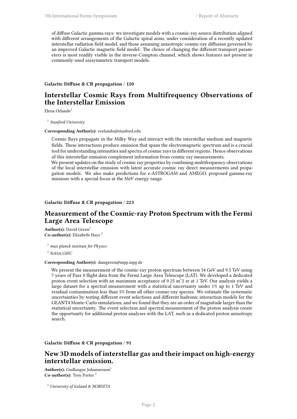of diffuse Galactic gamma rays: we investigate models with a cosmic-ray source distribution aligned with different arrangements of the Galactic spiral arms, under consideration of a recently updated interstellar radiation field model, and those assuming anisotropic cosmic-ray diffusion governed by an improved Galactic magnetic field model. The choice of changing the different transport parameters is most readily visible in the inverse-Compton channel, which shows features not present in commonly-used axisymmetric transport models.

## **Galactic Diffuse & CR propagation** / **120**

# **Interstellar Cosmic Rays from Multifrequency Observations of the Interstellar Emission**

Elena Orlando $1$ 

1 *Stanford University*

#### **Corresponding Author(s):** eorlando@stanford.edu

Cosmic Rays propagate in the Milky Way and interact with the interstellar medium and magnetic fields. These interactions produce emission that spans the electromagnetic spectrum and is a crucial tool for understanding intensities and spectra of cosmic rays in different regions. Hence observations of this interstellar emission complement information from cosmic ray measurements.

We present updates on the study of cosmic ray properties by combining multifrequency observations of the local interstellar emission with latest accurate cosmic ray direct measurements and propagation models. We also make predictions for e-ASTROGAM and AMEGO, proposed gamma-ray missions with a special focus at the MeV energy range.

### **Galactic Diffuse & CR propagation** / **223**

# **Measurement of the Cosmic-ray Proton Spectrum with the Fermi Large Area Telescope**

Author(s): David Green<sup>1</sup> **Co-author(s):** Elizabeth Hays <sup>2</sup>

<sup>1</sup> *max planck institute for Physics*

<sup>2</sup> *NASA/GSFC*

#### **Corresponding Author(s):** damgreen@mpp.mpg.de

We present the measurement of the cosmic-ray proton spectrum between 54 GeV and 9.5 TeV using 7 years of Pass 8 flight data from the Fermi Large Area Telescope (LAT). We developed a dedicated proton event selection with an maximum acceptance of 0.25 mˆ2 sr at 1 TeV. Our analysis yields a large dataset for a spectral measurement with a statistical uncertainty under 1% up to 1 TeV and residual contamination less than 5% from all other cosmic-ray species. We estimate the systematic uncertainties by testing different event selections and different hadronic interaction models for the GEANT4 Monte-Carlo simulations, and we found that they are an order of magnitude larger than the statistical uncertainty. The event selection and spectral measurement of the proton analysis create the opportunity for additional proton analyses with the LAT, such as a dedicated proton anisotropy search.

## **Galactic Diffuse & CR propagation** / **91**

# **New 3D models of interstellar gas and their impact on high-energy interstellar emission.**

Author(s): Gudlaugur Johannesson<sup>1</sup> **Co-author(s):** Troy Porter <sup>2</sup>

<sup>1</sup> *University of Iceland & NORDITA*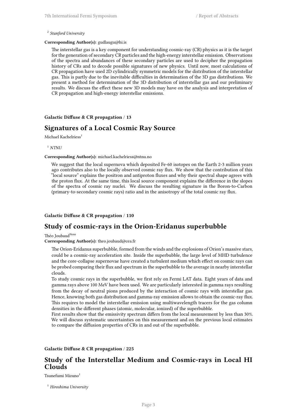## 2 *Stanford University*

### **Corresponding Author(s):** gudlaugu@hi.is

The interstellar gas is a key component for understanding cosmic-ray (CR) physics as it is the target for the generation of secondary CR particles and the high-energy interstellar emission. Observations of the spectra and abundances of these secondary particles are used to decipher the propagation history of CRs and to decode possible signatures of new physics. Until now, most calculations of CR propagation have used 2D cylindrically symmetric models for the distribution of the interstellar gas. This is partly due to the inevitable difficulties in determination of the 3D gas distributions. We present a method for determination of the 3D distribution of interstellar gas and our preliminary results. We discuss the effect these new 3D models may have on the analysis and interpretation of CR propagation and high-energy interstellar emissions.

## **Galactic Diffuse & CR propagation** / **13**

## **Signatures of a Local Cosmic Ray Source**

Michael Kachelriess<sup>1</sup>

## $^{\rm 1}$   $NTNU$

#### **Corresponding Author(s):** michael.kachelriess@ntnu.no

We suggest that the local supernova which deposited Fe-60 isotopes on the Earth 2-3 million years ago contributes also to the locally observed cosmic ray flux. We show that the contribution of this "local source" explains the positron and antiproton fluxes and why their spectral shape agrees with the proton flux. At the same time, this local source component explains the difference in the slopes of the spectra of cosmic ray nuclei. We discuss the resulting signature in the Boron-to-Carbon (primary-to-secondary cosmic rays) ratio and in the anisotropy of the total cosmic ray flux.

## **Galactic Diffuse & CR propagation** / **110**

## **Study of cosmic-rays in the Orion-Eridanus superbubble**

Théo Joubaud<sup>None</sup>

**Corresponding Author(s):** theo.joubaud@cea.fr

The Orion-Eridanus superbubble, formed from the winds and the explosions of Orion's massive stars, could be a cosmic-ray acceleration site. Inside the superbubble, the large level of MHD turbulence and the core-collapse supernovae have created a turbulent medium which effect on cosmic rays can be probed comparing their flux and spectrum in the superbubble to the average in nearby interstellar clouds.

To study cosmic rays in the superbubble, we first rely on Fermi LAT data. Eight years of data and gamma rays above 100 MeV have been used. We are particularly interested in gamma rays resulting from the decay of neutral pions produced by the interaction of cosmic rays with interstellar gas. Hence, knowing both gas distribution and gamma-ray emission allows to obtain the cosmic-ray flux. This requires to model the interstellar emission using multiwavelength tracers for the gas column densities in the different phases (atomic, molecular, ionized) of the superbubble.

First results show that the emissivity spectrum differs from the local measurement by less than 30%. We will discuss systematic uncertainties on this measurement and on the previous local estimates to compare the diffusion properties of CRs in and out of the superbubble.

#### **Galactic Diffuse & CR propagation** / **225**

## **Study of the Interstellar Medium and Cosmic-rays in Local HI Clouds**

Tsunefumi Mizuno<sup>1</sup>

<sup>1</sup> *Hiroshima University*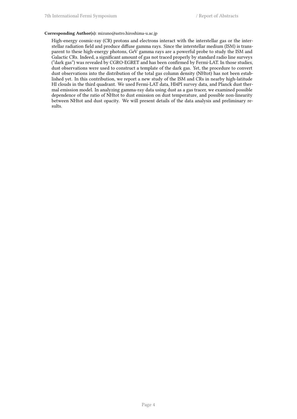## **Corresponding Author(s):** mizuno@astro.hiroshima-u.ac.jp

High-energy cosmic-ray (CR) protons and electrons interact with the interstellar gas or the interstellar radiation field and produce diffuse gamma rays. Since the interstellar medium (ISM) is transparent to these high-energy photons, GeV gamma rays are a powerful probe to study the ISM and Galactic CRs. Indeed, a significant amount of gas not traced properly by standard radio line surveys ("dark gas") was revealed by CGRO-EGRET and has been confirmed by Fermi-LAT. In those studies, dust observations were used to construct a template of the dark gas. Yet, the procedure to convert dust observations into the distribution of the total gas column density (NHtot) has not been established yet. In this contribution, we report a new study of the ISM and CRs in nearby high-latitude HI clouds in the third quadrant. We used Fermi-LAT data, HI4PI survey data, and Planck dust thermal emission model. In analyzing gamma-ray data using dust as a gas tracer, we examined possible dependence of the ratio of NHtot to dust emission on dust temperature, and possible non-linearity between NHtot and dust opacity. We will present details of the data analysis and preliminary results.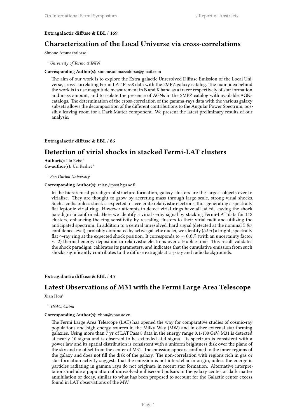## **Extragalactic diffuse & EBL** / **169**

# **Characterization of the Local Universe via cross-correlations**

Simone Ammazzalorso<sup>1</sup>

<sup>1</sup> *University of Torino & INFN*

#### **Corresponding Author(s):** simone.ammazzalorso@gmail.com

The aim of our work is to explore the Extra-galactic Unresolved Diffuse Emission of the Local Universe, cross-correlating Fermi LAT Pass8 data with the 2MPZ galaxy catalog. The main idea behind the work is to use magnitude measurement in B and K band as a tracer respectively of star formation and mass amount, and to isolate the presence of AGNs in the 2MPZ catalog with available AGNs catalogs. The determination of the cross-correlation of the gamma-rays data with the various galaxy subsets allows the decomposition of the different contributions to the Angular Power Spectrum, possibly leaving room for a Dark Matter component. We present the latest preliminary results of our analysis.

#### **Extragalactic diffuse & EBL** / **86**

# **Detection of virial shocks in stacked Fermi-LAT clusters**

Author(s): Ido Reiss<sup>1</sup> Co-author(s): Uri Keshet<sup>1</sup>

1 *Ben Gurion University*

#### **Corresponding Author(s):** reissi@post.bgu.ac.il

In the hierarchical paradigm of structure formation, galaxy clusters are the largest objects ever to virialize. They are thought to grow by accreting mass through large scale, strong virial shocks. Such a collisionless shock is expected to accelerate relativistic electrons, thus generating a spectrally flat leptonic virial ring. However attempts to detect virial rings have all failed, leaving the shock paradigm unconfirmed. Here we identify a virial *γ*-ray signal by stacking Fermi-LAT data for 112 clusters, enhancing the ring sensitivity by rescaling clusters to their virial radii and utilizing the anticipated spectrum. In addition to a central unresolved, hard signal (detected at the nominal 5*.*8*σ* confidence level), probably dominated by active galactic nuclei, we identify (5*.*9*σ*) a bright, spectrally flat *γ*-ray ring at the expected shock position. It corresponds to *∼* 0*.*6% (with an uncertainty factor *∼* 2) thermal energy deposition in relativistic electrons over a Hubble time. This result validates the shock paradigm, calibrates its parameters, and indicates that the cumulative emission from such shocks significantly contributes to the diffuse extragalactic *γ*-ray and radio backgrounds.

### **Extragalactic diffuse & EBL** / **45**

# **Latest Observations of M31 with the Fermi Large Area Telescope**

Xian Hou<sup>1</sup>

## 1 *YNAO, China*

#### **Corresponding Author(s):** xhou@ynao.ac.cn

The Fermi Large Area Telescope (LAT) has opened the way for comparative studies of cosmic-ray populations and high-energy sources in the Milky Way (MW) and in other external star-forming galaxies. Using more than 7 yr of LAT Pass 8 data in the energy range 0.1-100 GeV, M31 is detected at nearly 10 sigma and is observed to be extended at 4 sigma. Its spectrum is consistent with a power law and its spatial distribution is consistent with a uniform brightness disk over the plane of the sky and no offset from the center of M31. The emission appears confined to the inner regions of the galaxy and does not fill the disk of the galaxy. The non-correlation with regions rich in gas or star-formation activity suggests that the emission is not interstellar in origin, unless the energetic particles radiating in gamma rays do not originate in recent star formation. Alternative interpretations include a population of unresolved millisecond pulsars in the galaxy center or dark matter annihilation or decay, similar to what has been proposed to account for the Galactic center excess found in LAT observations of the MW.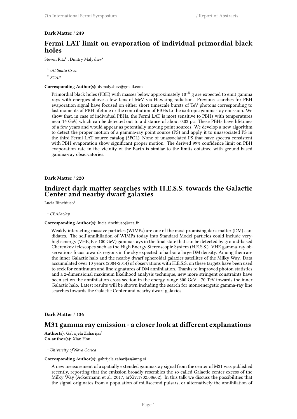## **Dark Matter** / **249**

# **Fermi LAT limit on evaporation of individual primordial black holes**

Steven Ritz<sup>1</sup>; Dmitry Malyshev<sup>2</sup>

<sup>1</sup> *UC Santa Cruz* 2 *ECAP*

#### **Corresponding Author(s):** dvmalyshev@gmail.com

Primordial black holes (PBH) with masses below approximately  $10^{15}$  g are expected to emit gamma rays with energies above a few tens of MeV via Hawking radiation. Previous searches for PBH evaporation signal have focused on either short timescale bursts of TeV photons corresponding to last moments of PBH lifetime or the contribution of PBHs to the isotropic gamma-ray emission. We show that, in case of individual PBHs, the Fermi LAT is most sensitive to PBHs with temperatures near 16 GeV, which can be detected out to a distance of about 0.03 pc. These PBHs have lifetimes of a few years and would appear as potentially moving point sources. We develop a new algorithm to detect the proper motion of a gamma-ray point source (PS) and apply it to unassociated PS in the third Fermi-LAT source catalog (3FGL). None of unassociated PS that have spectra consistent with PBH evaporation show significant proper motion. The derived 99% confidence limit on PBH evaporation rate in the vicinity of the Earth is similar to the limits obtained with ground-based gamma-ray observatories.

## **Dark Matter** / **220**

## **Indirect dark matter searches with H.E.S.S. towards the Galactic Center and nearby dwarf galaxies**

Lucia Rinchiuso<sup>1</sup>

#### <sup>1</sup> *CEASaclay*

#### **Corresponding Author(s):** lucia.rinchiuso@cea.fr

Weakly interacting massive particles (WIMPs) are one of the most promising dark matter (DM) candidates. The self-annihilation of WIMPs today into Standard Model particles could include veryhigh-energy (VHE, E > 100 GeV) gamma-rays in the final state that can be detected by ground-based Cherenkov telescopes such as the High Energy Stereoscopic System (H.E.S.S.). VHE gamma-ray observations focus towards regions in the sky expected to harbor a large DM density. Among them are the inner Galactic halo and the nearby dwarf spheroidal galaxies satellites of the Milky Way. Data accumulated over 10 years (2004-2014) of observations with H.E.S.S. on these targets have been used to seek for continuum and line signatures of DM annihilation. Thanks to improved photon statistics and a 2-dimensional maximum likelihood analysis technique, new more stringent constraints have been set on the annihilation cross section in the energy range 300 GeV - 70 TeV towards the inner Galactic halo. Latest results will be shown including the search for monoenergetic gamma-ray line searches towards the Galactic Center and nearby dwarf galaxies.

## **Dark Matter** / **136**

## **M31 gamma ray emission - a closer look at different explanations**

**Author(s):** Gabrijela Zaharijas<sup>1</sup> **Co-author(s):** Xian Hou

<sup>1</sup> *University of Nova Gorica*

#### **Corresponding Author(s):** gabrijela.zaharijas@ung.si

A new measurement of a spatially extended gamma-ray signal from the center of M31 was published recently, reporting that the emission broadly resembles the so-called Galactic center excess of the Milky Way (Ackermann et al. 2017, arXiv:1702.08602). In this talk we discuss the possibilities that the signal originates from a population of millisecond pulsars, or alternatively the annihilation of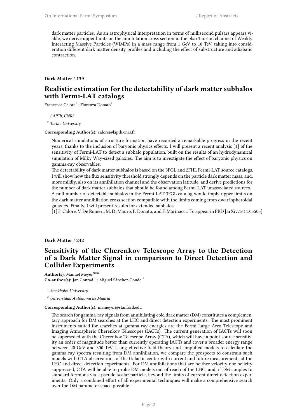dark matter particles. As an astrophysical interpretation in terms of millisecond pulsars appears viable, we derive upper limits on the annihilation cross section in the bbar/tau-tau channel of Weakly Interacting Massive Particles (WIMPs) in a mass range from 1 GeV to 10 TeV, taking into consideration different dark matter density profiles and including the effect of substructure and adiabatic contraction.

## **Dark Matter** / **139**

# **Realistic estimation for the detectability of dark matter subhalos with Fermi-LAT catalogs**

Francesca Calore $^1$  ; Fiorenza Donato $^2$ 

1 *LAPTh, CNRS*

2 *Torino University*

#### **Corresponding Author(s):** calore@lapth.cnrs.fr

Numerical simulations of structure formation have recorded a remarkable progress in the recent years, thanks to the inclusion of baryonic physics effects. I will present a recent analysis [1] of the sensitivity of Fermi-LAT to detect a subhalo population, built on the results of an hydrodynamical simulation of Milky Way-sized galaxies. The aim is to investigate the effect of baryonic physics on gamma-ray observables.

The detectability of dark matter subhalos is based on the 3FGL and 2FHL Fermi-LAT source catalogs. I will show how the flux sensitivity threshold strongly depends on the particle dark matter mass, and, more mildly, also on its annihilation channel and the observation latitude, and derive predictions for the number of dark matter subhalos that should be found among Fermi-LAT unassociated sources. A null number of detectable subhalos in the Fermi-LAT 3FGL catalog would imply upper limits on the dark matter annihilation cross section compatible with the limits coming from dwarf spheroidal galaxies. Finally, I will present results for extended subhalos.

[1] F. Calore, V. De Romeri, M. Di Mauro, F. Donato, and F. Marinacci. To appear in PRD [arXiv:1611.03503]

## **Dark Matter** / **242**

# **Sensitivity of the Cherenkov Telescope Array to the Detection of a Dark Matter Signal in comparison to Direct Detection and Collider Experiments**

**Author(s):** Manuel Meyer<sup>None</sup> Co-author(s): Jan Conrad<sup>1</sup>; Miguel Sánchez-Conde<sup>2</sup>

1 *Stockholm University*

<sup>2</sup> *Universidad Autónoma de Madrid*

## **Corresponding Author(s):** mameyer@stanford.edu

The search for gamma-ray signals from annihilating cold dark matter (DM) constitutes a complementary approach for DM searches at the LHC and direct detection experiments. The most prominent instruments suited for searches at gamma-ray energies are the Fermi Large Area Telescope and Imaging Atmospheric Cherenkov Telescopes (IACTs). The current generation of IACTs will soon be superseded with the Cherenkov Telescope Array (CTA), which will have a point source sensitivity an order of magnitude better than currently operating IACTs and cover a broader energy range between 20 GeV and 300 TeV. Using effective field theory and simplified models to calculate the gamma-ray spectra resulting from DM annihilation, we compare the prospects to constrain such models with CTA observations of the Galactic center with current and future measurements at the LHC and direct detection experiments. For DM annihilations that are neither velocity nor helicity suppressed, CTA will be able to probe DM models out of reach of the LHC, and, if DM couples to standard fermions via a pseudo-scalar particle, beyond the limits of current direct detection experiments. Only a combined effort of all experimental techniques will make a comprehensive search over the DM parameter space possible.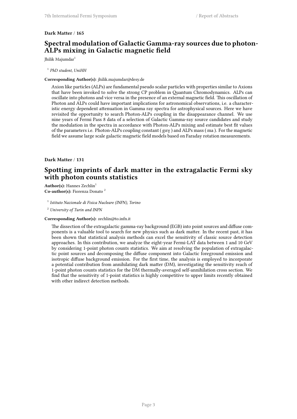## **Dark Matter** / **165**

# **Spectral modulation of Galactic Gamma-ray sources due to photon-ALPs mixing in Galactic magnetic field**

Jhilik Majumdar<sup>1</sup>

1 *PhD student, UniHH*

**Corresponding Author(s):** jhilik.majumdar@desy.de

Axion like particles (ALPs) are fundamental pseudo scalar particles with properties similar to Axions that have been invoked to solve the strong CP problem in Quantum Chromodynamics. ALPs can oscillate into photons and vice versa in the presence of an external magnetic field. This oscillation of Photon and ALPs could have important implications for astronomical observations, i.e. a characteristic energy dependent attenuation in Gamma ray spectra for astrophysical sources. Here we have revisited the opportunity to search Photon-ALPs coupling in the disappearance channel. We use nine years of Fermi Pass 8 data of a selection of Galactic Gamma-ray source candidates and study the modulation in the spectra in accordance with Photon-ALPs mixing and estimate best fit values of the parameters i.e. Photon-ALPs coupling constant ( gαγ ) and ALPs mass ( ma ). For the magnetic field we assume large scale galactic magnetic field models based on Faraday rotation measurements.

## **Dark Matter** / **131**

# **Spotting imprints of dark matter in the extragalactic Fermi sky with photon counts statistics**

**Author(s):** Hannes Zechlin<sup>1</sup> **Co-author(s):** Fiorenza Donato <sup>2</sup>

1 *Istituto Nazionale di Fisica Nucleare (INFN), Torino*

<sup>2</sup> *University of Turin and INFN*

**Corresponding Author(s):** zechlin@to.infn.it

The dissection of the extragalactic gamma-ray background (EGB) into point sources and diffuse components is a valuable tool to search for new physics such as dark matter. In the recent past, it has been shown that statistical analysis methods can excel the sensitivity of classic source detection approaches. In this contribution, we analyze the eight-year Fermi-LAT data between 1 and 10 GeV by considering 1-point photon counts statistics. We aim at resolving the population of extragalactic point sources and decomposing the diffuse component into Galactic foreground emission and isotropic diffuse background emission. For the first time, the analysis is employed to incorporate a potential contribution from annihilating dark matter (DM), investigating the sensitivity reach of 1-point photon counts statistics for the DM thermally-averaged self-annihilation cross section. We find that the sensitivity of 1-point statistics is highly competitive to upper limits recently obtained with other indirect detection methods.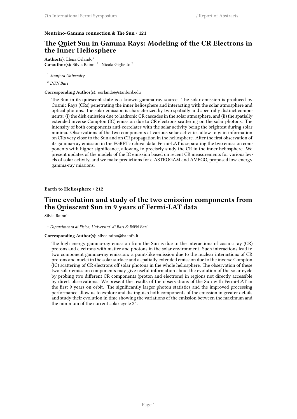### **Neutrino-Gamma connection & The Sun** / **121**

# **The Quiet Sun in Gamma Rays: Modeling of the CR Electrons in the Inner Heliosphere**

**Author(s):** Elena Orlando<sup>1</sup> Co-author(s): Silvia Raino<sup>, 2</sup>; Nicola Giglietto<sup>2</sup>

1 *Stanford University*

2 *INFN Bari*

#### **Corresponding Author(s):** eorlando@stanford.edu

The Sun in its quiescent state is a known gamma-ray source. The solar emission is produced by Cosmic Rays (CRs) penetrating the inner heliosphere and interacting with the solar atmosphere and optical photons. The solar emission is characterized by two spatially and spectrally distinct components: (i) the disk emission due to hadronic CR cascades in the solar atmosphere, and (ii) the spatially extended inverse Compton (IC) emission due to CR electrons scattering on the solar photons. The intensity of both components anti-correlates with the solar activity being the brightest during solar minima. Observations of the two components at various solar activities allow to gain information on CRs very close to the Sun and on CR propagation in the heliosphere. After the first observation of its gamma-ray emission in the EGRET archival data, Fermi-LAT is separating the two emission components with higher significance, allowing to precisely study the CR in the inner heliosphere. We present updates of the models of the IC emission based on recent CR measurements for various levels of solar activity, and we make predictions for e-ASTROGAM and AMEGO, proposed low-energy gamma-ray missions.

## **Earth to Heliosphere** / **212**

# **Time evolution and study of the two emission components from the Quiescent Sun in 9 years of Fermi-LAT data**

Silvia Raino'<sup>1</sup>

### <sup>1</sup> *Dipartimento di Fisica, Universita' di Bari & INFN Bari*

#### **Corresponding Author(s):** silvia.raino@ba.infn.it

The high energy gamma-ray emission from the Sun is due to the interactions of cosmic ray (CR) protons and electrons with matter and photons in the solar environment. Such interactions lead to two component gamma-ray emission: a point-like emission due to the nuclear interactions of CR protons and nuclei in the solar surface and a spatially extended emission due to the inverse Compton (IC) scattering of CR electrons off solar photons in the whole heliosphere. The observation of these two solar emission components may give useful information about the evolution of the solar cycle by probing two different CR components (proton and electrons) in regions not directly accessible by direct observations. We present the results of the observations of the Sun with Fermi-LAT in the first 9 years on orbit. The significantly larger photon statistics and the improved processing performance allow us to explore and distinguish both components of the emission in greater details and study their evolution in time showing the variations of the emission between the maximum and the minimum of the current solar cycle 24.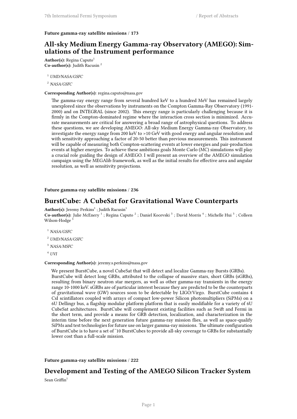#### **Future gamma-ray satellite missions** / **173**

# **All-sky Medium Energy Gamma-ray Observatory (AMEGO): Simulations of the Instrument performance**

Author(s): Regina Caputo<sup>1</sup> **Co-author(s):** Judith Racusin <sup>2</sup>

<sup>1</sup> *UMD/NASA/GSFC*

<sup>2</sup> *NASA/GSFC*

#### **Corresponding Author(s):** regina.caputo@nasa.gov

The gamma-ray energy range from several hundred keV to a hundred MeV has remained largely unexplored since the observations by instruments on the Compton Gamma-Ray Observatory (1991- 2000) and on INTEGRAL (since 2002). This energy range is particularly challenging because it is firmly in the Compton-dominated regime where the interaction cross section is minimized. Accurate measurements are critical for answering a broad range of astrophysical questions. To address these questions, we are developing AMEGO: All-sky Medium Energy Gamma-ray Observatory, to investigate the energy range from 200 keV to >10 GeV with good energy and angular resolution and with sensitivity approaching a factor of 20-50 better than previous measurements. This instrument will be capable of measuring both Compton-scattering events at lower energies and pair-production events at higher energies. To achieve these ambitions goals Monte Carlo (MC) simulations will play a crucial role guiding the design of AMEGO. I will present an overview of the AMEGO simulation campaign using the MEGAlib framework, as well as the initial results for effective area and angular resolution, as well as sensitivity projections.

## **Future gamma-ray satellite missions** / **236**

## **BurstCube: A CubeSat for Gravitational Wave Counterparts**

 $\mathbf{Author(s)}\mathbf{:}$  Jeremy  $\mathrm{Perkins}^{1}\mathbf{:}$  Judith  $\mathrm{Racusin}^{1}$ 

Co-author(s): Julie McEnery<sup>1</sup>; Regina Caputo<sup>2</sup>; Daniel Kocevski<sup>3</sup>; David Morris<sup>4</sup>; Michelle Hui<sup>3</sup>; Colleen Wilson-Hodge<sup>3</sup>

<sup>1</sup> *NASA/GSFC*

<sup>2</sup> *UMD/NASA/GSFC*

<sup>3</sup> *NASA/MSFC*

<sup>4</sup> *UVI*

#### **Corresponding Author(s):** jeremy.s.perkins@nasa.gov

We present BurstCube, a novel CubeSat that will detect and localize Gamma-ray Bursts (GRBs). BurstCube will detect long GRBs, attributed to the collapse of massive stars, short GRBs (sGRBs), resulting from binary neutron star mergers, as well as other gamma-ray transients in the energy range 10-1000 keV. sGRBs are of particular interest because they are predicted to be the counterparts of gravitational wave (GW) sources soon to be detectable by LIGO/Virgo. BurstCube contains 4 CsI scintillators coupled with arrays of compact low-power Silicon photomultipliers (SiPMs) on a 6U Dellingr bus, a flagship modular platform platform that is easily modifiable for a variety of 6U CubeSat architectures. BurstCube will complement existing facilities such as Swift and Fermi in the short term, and provide a means for GRB detection, localization, and characterization in the interim time before the next generation future gamma-ray mission flies, as well as space-qualify SiPMs and test technologies for future use on larger gamma-ray missions. The ultimate configuration of BurstCube is to have a set of ˜10 BurstCubes to provide all-sky coverage to GRBs for substantially lower cost than a full-scale mission.

**Future gamma-ray satellite missions** / **222**

# **Development and Testing of the AMEGO Silicon Tracker System**

Sean  $G$ riffin $1$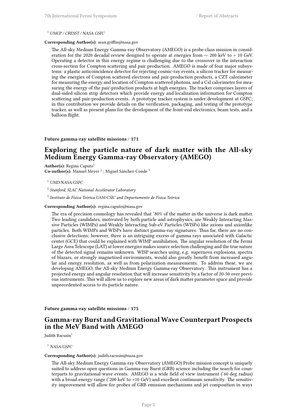#### <sup>1</sup> *UMCP / CRESST / NASA GSFC*

## **Corresponding Author(s):** sean.griffin@nasa.gov

The All-sky Medium Energy Gamma-ray Observatory (AMEGO) is a probe-class mission in consideration for the 2020 decadal review designed to operate at energies from *∼* 200 keV to > 10 GeV. Operating a detector in this energy regime is challenging due to the crossover in the interaction cross-section for Compton scattering and pair production. AMEGO is made of four major subsystems: a plastic anticoincidence detector for rejecting cosmic-ray events, a silicon tracker for measuring the energies of Compton scattered electrons and pair-production products, a CZT calorimeter for measuring the energy and location of Compton scattered photons, and a CsI calorimeter for measuring the energy of the pair-production products at high energies. The tracker comprises layers of dual-sided silicon strip detectors which provide energy and localization information for Compton scattering and pair-production events. A prototype tracker system is under development at GSFC; in this contribution we provide details on the verification, packaging, and testing of the prototype tracker, as well as present plans for the development of the front-end electronics, beam tests, and a balloon flight.

### **Future gamma-ray satellite missions** / **171**

# **Exploring the particle nature of dark matter with the All-sky Medium Energy Gamma-ray Observatory (AMEGO)**

Author(s): Regina Caputo<sup>1</sup> Co-author(s): Manuel Meyer<sup>2</sup>; Miguel Sánchez-Conde<sup>3</sup>

- <sup>1</sup> *UMD/NASA/GSFC*
- 2 *Stanford, SLAC National Accelerator Laboratory*

3 *Instituto de Física Teórica UAM/CSIC and Departamento de Física Teórica*

#### **Corresponding Author(s):** regina.caputo@nasa.gov

The era of precision cosmology has revealed that ~80% of the matter in the universe is dark matter. Two leading candidates, motivated by both particle and astrophysics, are Weakly Interacting Massive Particles (WIMPs) and Weakly Interacting Sub-eV Particles (WISPs) like axions and axionlike particles. Both WIMPs and WISPs have distinct gamma-ray signatures. Thus far, there are no conclusive detections; however, there is an intriguing excess of gamma rays associated with Galactic center (GCE) that could be explained with WIMP annihilation. The angular resolution of the Fermi Large Area Telescope (LAT) at lower energies makes source selection challenging and the true nature of the detected signal remains unknown. WISP searches using, e.g. supernova explosions, spectra of blazars, or strongly magnetized environments, would also greatly benefit from increased angular and energy resolution, as well as from polarization measurements. To address these, we are developing AMEGO, the All-sky Medium Energy Gamma-ray Observatory. This instrument has a projected energy and angular resolution that will increase sensitivity by a factor of 20-50 over previous instruments. This will allow us to explore new areas of dark matter parameter space and provide unprecedented access to its particle nature.

**Future gamma-ray satellite missions** / **175**

# **Gamma-ray Burst and GravitationalWave Counterpart Prospects in the MeV Band with AMEGO**

Judith Racusin<sup>1</sup>

<sup>1</sup> *NASA/GSFC*

## **Corresponding Author(s):** judith.racusin@nasa.gov

The All-sky Medium Energy Gamma-ray Observatory (AMEGO) Probe mission concept is uniquely suited to address open questions in Gamma-ray Burst (GRB) science including the search for counterparts to gravitational-wave events. AMEGO is a wide field of view instrument (˜60 deg radius) with a broad energy range (~200 keV to >10 GeV) and excellent continuum sensitivity. The sensitivity improvement will allow for probes of GRB emission mechanisms and jet composition in ways